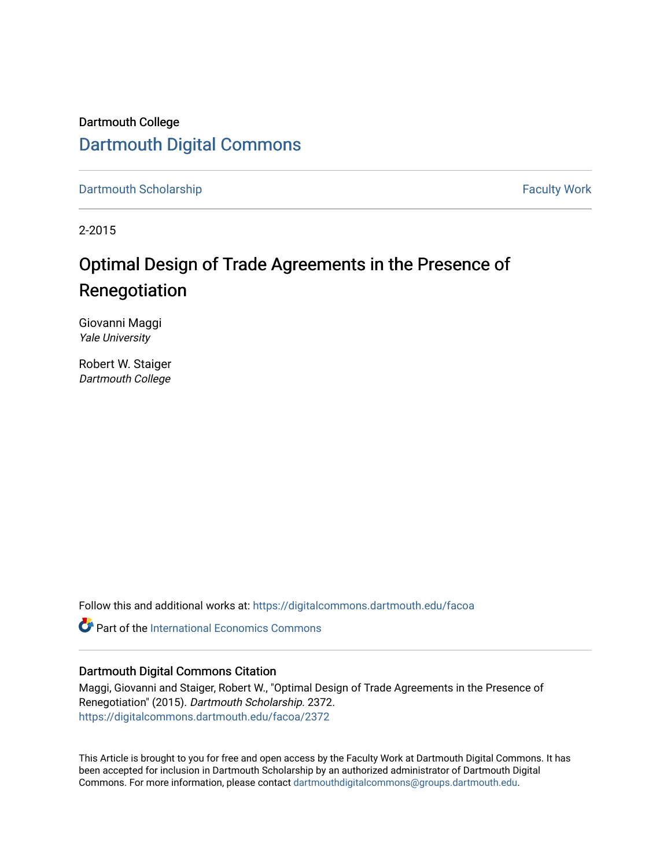## Dartmouth College [Dartmouth Digital Commons](https://digitalcommons.dartmouth.edu/)

[Dartmouth Scholarship](https://digitalcommons.dartmouth.edu/facoa) Faculty Work

2-2015

# Optimal Design of Trade Agreements in the Presence of Renegotiation

Giovanni Maggi Yale University

Robert W. Staiger Dartmouth College

Follow this and additional works at: [https://digitalcommons.dartmouth.edu/facoa](https://digitalcommons.dartmouth.edu/facoa?utm_source=digitalcommons.dartmouth.edu%2Ffacoa%2F2372&utm_medium=PDF&utm_campaign=PDFCoverPages)

**C** Part of the International Economics Commons

#### Dartmouth Digital Commons Citation

Maggi, Giovanni and Staiger, Robert W., "Optimal Design of Trade Agreements in the Presence of Renegotiation" (2015). Dartmouth Scholarship. 2372. [https://digitalcommons.dartmouth.edu/facoa/2372](https://digitalcommons.dartmouth.edu/facoa/2372?utm_source=digitalcommons.dartmouth.edu%2Ffacoa%2F2372&utm_medium=PDF&utm_campaign=PDFCoverPages) 

This Article is brought to you for free and open access by the Faculty Work at Dartmouth Digital Commons. It has been accepted for inclusion in Dartmouth Scholarship by an authorized administrator of Dartmouth Digital Commons. For more information, please contact [dartmouthdigitalcommons@groups.dartmouth.edu](mailto:dartmouthdigitalcommons@groups.dartmouth.edu).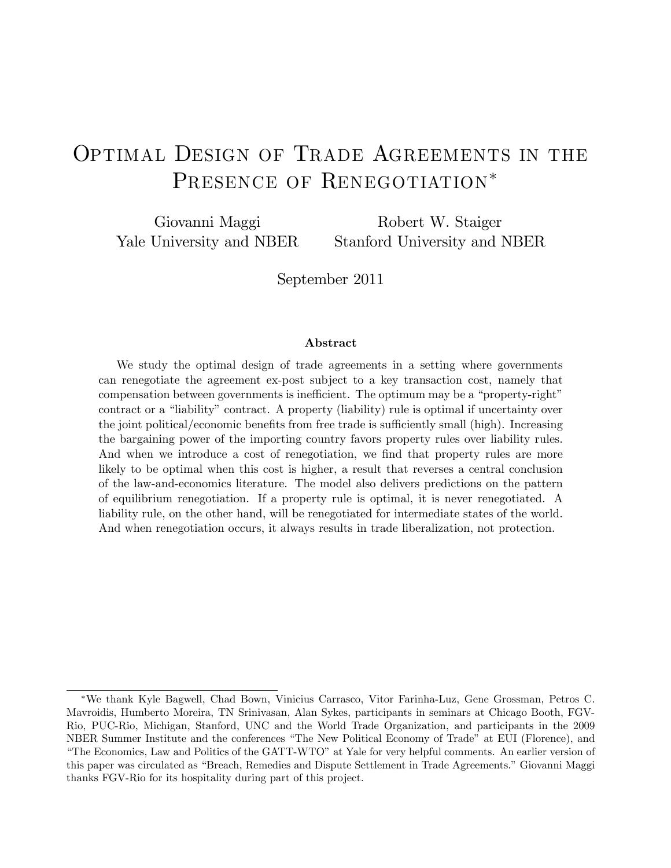# OPTIMAL DESIGN OF TRADE AGREEMENTS IN THE PRESENCE OF RENEGOTIATION\*

Giovanni Maggi Yale University and NBER

Robert W. Staiger Stanford University and NBER

September 2011

#### Abstract

We study the optimal design of trade agreements in a setting where governments can renegotiate the agreement ex-post subject to a key transaction cost, namely that compensation between governments is inefficient. The optimum may be a "property-right" contract or a "liability" contract. A property (liability) rule is optimal if uncertainty over the joint political/economic benefits from free trade is sufficiently small (high). Increasing the bargaining power of the importing country favors property rules over liability rules. And when we introduce a cost of renegotiation, we find that property rules are more likely to be optimal when this cost is higher, a result that reverses a central conclusion of the law-and-economics literature. The model also delivers predictions on the pattern of equilibrium renegotiation. If a property rule is optimal, it is never renegotiated. A liability rule, on the other hand, will be renegotiated for intermediate states of the world. And when renegotiation occurs, it always results in trade liberalization, not protection.

We thank Kyle Bagwell, Chad Bown, Vinicius Carrasco, Vitor Farinha-Luz, Gene Grossman, Petros C. Mavroidis, Humberto Moreira, TN Srinivasan, Alan Sykes, participants in seminars at Chicago Booth, FGV-Rio, PUC-Rio, Michigan, Stanford, UNC and the World Trade Organization, and participants in the 2009 NBER Summer Institute and the conferences "The New Political Economy of Trade" at EUI (Florence), and "The Economics, Law and Politics of the GATT-WTO" at Yale for very helpful comments. An earlier version of this paper was circulated as "Breach, Remedies and Dispute Settlement in Trade Agreements." Giovanni Maggi thanks FGV-Rio for its hospitality during part of this project.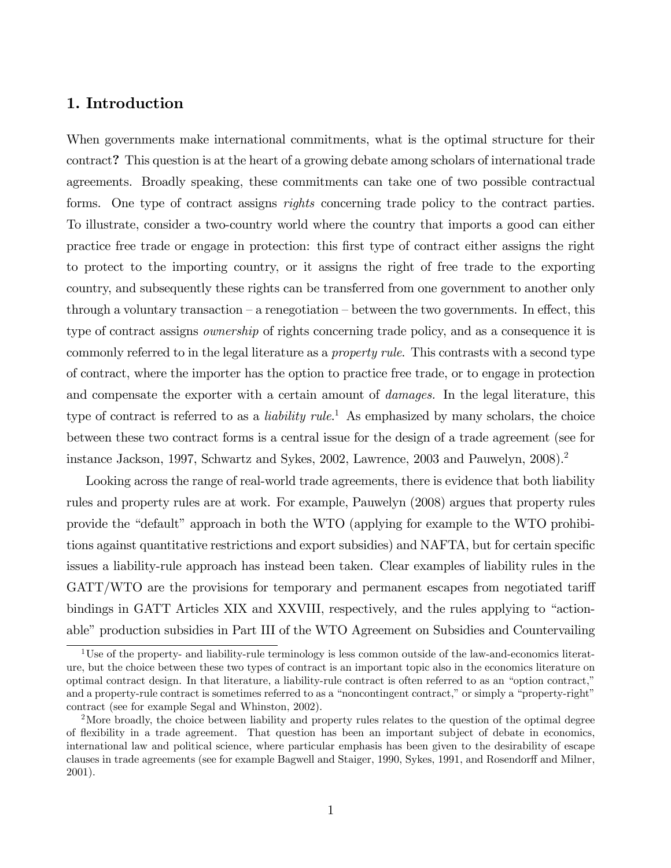#### 1. Introduction

When governments make international commitments, what is the optimal structure for their contract? This question is at the heart of a growing debate among scholars of international trade agreements. Broadly speaking, these commitments can take one of two possible contractual forms. One type of contract assigns *rights* concerning trade policy to the contract parties. To illustrate, consider a two-country world where the country that imports a good can either practice free trade or engage in protection: this Örst type of contract either assigns the right to protect to the importing country, or it assigns the right of free trade to the exporting country, and subsequently these rights can be transferred from one government to another only through a voluntary transaction  $-$  a renegotiation  $-$  between the two governments. In effect, this type of contract assigns ownership of rights concerning trade policy, and as a consequence it is commonly referred to in the legal literature as a property rule. This contrasts with a second type of contract, where the importer has the option to practice free trade, or to engage in protection and compensate the exporter with a certain amount of *damages*. In the legal literature, this type of contract is referred to as a *liability rule*.<sup>1</sup> As emphasized by many scholars, the choice between these two contract forms is a central issue for the design of a trade agreement (see for instance Jackson, 1997, Schwartz and Sykes, 2002, Lawrence, 2003 and Pauwelyn, 2008).<sup>2</sup>

Looking across the range of real-world trade agreements, there is evidence that both liability rules and property rules are at work. For example, Pauwelyn (2008) argues that property rules provide the "default" approach in both the WTO (applying for example to the WTO prohibitions against quantitative restrictions and export subsidies) and NAFTA, but for certain specific issues a liability-rule approach has instead been taken. Clear examples of liability rules in the GATT/WTO are the provisions for temporary and permanent escapes from negotiated tariff bindings in GATT Articles XIX and XXVIII, respectively, and the rules applying to "actionable" production subsidies in Part III of the WTO Agreement on Subsidies and Countervailing

<sup>&</sup>lt;sup>1</sup>Use of the property- and liability-rule terminology is less common outside of the law-and-economics literature, but the choice between these two types of contract is an important topic also in the economics literature on optimal contract design. In that literature, a liability-rule contract is often referred to as an "option contract," and a property-rule contract is sometimes referred to as a "noncontingent contract," or simply a "property-right" contract (see for example Segal and Whinston, 2002).

<sup>&</sup>lt;sup>2</sup>More broadly, the choice between liability and property rules relates to the question of the optimal degree of áexibility in a trade agreement. That question has been an important subject of debate in economics, international law and political science, where particular emphasis has been given to the desirability of escape clauses in trade agreements (see for example Bagwell and Staiger, 1990, Sykes, 1991, and Rosendorff and Milner, 2001).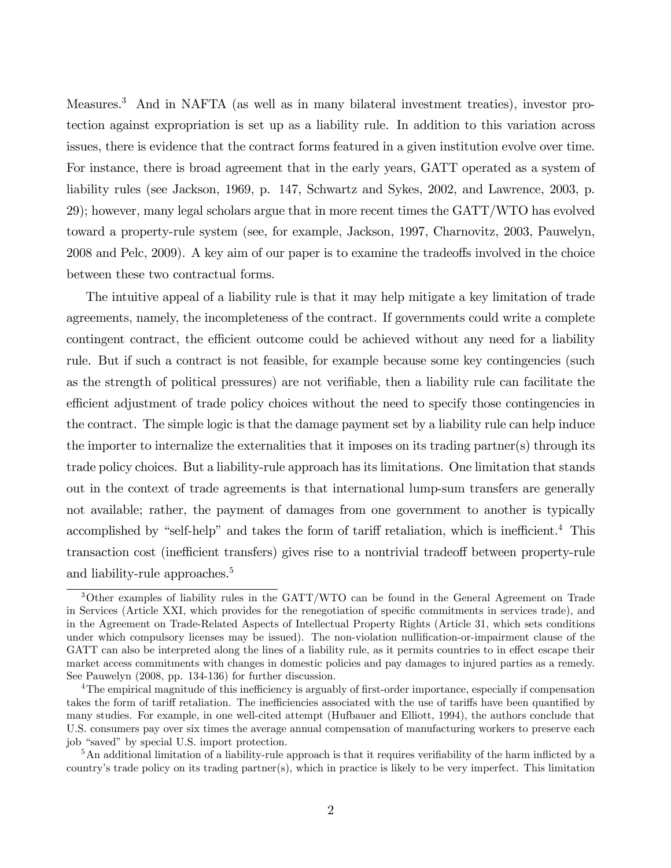Measures.<sup>3</sup> And in NAFTA (as well as in many bilateral investment treaties), investor protection against expropriation is set up as a liability rule. In addition to this variation across issues, there is evidence that the contract forms featured in a given institution evolve over time. For instance, there is broad agreement that in the early years, GATT operated as a system of liability rules (see Jackson, 1969, p. 147, Schwartz and Sykes, 2002, and Lawrence, 2003, p. 29); however, many legal scholars argue that in more recent times the GATT/WTO has evolved toward a property-rule system (see, for example, Jackson, 1997, Charnovitz, 2003, Pauwelyn, 2008 and Pelc, 2009). A key aim of our paper is to examine the tradeoffs involved in the choice between these two contractual forms.

The intuitive appeal of a liability rule is that it may help mitigate a key limitation of trade agreements, namely, the incompleteness of the contract. If governments could write a complete contingent contract, the efficient outcome could be achieved without any need for a liability rule. But if such a contract is not feasible, for example because some key contingencies (such as the strength of political pressures) are not verifiable, then a liability rule can facilitate the efficient adjustment of trade policy choices without the need to specify those contingencies in the contract. The simple logic is that the damage payment set by a liability rule can help induce the importer to internalize the externalities that it imposes on its trading partner(s) through its trade policy choices. But a liability-rule approach has its limitations. One limitation that stands out in the context of trade agreements is that international lump-sum transfers are generally not available; rather, the payment of damages from one government to another is typically accomplished by "self-help" and takes the form of tariff retaliation, which is inefficient.<sup>4</sup> This transaction cost (inefficient transfers) gives rise to a nontrivial tradeoff between property-rule and liability-rule approaches.<sup>5</sup>

<sup>3</sup>Other examples of liability rules in the GATT/WTO can be found in the General Agreement on Trade in Services (Article XXI, which provides for the renegotiation of specific commitments in services trade), and in the Agreement on Trade-Related Aspects of Intellectual Property Rights (Article 31, which sets conditions under which compulsory licenses may be issued). The non-violation nullification-or-impairment clause of the GATT can also be interpreted along the lines of a liability rule, as it permits countries to in effect escape their market access commitments with changes in domestic policies and pay damages to injured parties as a remedy. See Pauwelyn (2008, pp. 134-136) for further discussion.

<sup>&</sup>lt;sup>4</sup>The empirical magnitude of this inefficiency is arguably of first-order importance, especially if compensation takes the form of tariff retaliation. The inefficiencies associated with the use of tariffs have been quantified by many studies. For example, in one well-cited attempt (Hufbauer and Elliott, 1994), the authors conclude that U.S. consumers pay over six times the average annual compensation of manufacturing workers to preserve each job "saved" by special U.S. import protection.

 $5$ An additional limitation of a liability-rule approach is that it requires verifiability of the harm inflicted by a countryís trade policy on its trading partner(s), which in practice is likely to be very imperfect. This limitation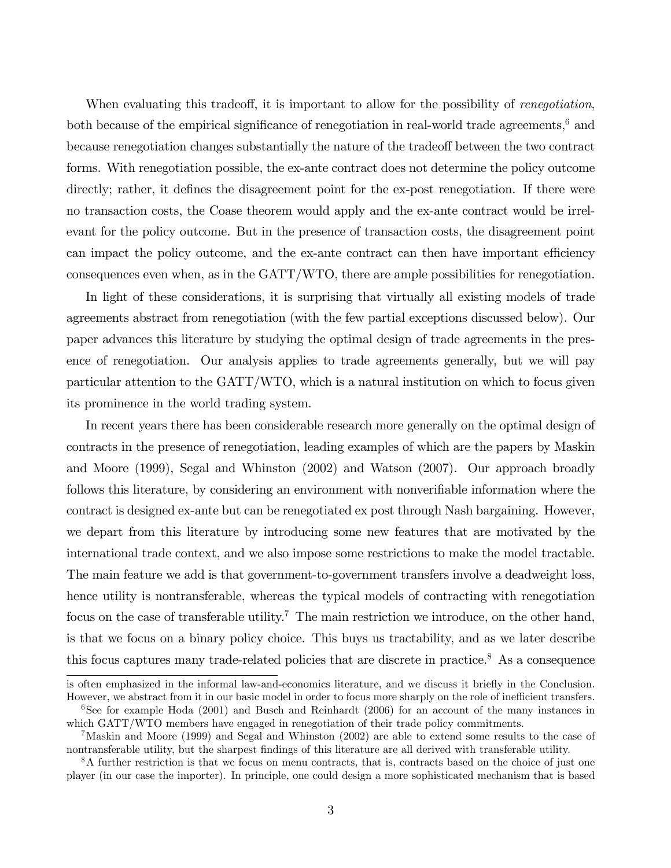When evaluating this tradeoff, it is important to allow for the possibility of *renegotiation*, both because of the empirical significance of renegotiation in real-world trade agreements, $6$  and because renegotiation changes substantially the nature of the tradeoff between the two contract forms. With renegotiation possible, the ex-ante contract does not determine the policy outcome directly; rather, it defines the disagreement point for the ex-post renegotiation. If there were no transaction costs, the Coase theorem would apply and the ex-ante contract would be irrelevant for the policy outcome. But in the presence of transaction costs, the disagreement point can impact the policy outcome, and the ex-ante contract can then have important efficiency consequences even when, as in the GATT/WTO, there are ample possibilities for renegotiation.

In light of these considerations, it is surprising that virtually all existing models of trade agreements abstract from renegotiation (with the few partial exceptions discussed below). Our paper advances this literature by studying the optimal design of trade agreements in the presence of renegotiation. Our analysis applies to trade agreements generally, but we will pay particular attention to the GATT/WTO, which is a natural institution on which to focus given its prominence in the world trading system.

In recent years there has been considerable research more generally on the optimal design of contracts in the presence of renegotiation, leading examples of which are the papers by Maskin and Moore (1999), Segal and Whinston (2002) and Watson (2007). Our approach broadly follows this literature, by considering an environment with nonverifiable information where the contract is designed ex-ante but can be renegotiated ex post through Nash bargaining. However, we depart from this literature by introducing some new features that are motivated by the international trade context, and we also impose some restrictions to make the model tractable. The main feature we add is that government-to-government transfers involve a deadweight loss, hence utility is nontransferable, whereas the typical models of contracting with renegotiation focus on the case of transferable utility.<sup>7</sup> The main restriction we introduce, on the other hand, is that we focus on a binary policy choice. This buys us tractability, and as we later describe this focus captures many trade-related policies that are discrete in practice.<sup>8</sup> As a consequence

is often emphasized in the informal law-and-economics literature, and we discuss it briefly in the Conclusion. However, we abstract from it in our basic model in order to focus more sharply on the role of inefficient transfers.

<sup>&</sup>lt;sup>6</sup>See for example Hoda  $(2001)$  and Busch and Reinhardt  $(2006)$  for an account of the many instances in which GATT/WTO members have engaged in renegotiation of their trade policy commitments.

<sup>7</sup>Maskin and Moore (1999) and Segal and Whinston (2002) are able to extend some results to the case of nontransferable utility, but the sharpest findings of this literature are all derived with transferable utility.

<sup>8</sup>A further restriction is that we focus on menu contracts, that is, contracts based on the choice of just one player (in our case the importer). In principle, one could design a more sophisticated mechanism that is based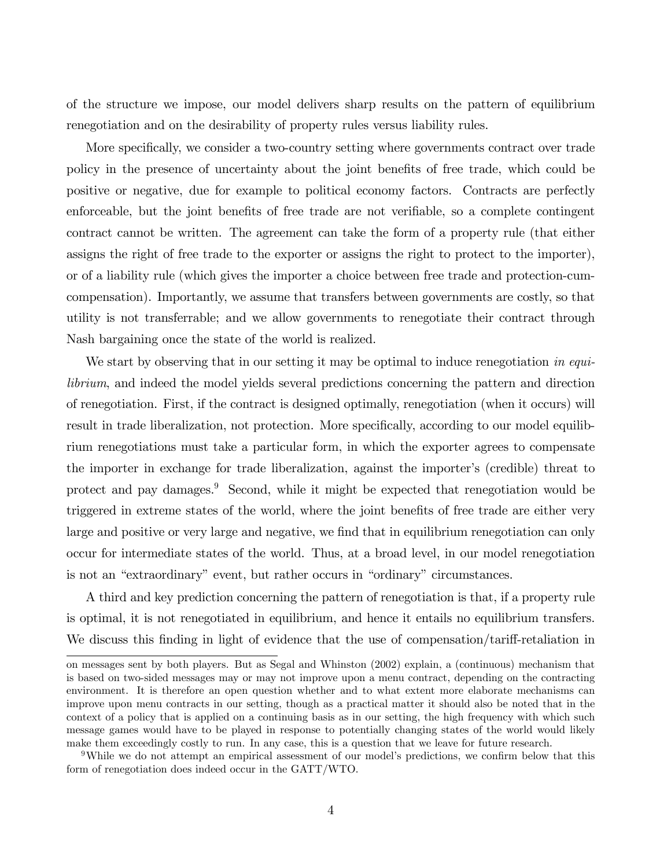of the structure we impose, our model delivers sharp results on the pattern of equilibrium renegotiation and on the desirability of property rules versus liability rules.

More specifically, we consider a two-country setting where governments contract over trade policy in the presence of uncertainty about the joint benefits of free trade, which could be positive or negative, due for example to political economy factors. Contracts are perfectly enforceable, but the joint benefits of free trade are not verifiable, so a complete contingent contract cannot be written. The agreement can take the form of a property rule (that either assigns the right of free trade to the exporter or assigns the right to protect to the importer), or of a liability rule (which gives the importer a choice between free trade and protection-cumcompensation). Importantly, we assume that transfers between governments are costly, so that utility is not transferrable; and we allow governments to renegotiate their contract through Nash bargaining once the state of the world is realized.

We start by observing that in our setting it may be optimal to induce renegotiation in equilibrium, and indeed the model yields several predictions concerning the pattern and direction of renegotiation. First, if the contract is designed optimally, renegotiation (when it occurs) will result in trade liberalization, not protection. More specifically, according to our model equilibrium renegotiations must take a particular form, in which the exporter agrees to compensate the importer in exchange for trade liberalization, against the importer's (credible) threat to protect and pay damages.<sup>9</sup> Second, while it might be expected that renegotiation would be triggered in extreme states of the world, where the joint benefits of free trade are either very large and positive or very large and negative, we find that in equilibrium renegotiation can only occur for intermediate states of the world. Thus, at a broad level, in our model renegotiation is not an "extraordinary" event, but rather occurs in "ordinary" circumstances.

A third and key prediction concerning the pattern of renegotiation is that, if a property rule is optimal, it is not renegotiated in equilibrium, and hence it entails no equilibrium transfers. We discuss this finding in light of evidence that the use of compensation/tariff-retaliation in

on messages sent by both players. But as Segal and Whinston (2002) explain, a (continuous) mechanism that is based on two-sided messages may or may not improve upon a menu contract, depending on the contracting environment. It is therefore an open question whether and to what extent more elaborate mechanisms can improve upon menu contracts in our setting, though as a practical matter it should also be noted that in the context of a policy that is applied on a continuing basis as in our setting, the high frequency with which such message games would have to be played in response to potentially changing states of the world would likely make them exceedingly costly to run. In any case, this is a question that we leave for future research.

<sup>&</sup>lt;sup>9</sup>While we do not attempt an empirical assessment of our model's predictions, we confirm below that this form of renegotiation does indeed occur in the GATT/WTO.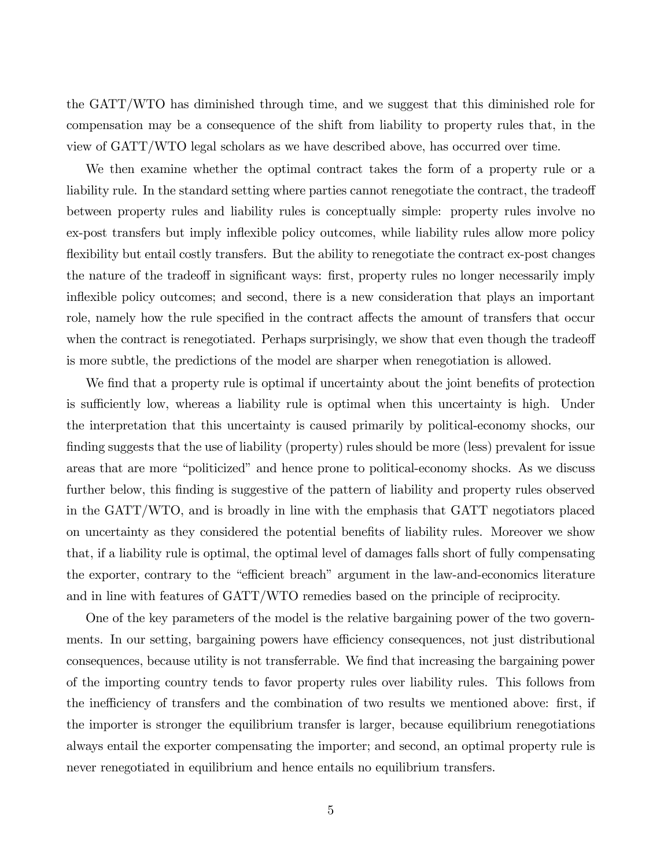the GATT/WTO has diminished through time, and we suggest that this diminished role for compensation may be a consequence of the shift from liability to property rules that, in the view of GATT/WTO legal scholars as we have described above, has occurred over time.

We then examine whether the optimal contract takes the form of a property rule or a liability rule. In the standard setting where parties cannot renegotiate the contract, the tradeoff between property rules and liability rules is conceptually simple: property rules involve no ex-post transfers but imply inflexible policy outcomes, while liability rules allow more policy flexibility but entail costly transfers. But the ability to renegotiate the contract ex-post changes the nature of the tradeoff in significant ways: first, property rules no longer necessarily imply inflexible policy outcomes; and second, there is a new consideration that plays an important role, namely how the rule specified in the contract affects the amount of transfers that occur when the contract is renegotiated. Perhaps surprisingly, we show that even though the tradeoff is more subtle, the predictions of the model are sharper when renegotiation is allowed.

We find that a property rule is optimal if uncertainty about the joint benefits of protection is sufficiently low, whereas a liability rule is optimal when this uncertainty is high. Under the interpretation that this uncertainty is caused primarily by political-economy shocks, our finding suggests that the use of liability (property) rules should be more (less) prevalent for issue areas that are more "politicized" and hence prone to political-economy shocks. As we discuss further below, this finding is suggestive of the pattern of liability and property rules observed in the GATT/WTO, and is broadly in line with the emphasis that GATT negotiators placed on uncertainty as they considered the potential benefits of liability rules. Moreover we show that, if a liability rule is optimal, the optimal level of damages falls short of fully compensating the exporter, contrary to the "efficient breach" argument in the law-and-economics literature and in line with features of GATT/WTO remedies based on the principle of reciprocity.

One of the key parameters of the model is the relative bargaining power of the two governments. In our setting, bargaining powers have efficiency consequences, not just distributional consequences, because utility is not transferrable. We find that increasing the bargaining power of the importing country tends to favor property rules over liability rules. This follows from the inefficiency of transfers and the combination of two results we mentioned above: first, if the importer is stronger the equilibrium transfer is larger, because equilibrium renegotiations always entail the exporter compensating the importer; and second, an optimal property rule is never renegotiated in equilibrium and hence entails no equilibrium transfers.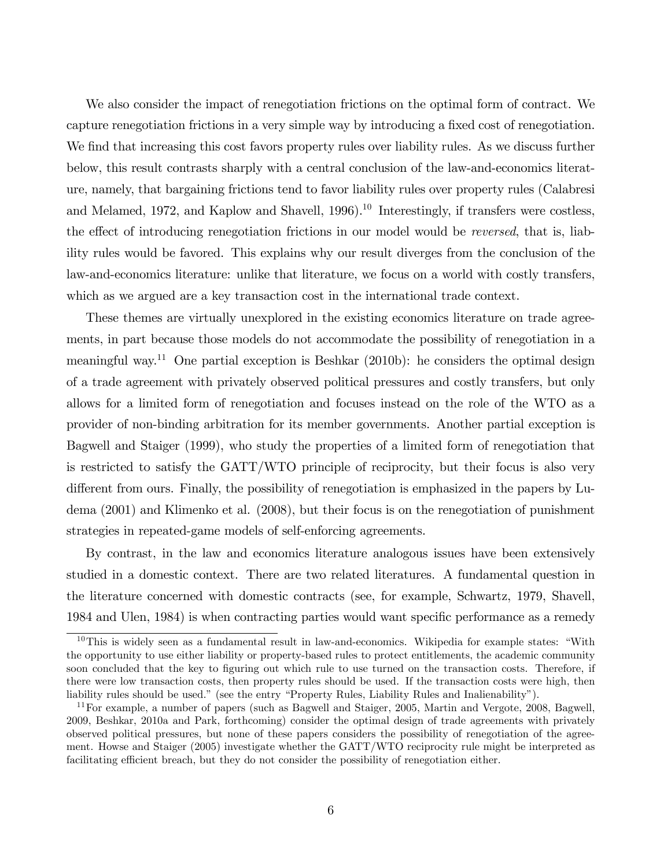We also consider the impact of renegotiation frictions on the optimal form of contract. We capture renegotiation frictions in a very simple way by introducing a fixed cost of renegotiation. We find that increasing this cost favors property rules over liability rules. As we discuss further below, this result contrasts sharply with a central conclusion of the law-and-economics literature, namely, that bargaining frictions tend to favor liability rules over property rules (Calabresi and Melamed, 1972, and Kaplow and Shavell, 1996).<sup>10</sup> Interestingly, if transfers were costless, the effect of introducing renegotiation frictions in our model would be *reversed*, that is, liability rules would be favored. This explains why our result diverges from the conclusion of the law-and-economics literature: unlike that literature, we focus on a world with costly transfers, which as we argued are a key transaction cost in the international trade context.

These themes are virtually unexplored in the existing economics literature on trade agreements, in part because those models do not accommodate the possibility of renegotiation in a meaningful way.<sup>11</sup> One partial exception is Beshkar  $(2010b)$ : he considers the optimal design of a trade agreement with privately observed political pressures and costly transfers, but only allows for a limited form of renegotiation and focuses instead on the role of the WTO as a provider of non-binding arbitration for its member governments. Another partial exception is Bagwell and Staiger (1999), who study the properties of a limited form of renegotiation that is restricted to satisfy the GATT/WTO principle of reciprocity, but their focus is also very different from ours. Finally, the possibility of renegotiation is emphasized in the papers by Ludema (2001) and Klimenko et al. (2008), but their focus is on the renegotiation of punishment strategies in repeated-game models of self-enforcing agreements.

By contrast, in the law and economics literature analogous issues have been extensively studied in a domestic context. There are two related literatures. A fundamental question in the literature concerned with domestic contracts (see, for example, Schwartz, 1979, Shavell, 1984 and Ulen, 1984) is when contracting parties would want specific performance as a remedy

 $10$ This is widely seen as a fundamental result in law-and-economics. Wikipedia for example states: "With the opportunity to use either liability or property-based rules to protect entitlements, the academic community soon concluded that the key to figuring out which rule to use turned on the transaction costs. Therefore, if there were low transaction costs, then property rules should be used. If the transaction costs were high, then liability rules should be used." (see the entry "Property Rules, Liability Rules and Inalienability").

<sup>11</sup>For example, a number of papers (such as Bagwell and Staiger, 2005, Martin and Vergote, 2008, Bagwell, 2009, Beshkar, 2010a and Park, forthcoming) consider the optimal design of trade agreements with privately observed political pressures, but none of these papers considers the possibility of renegotiation of the agreement. Howse and Staiger (2005) investigate whether the GATT/WTO reciprocity rule might be interpreted as facilitating efficient breach, but they do not consider the possibility of renegotiation either.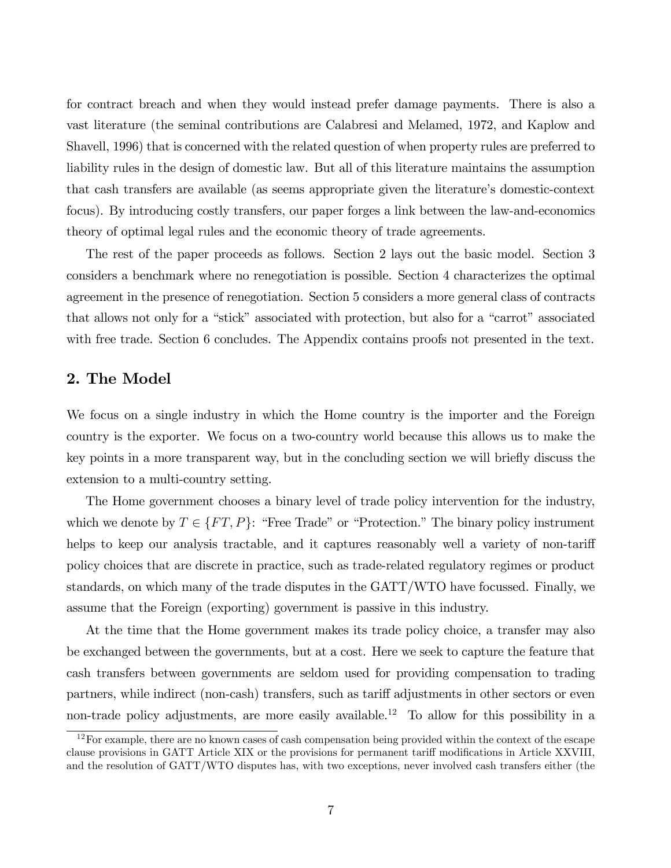for contract breach and when they would instead prefer damage payments. There is also a vast literature (the seminal contributions are Calabresi and Melamed, 1972, and Kaplow and Shavell, 1996) that is concerned with the related question of when property rules are preferred to liability rules in the design of domestic law. But all of this literature maintains the assumption that cash transfers are available (as seems appropriate given the literature's domestic-context focus). By introducing costly transfers, our paper forges a link between the law-and-economics theory of optimal legal rules and the economic theory of trade agreements.

The rest of the paper proceeds as follows. Section 2 lays out the basic model. Section 3 considers a benchmark where no renegotiation is possible. Section 4 characterizes the optimal agreement in the presence of renegotiation. Section 5 considers a more general class of contracts that allows not only for a "stick" associated with protection, but also for a "carrot" associated with free trade. Section 6 concludes. The Appendix contains proofs not presented in the text.

#### 2. The Model

We focus on a single industry in which the Home country is the importer and the Foreign country is the exporter. We focus on a two-country world because this allows us to make the key points in a more transparent way, but in the concluding section we will briefly discuss the extension to a multi-country setting.

The Home government chooses a binary level of trade policy intervention for the industry, which we denote by  $T \in \{FT, P\}$ : "Free Trade" or "Protection." The binary policy instrument helps to keep our analysis tractable, and it captures reasonably well a variety of non-tariff policy choices that are discrete in practice, such as trade-related regulatory regimes or product standards, on which many of the trade disputes in the GATT/WTO have focussed. Finally, we assume that the Foreign (exporting) government is passive in this industry.

At the time that the Home government makes its trade policy choice, a transfer may also be exchanged between the governments, but at a cost. Here we seek to capture the feature that cash transfers between governments are seldom used for providing compensation to trading partners, while indirect (non-cash) transfers, such as tariff adjustments in other sectors or even non-trade policy adjustments, are more easily available.<sup>12</sup> To allow for this possibility in a

<sup>&</sup>lt;sup>12</sup>For example, there are no known cases of cash compensation being provided within the context of the escape clause provisions in GATT Article XIX or the provisions for permanent tariff modifications in Article XXVIII, and the resolution of GATT/WTO disputes has, with two exceptions, never involved cash transfers either (the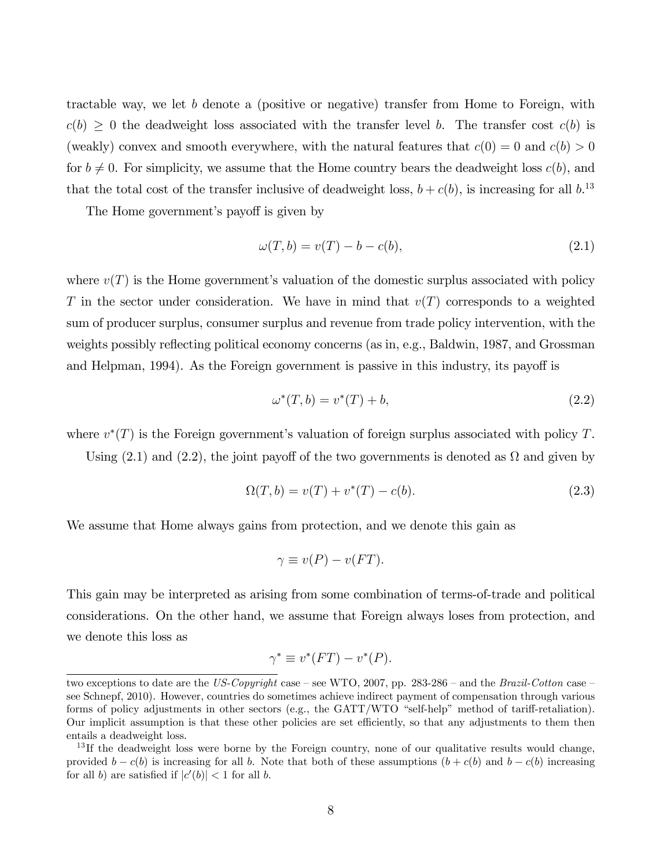tractable way, we let b denote a (positive or negative) transfer from Home to Foreign, with  $c(b) \geq 0$  the deadweight loss associated with the transfer level b. The transfer cost  $c(b)$  is (weakly) convex and smooth everywhere, with the natural features that  $c(0) = 0$  and  $c(b) > 0$ for  $b \neq 0$ . For simplicity, we assume that the Home country bears the deadweight loss  $c(b)$ , and that the total cost of the transfer inclusive of deadweight loss,  $b + c(b)$ , is increasing for all  $b$ .<sup>13</sup>

The Home government's payoff is given by

$$
\omega(T, b) = v(T) - b - c(b),\tag{2.1}
$$

where  $v(T)$  is the Home government's valuation of the domestic surplus associated with policy T in the sector under consideration. We have in mind that  $v(T)$  corresponds to a weighted sum of producer surplus, consumer surplus and revenue from trade policy intervention, with the weights possibly reflecting political economy concerns (as in, e.g., Baldwin, 1987, and Grossman and Helpman, 1994). As the Foreign government is passive in this industry, its payoff is

$$
\omega^*(T, b) = v^*(T) + b,\tag{2.2}
$$

where  $v^*(T)$  is the Foreign government's valuation of foreign surplus associated with policy T.

Using  $(2.1)$  and  $(2.2)$ , the joint payoff of the two governments is denoted as  $\Omega$  and given by

$$
\Omega(T, b) = v(T) + v^*(T) - c(b).
$$
\n(2.3)

We assume that Home always gains from protection, and we denote this gain as

$$
\gamma \equiv v(P) - v(FT).
$$

This gain may be interpreted as arising from some combination of terms-of-trade and political considerations. On the other hand, we assume that Foreign always loses from protection, and we denote this loss as

$$
\gamma^* \equiv v^*(FT) - v^*(P).
$$

two exceptions to date are the US-Copyright case – see WTO, 2007, pp. 283-286 – and the Brazil-Cotton case – see Schnepf, 2010). However, countries do sometimes achieve indirect payment of compensation through various forms of policy adjustments in other sectors (e.g., the GATT/WTO "self-help" method of tariff-retaliation). Our implicit assumption is that these other policies are set efficiently, so that any adjustments to them then entails a deadweight loss.

 $13$  If the deadweight loss were borne by the Foreign country, none of our qualitative results would change, provided  $b - c(b)$  is increasing for all b. Note that both of these assumptions  $(b + c(b))$  and  $b - c(b)$  increasing for all b) are satisfied if  $|c'(b)| < 1$  for all b.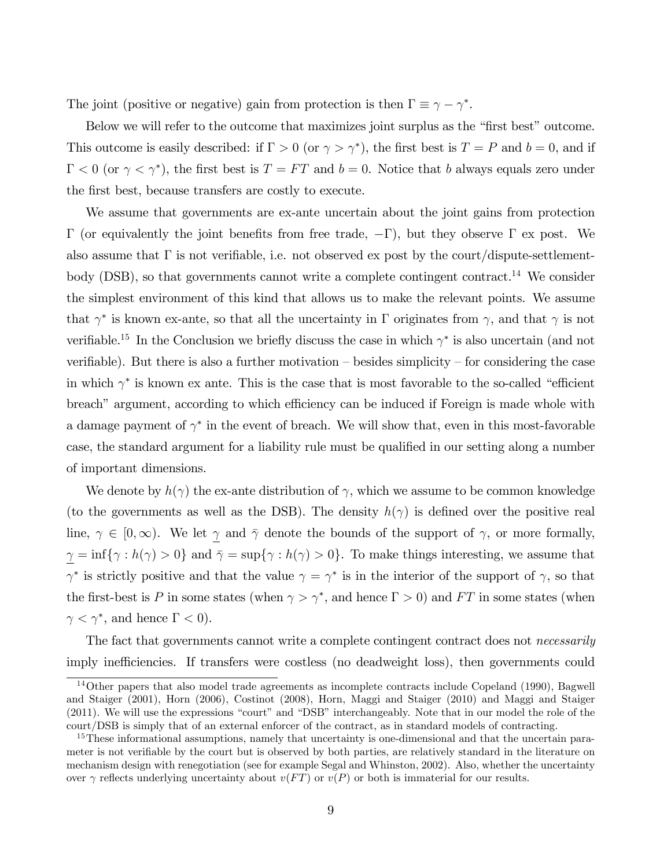The joint (positive or negative) gain from protection is then  $\Gamma \equiv \gamma - \gamma^*$ .

Below we will refer to the outcome that maximizes joint surplus as the "first best" outcome. This outcome is easily described: if  $\Gamma > 0$  (or  $\gamma > \gamma^*$ ), the first best is  $T = P$  and  $b = 0$ , and if  $\Gamma < 0$  (or  $\gamma < \gamma^*$ ), the first best is  $T = FT$  and  $b = 0$ . Notice that b always equals zero under the first best, because transfers are costly to execute.

We assume that governments are ex-ante uncertain about the joint gains from protection  $\Gamma$  (or equivalently the joint benefits from free trade,  $-\Gamma$ ), but they observe  $\Gamma$  ex post. We also assume that  $\Gamma$  is not verifiable, i.e. not observed ex post by the court/dispute-settlementbody (DSB), so that governments cannot write a complete contingent contract.<sup>14</sup> We consider the simplest environment of this kind that allows us to make the relevant points. We assume that  $\gamma^*$  is known ex-ante, so that all the uncertainty in  $\Gamma$  originates from  $\gamma$ , and that  $\gamma$  is not verifiable.<sup>15</sup> In the Conclusion we briefly discuss the case in which  $\gamma^*$  is also uncertain (and not verifiable). But there is also a further motivation  $-\overline{\phantom{a}}$  besides simplicity  $-\overline{\phantom{a}}$  for considering the case in which  $\gamma^*$  is known ex ante. This is the case that is most favorable to the so-called "efficient" breach" argument, according to which efficiency can be induced if Foreign is made whole with a damage payment of  $\gamma^*$  in the event of breach. We will show that, even in this most-favorable case, the standard argument for a liability rule must be qualified in our setting along a number of important dimensions.

We denote by  $h(\gamma)$  the ex-ante distribution of  $\gamma$ , which we assume to be common knowledge (to the governments as well as the DSB). The density  $h(\gamma)$  is defined over the positive real line,  $\gamma \in [0,\infty)$ . We let  $\gamma$  and  $\bar{\gamma}$  denote the bounds of the support of  $\gamma$ , or more formally,  $\gamma = \inf \{ \gamma : h(\gamma) > 0 \}$  and  $\bar{\gamma} = \sup \{ \gamma : h(\gamma) > 0 \}.$  To make things interesting, we assume that  $\gamma^*$  is strictly positive and that the value  $\gamma = \gamma^*$  is in the interior of the support of  $\gamma$ , so that the first-best is P in some states (when  $\gamma > \gamma^*$ , and hence  $\Gamma > 0$ ) and FT in some states (when  $\gamma < \gamma^*$ , and hence  $\Gamma < 0$ ).

The fact that governments cannot write a complete contingent contract does not *necessarily* imply inefficiencies. If transfers were costless (no deadweight loss), then governments could

<sup>&</sup>lt;sup>14</sup>Other papers that also model trade agreements as incomplete contracts include Copeland (1990), Bagwell and Staiger (2001), Horn (2006), Costinot (2008), Horn, Maggi and Staiger (2010) and Maggi and Staiger  $(2011)$ . We will use the expressions "court" and "DSB" interchangeably. Note that in our model the role of the court/DSB is simply that of an external enforcer of the contract, as in standard models of contracting.

<sup>&</sup>lt;sup>15</sup>These informational assumptions, namely that uncertainty is one-dimensional and that the uncertain parameter is not verifiable by the court but is observed by both parties, are relatively standard in the literature on mechanism design with renegotiation (see for example Segal and Whinston, 2002). Also, whether the uncertainty over  $\gamma$  reflects underlying uncertainty about  $v(FT)$  or  $v(P)$  or both is immaterial for our results.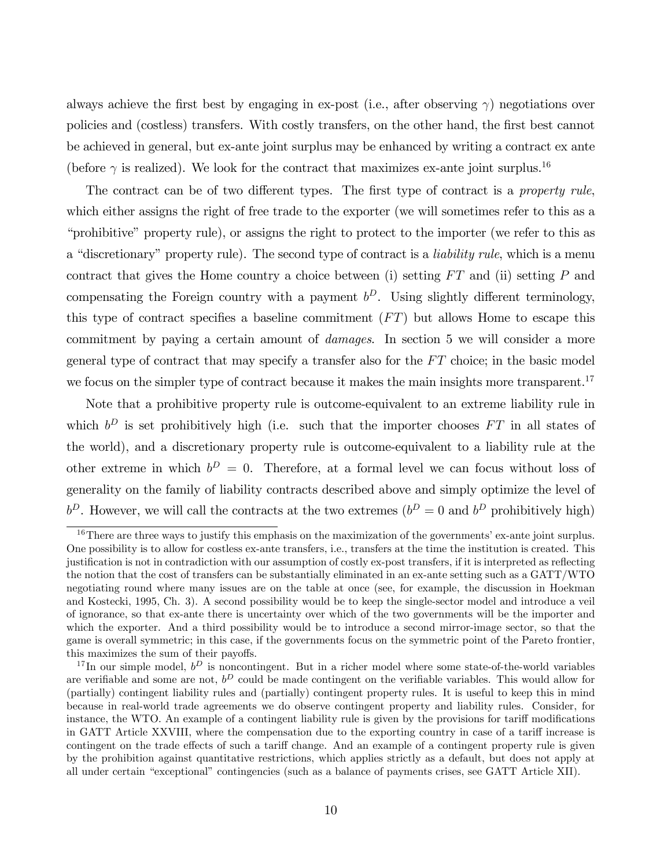always achieve the first best by engaging in ex-post (i.e., after observing  $\gamma$ ) negotiations over policies and (costless) transfers. With costly transfers, on the other hand, the first best cannot be achieved in general, but ex-ante joint surplus may be enhanced by writing a contract ex ante (before  $\gamma$  is realized). We look for the contract that maximizes ex-ante joint surplus.<sup>16</sup>

The contract can be of two different types. The first type of contract is a *property rule*, which either assigns the right of free trade to the exporter (we will sometimes refer to this as a "prohibitive" property rule), or assigns the right to protect to the importer (we refer to this as a "discretionary" property rule). The second type of contract is a *liability rule*, which is a menu contract that gives the Home country a choice between (i) setting  $FT$  and (ii) setting P and compensating the Foreign country with a payment  $b^D$ . Using slightly different terminology, this type of contract specifies a baseline commitment  $(FT)$  but allows Home to escape this commitment by paying a certain amount of *damages*. In section 5 we will consider a more general type of contract that may specify a transfer also for the  $FT$  choice; in the basic model we focus on the simpler type of contract because it makes the main insights more transparent.<sup>17</sup>

Note that a prohibitive property rule is outcome-equivalent to an extreme liability rule in which  $b^D$  is set prohibitively high (i.e. such that the importer chooses  $FT$  in all states of the world), and a discretionary property rule is outcome-equivalent to a liability rule at the other extreme in which  $b^D = 0$ . Therefore, at a formal level we can focus without loss of generality on the family of liability contracts described above and simply optimize the level of  $b^D$ . However, we will call the contracts at the two extremes  $(b^D = 0$  and  $b^D$  prohibitively high)

 $16$ There are three ways to justify this emphasis on the maximization of the governments' ex-ante joint surplus. One possibility is to allow for costless ex-ante transfers, i.e., transfers at the time the institution is created. This justification is not in contradiction with our assumption of costly ex-post transfers, if it is interpreted as reflecting the notion that the cost of transfers can be substantially eliminated in an ex-ante setting such as a GATT/WTO negotiating round where many issues are on the table at once (see, for example, the discussion in Hoekman and Kostecki, 1995, Ch. 3). A second possibility would be to keep the single-sector model and introduce a veil of ignorance, so that ex-ante there is uncertainty over which of the two governments will be the importer and which the exporter. And a third possibility would be to introduce a second mirror-image sector, so that the game is overall symmetric; in this case, if the governments focus on the symmetric point of the Pareto frontier, this maximizes the sum of their payoffs.

<sup>&</sup>lt;sup>17</sup>In our simple model,  $b^D$  is noncontingent. But in a richer model where some state-of-the-world variables are verifiable and some are not,  $b^D$  could be made contingent on the verifiable variables. This would allow for (partially) contingent liability rules and (partially) contingent property rules. It is useful to keep this in mind because in real-world trade agreements we do observe contingent property and liability rules. Consider, for instance, the WTO. An example of a contingent liability rule is given by the provisions for tariff modifications in GATT Article XXVIII, where the compensation due to the exporting country in case of a tariff increase is contingent on the trade effects of such a tariff change. And an example of a contingent property rule is given by the prohibition against quantitative restrictions, which applies strictly as a default, but does not apply at all under certain "exceptional" contingencies (such as a balance of payments crises, see GATT Article XII).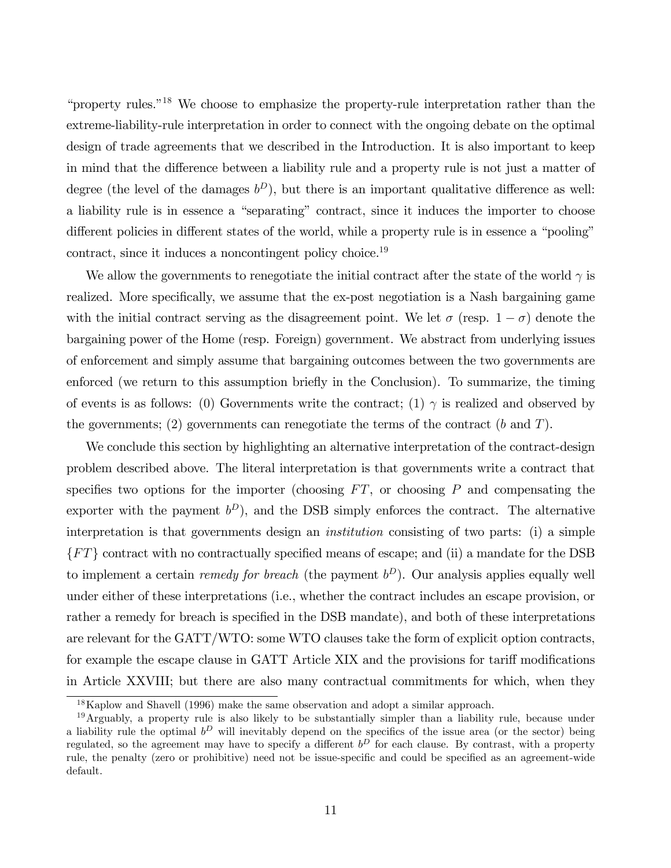"property rules."<sup>18</sup> We choose to emphasize the property-rule interpretation rather than the extreme-liability-rule interpretation in order to connect with the ongoing debate on the optimal design of trade agreements that we described in the Introduction. It is also important to keep in mind that the difference between a liability rule and a property rule is not just a matter of degree (the level of the damages  $b^D$ ), but there is an important qualitative difference as well: a liability rule is in essence a "separating" contract, since it induces the importer to choose different policies in different states of the world, while a property rule is in essence a "pooling" contract, since it induces a noncontingent policy choice.<sup>19</sup>

We allow the governments to renegotiate the initial contract after the state of the world  $\gamma$  is realized. More specifically, we assume that the ex-post negotiation is a Nash bargaining game with the initial contract serving as the disagreement point. We let  $\sigma$  (resp.  $1 - \sigma$ ) denote the bargaining power of the Home (resp. Foreign) government. We abstract from underlying issues of enforcement and simply assume that bargaining outcomes between the two governments are enforced (we return to this assumption briefly in the Conclusion). To summarize, the timing of events is as follows: (0) Governments write the contract; (1)  $\gamma$  is realized and observed by the governments; (2) governments can renegotiate the terms of the contract  $(b \text{ and } T)$ .

We conclude this section by highlighting an alternative interpretation of the contract-design problem described above. The literal interpretation is that governments write a contract that specifies two options for the importer (choosing  $FT$ , or choosing P and compensating the exporter with the payment  $b^D$ ), and the DSB simply enforces the contract. The alternative interpretation is that governments design an institution consisting of two parts: (i) a simple  ${FT}$  contract with no contractually specified means of escape; and (ii) a mandate for the DSB to implement a certain *remedy for breach* (the payment  $b^D$ ). Our analysis applies equally well under either of these interpretations (i.e., whether the contract includes an escape provision, or rather a remedy for breach is specified in the DSB mandate), and both of these interpretations are relevant for the GATT/WTO: some WTO clauses take the form of explicit option contracts, for example the escape clause in GATT Article XIX and the provisions for tariff modifications in Article XXVIII; but there are also many contractual commitments for which, when they

<sup>18</sup>Kaplow and Shavell (1996) make the same observation and adopt a similar approach.

<sup>&</sup>lt;sup>19</sup>Arguably, a property rule is also likely to be substantially simpler than a liability rule, because under a liability rule the optimal  $b^D$  will inevitably depend on the specifics of the issue area (or the sector) being regulated, so the agreement may have to specify a different  $b^D$  for each clause. By contrast, with a property rule, the penalty (zero or prohibitive) need not be issue-specific and could be specified as an agreement-wide default.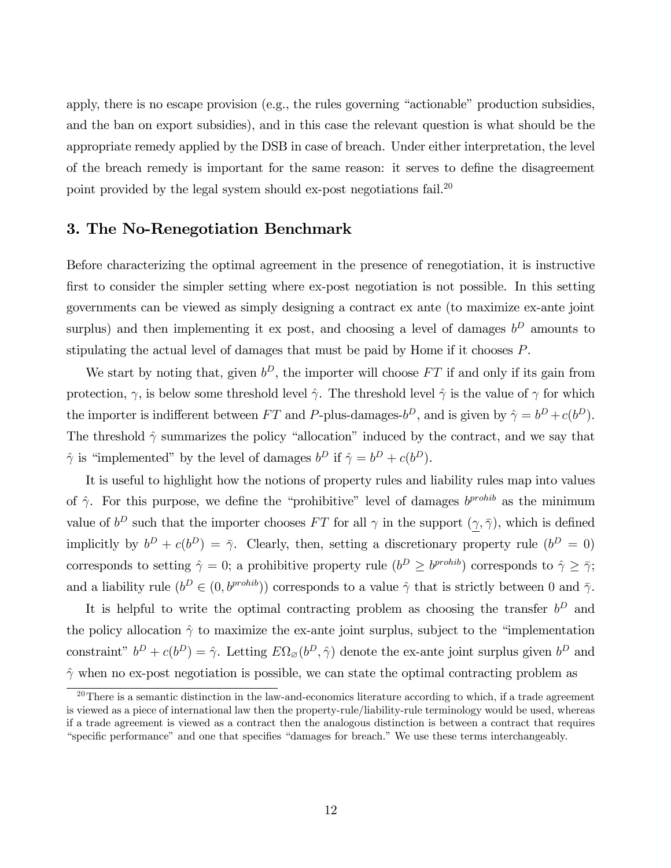apply, there is no escape provision (e.g., the rules governing "actionable" production subsidies, and the ban on export subsidies), and in this case the relevant question is what should be the appropriate remedy applied by the DSB in case of breach. Under either interpretation, the level of the breach remedy is important for the same reason: it serves to define the disagreement point provided by the legal system should ex-post negotiations fail.<sup>20</sup>

#### 3. The No-Renegotiation Benchmark

Before characterizing the optimal agreement in the presence of renegotiation, it is instructive first to consider the simpler setting where ex-post negotiation is not possible. In this setting governments can be viewed as simply designing a contract ex ante (to maximize ex-ante joint surplus) and then implementing it ex post, and choosing a level of damages  $b^D$  amounts to stipulating the actual level of damages that must be paid by Home if it chooses P.

We start by noting that, given  $b^D$ , the importer will choose  $FT$  if and only if its gain from protection,  $\gamma$ , is below some threshold level  $\hat{\gamma}$ . The threshold level  $\hat{\gamma}$  is the value of  $\gamma$  for which the importer is indifferent between FT and P-plus-damages- $b^D$ , and is given by  $\hat{\gamma} = b^D + c(b^D)$ . The threshold  $\hat{\gamma}$  summarizes the policy "allocation" induced by the contract, and we say that  $\hat{\gamma}$  is "implemented" by the level of damages  $b^D$  if  $\hat{\gamma} = b^D + c(b^D)$ .

It is useful to highlight how the notions of property rules and liability rules map into values of  $\hat{\gamma}$ . For this purpose, we define the "prohibitive" level of damages  $b^{prohib}$  as the minimum value of  $b^D$  such that the importer chooses FT for all  $\gamma$  in the support  $(\gamma, \overline{\gamma})$ , which is defined implicitly by  $b^D + c(b^D) = \overline{\gamma}$ . Clearly, then, setting a discretionary property rule  $(b^D = 0)$ corresponds to setting  $\hat{\gamma} = 0$ ; a prohibitive property rule  $(b^D \ge b^{prohib})$  corresponds to  $\hat{\gamma} \ge \bar{\gamma}$ ; and a liability rule  $(b^D \in (0, b^{prohib}))$  corresponds to a value  $\hat{\gamma}$  that is strictly between 0 and  $\bar{\gamma}$ .

It is helpful to write the optimal contracting problem as choosing the transfer  $b^D$  and the policy allocation  $\hat{\gamma}$  to maximize the ex-ante joint surplus, subject to the "implementation" constraint"  $b^D + c(b^D) = \hat{\gamma}$ . Letting  $E\Omega_{\varnothing}(b^D, \hat{\gamma})$  denote the ex-ante joint surplus given  $b^D$  and  $\hat{\gamma}$  when no ex-post negotiation is possible, we can state the optimal contracting problem as

 $20$ There is a semantic distinction in the law-and-economics literature according to which, if a trade agreement is viewed as a piece of international law then the property-rule/liability-rule terminology would be used, whereas if a trade agreement is viewed as a contract then the analogous distinction is between a contract that requires "specific performance" and one that specifies "damages for breach." We use these terms interchangeably.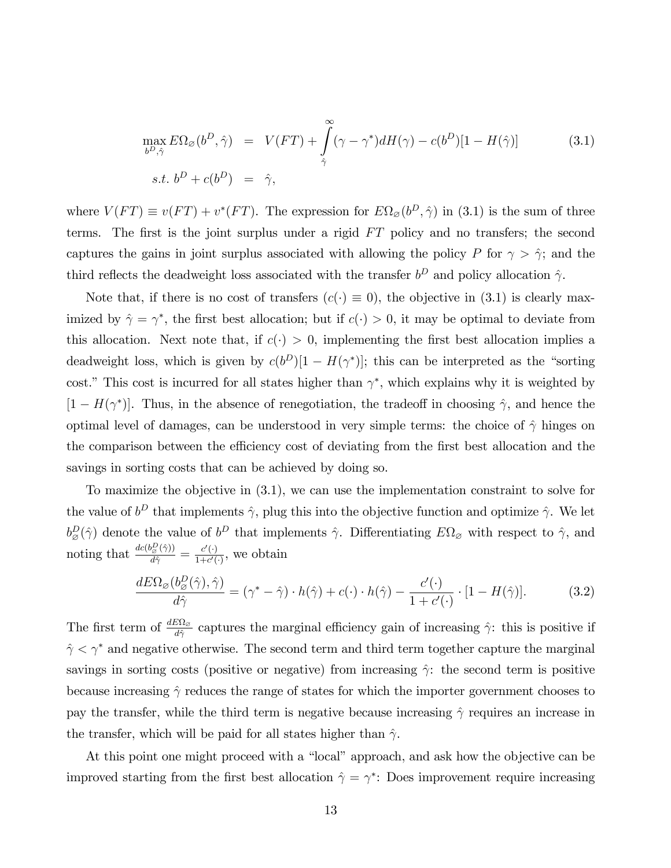$$
\max_{b^D, \hat{\gamma}} E\Omega_{\varnothing}(b^D, \hat{\gamma}) = V(FT) + \int_{\hat{\gamma}}^{\infty} (\gamma - \gamma^*) dH(\gamma) - c(b^D)[1 - H(\hat{\gamma})]
$$
(3.1)  
s.t.  $b^D + c(b^D) = \hat{\gamma}$ ,

where  $V(FT) \equiv v(FT) + v^*(FT)$ . The expression for  $E\Omega_{\varnothing}(b^D, \hat{\gamma})$  in (3.1) is the sum of three terms. The first is the joint surplus under a rigid  $FT$  policy and no transfers; the second captures the gains in joint surplus associated with allowing the policy P for  $\gamma > \hat{\gamma}$ ; and the third reflects the deadweight loss associated with the transfer  $b^D$  and policy allocation  $\hat{\gamma}$ .

Note that, if there is no cost of transfers  $(c(\cdot) \equiv 0)$ , the objective in (3.1) is clearly maximized by  $\hat{\gamma} = \gamma^*$ , the first best allocation; but if  $c(\cdot) > 0$ , it may be optimal to deviate from this allocation. Next note that, if  $c(\cdot) > 0$ , implementing the first best allocation implies a deadweight loss, which is given by  $c(b^D)[1 - H(\gamma^*)]$ ; this can be interpreted as the "sorting cost." This cost is incurred for all states higher than  $\gamma^*$ , which explains why it is weighted by  $[1 - H(\gamma^*)]$ . Thus, in the absence of renegotiation, the tradeoff in choosing  $\hat{\gamma}$ , and hence the optimal level of damages, can be understood in very simple terms: the choice of  $\hat{\gamma}$  hinges on the comparison between the efficiency cost of deviating from the first best allocation and the savings in sorting costs that can be achieved by doing so.

To maximize the objective in (3.1), we can use the implementation constraint to solve for the value of  $b^D$  that implements  $\hat{\gamma}$ , plug this into the objective function and optimize  $\hat{\gamma}$ . We let  $b^D_{\mathcal{B}}(\hat{\gamma})$  denote the value of  $b^D$  that implements  $\hat{\gamma}$ . Differentiating  $E\Omega_{\mathcal{B}}$  with respect to  $\hat{\gamma}$ , and noting that  $\frac{dc(b_{\mathcal{B}}^D(\hat{\gamma}))}{d\hat{\gamma}} = \frac{c'(\cdot)}{1+c'(\cdot)}$ , we obtain

$$
\frac{dE\Omega_{\varnothing}(b_{\varnothing}^D(\hat{\gamma}),\hat{\gamma})}{d\hat{\gamma}} = (\gamma^* - \hat{\gamma}) \cdot h(\hat{\gamma}) + c(\cdot) \cdot h(\hat{\gamma}) - \frac{c'(\cdot)}{1 + c'(\cdot)} \cdot [1 - H(\hat{\gamma})].\tag{3.2}
$$

The first term of  $\frac{dE\Omega_{\phi}}{d\hat{\gamma}}$  captures the marginal efficiency gain of increasing  $\hat{\gamma}$ : this is positive if  $\hat{\gamma} < \gamma^*$  and negative otherwise. The second term and third term together capture the marginal savings in sorting costs (positive or negative) from increasing  $\hat{\gamma}$ : the second term is positive because increasing  $\hat{\gamma}$  reduces the range of states for which the importer government chooses to pay the transfer, while the third term is negative because increasing  $\hat{\gamma}$  requires an increase in the transfer, which will be paid for all states higher than  $\hat{\gamma}$ .

At this point one might proceed with a "local" approach, and ask how the objective can be improved starting from the first best allocation  $\hat{\gamma} = \gamma^*$ : Does improvement require increasing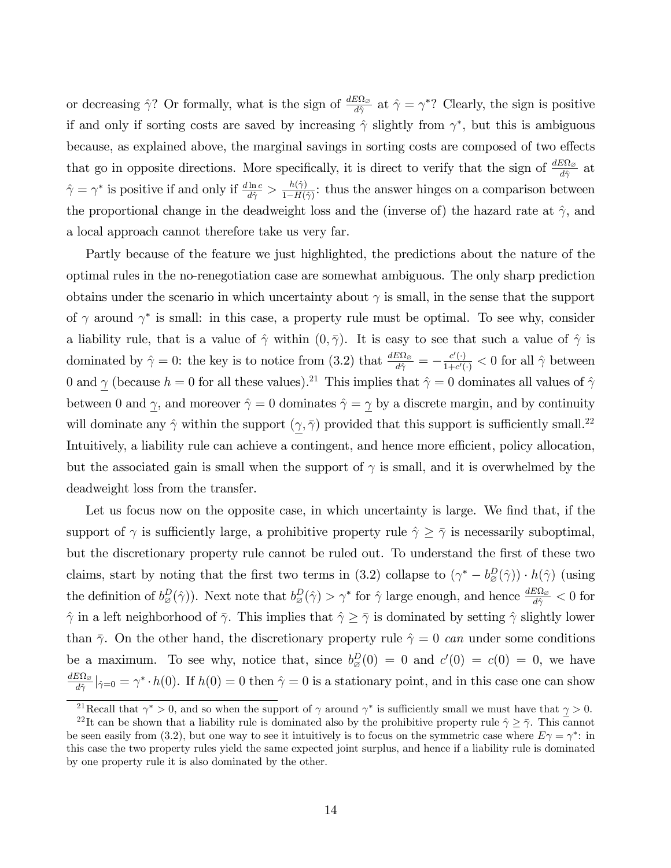or decreasing  $\hat{\gamma}$ ? Or formally, what is the sign of  $\frac{dE\Omega_{\varnothing}}{d\hat{\gamma}}$  at  $\hat{\gamma} = \gamma^*$ ? Clearly, the sign is positive if and only if sorting costs are saved by increasing  $\hat{\gamma}$  slightly from  $\gamma^*$ , but this is ambiguous because, as explained above, the marginal savings in sorting costs are composed of two effects that go in opposite directions. More specifically, it is direct to verify that the sign of  $\frac{dE\Omega_{\phi}}{d\hat{\gamma}}$  at  $\hat{\gamma} = \gamma^*$  is positive if and only if  $\frac{d \ln c}{d \hat{\gamma}} > \frac{h(\hat{\gamma})}{1 - H(\hat{\gamma})}$  $\frac{h(\gamma)}{1-H(\hat{\gamma})}$ : thus the answer hinges on a comparison between the proportional change in the deadweight loss and the (inverse of) the hazard rate at  $\hat{\gamma}$ , and a local approach cannot therefore take us very far.

Partly because of the feature we just highlighted, the predictions about the nature of the optimal rules in the no-renegotiation case are somewhat ambiguous. The only sharp prediction obtains under the scenario in which uncertainty about  $\gamma$  is small, in the sense that the support of  $\gamma$  around  $\gamma^*$  is small: in this case, a property rule must be optimal. To see why, consider a liability rule, that is a value of  $\hat{\gamma}$  within  $(0, \bar{\gamma})$ . It is easy to see that such a value of  $\hat{\gamma}$  is dominated by  $\hat{\gamma} = 0$ : the key is to notice from (3.2) that  $\frac{dE\Omega_{\hat{\omega}}}{d\hat{\gamma}} = -\frac{c'(\cdot)}{1+c'(\cdot)} < 0$  for all  $\hat{\gamma}$  between 0 and  $\gamma$  (because  $h = 0$  for all these values).<sup>21</sup> This implies that  $\hat{\gamma} = 0$  dominates all values of  $\hat{\gamma}$ between 0 and  $\gamma$ , and moreover  $\hat{\gamma} = 0$  dominates  $\hat{\gamma} = \gamma$  by a discrete margin, and by continuity will dominate any  $\hat{\gamma}$  within the support  $(\gamma, \bar{\gamma})$  provided that this support is sufficiently small.<sup>22</sup> Intuitively, a liability rule can achieve a contingent, and hence more efficient, policy allocation, but the associated gain is small when the support of  $\gamma$  is small, and it is overwhelmed by the deadweight loss from the transfer.

Let us focus now on the opposite case, in which uncertainty is large. We find that, if the support of  $\gamma$  is sufficiently large, a prohibitive property rule  $\hat{\gamma} \geq \bar{\gamma}$  is necessarily suboptimal, but the discretionary property rule cannot be ruled out. To understand the first of these two claims, start by noting that the first two terms in (3.2) collapse to  $(\gamma^* - b^D_{\varnothing}(\hat{\gamma})) \cdot h(\hat{\gamma})$  (using the definition of  $b_{\varnothing}^D(\hat{\gamma})$ . Next note that  $b_{\varnothing}^D(\hat{\gamma}) > \gamma^*$  for  $\hat{\gamma}$  large enough, and hence  $\frac{dE\Omega_{\varnothing}}{d\hat{\gamma}} < 0$  for  $\hat{\gamma}$  in a left neighborhood of  $\bar{\gamma}$ . This implies that  $\hat{\gamma} \ge \bar{\gamma}$  is dominated by setting  $\hat{\gamma}$  slightly lower than  $\bar{\gamma}$ . On the other hand, the discretionary property rule  $\hat{\gamma} = 0$  can under some conditions be a maximum. To see why, notice that, since  $b_{\varnothing}^D(0) = 0$  and  $c'(0) = c(0) = 0$ , we have  $\frac{dE\Omega_{\varnothing}}{d\hat{\gamma}}|_{\hat{\gamma}=0} = \gamma^* \cdot h(0)$ . If  $h(0) = 0$  then  $\hat{\gamma} = 0$  is a stationary point, and in this case one can show

<sup>&</sup>lt;sup>21</sup>Recall that  $\gamma^* > 0$ , and so when the support of  $\gamma$  around  $\gamma^*$  is sufficiently small we must have that  $\gamma > 0$ .

<sup>&</sup>lt;sup>22</sup>It can be shown that a liability rule is dominated also by the prohibitive property rule  $\hat{\gamma} \geq \bar{\gamma}$ . This cannot be seen easily from (3.2), but one way to see it intuitively is to focus on the symmetric case where  $E\gamma = \gamma^*$ : in this case the two property rules yield the same expected joint surplus, and hence if a liability rule is dominated by one property rule it is also dominated by the other.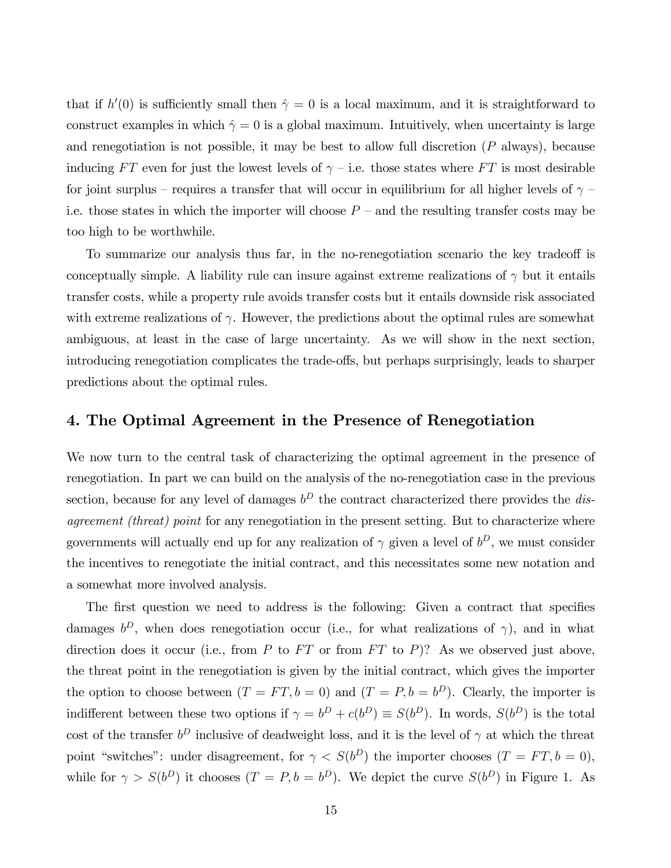that if  $h'(0)$  is sufficiently small then  $\hat{\gamma} = 0$  is a local maximum, and it is straightforward to construct examples in which  $\hat{\gamma} = 0$  is a global maximum. Intuitively, when uncertainty is large and renegotiation is not possible, it may be best to allow full discretion  $(P$  always), because inducing FT even for just the lowest levels of  $\gamma$  – i.e. those states where FT is most desirable for joint surplus – requires a transfer that will occur in equilibrium for all higher levels of  $\gamma$  – i.e. those states in which the importer will choose  $P$  – and the resulting transfer costs may be too high to be worthwhile.

To summarize our analysis thus far, in the no-renegotiation scenario the key tradeoff is conceptually simple. A liability rule can insure against extreme realizations of  $\gamma$  but it entails transfer costs, while a property rule avoids transfer costs but it entails downside risk associated with extreme realizations of  $\gamma$ . However, the predictions about the optimal rules are somewhat ambiguous, at least in the case of large uncertainty. As we will show in the next section, introducing renegotiation complicates the trade-offs, but perhaps surprisingly, leads to sharper predictions about the optimal rules.

#### 4. The Optimal Agreement in the Presence of Renegotiation

We now turn to the central task of characterizing the optimal agreement in the presence of renegotiation. In part we can build on the analysis of the no-renegotiation case in the previous section, because for any level of damages  $b^D$  the contract characterized there provides the *dis*agreement (threat) point for any renegotiation in the present setting. But to characterize where governments will actually end up for any realization of  $\gamma$  given a level of  $b^D$ , we must consider the incentives to renegotiate the initial contract, and this necessitates some new notation and a somewhat more involved analysis.

The first question we need to address is the following: Given a contract that specifies damages  $b^D$ , when does renegotiation occur (i.e., for what realizations of  $\gamma$ ), and in what direction does it occur (i.e., from P to FT or from FT to P)? As we observed just above, the threat point in the renegotiation is given by the initial contract, which gives the importer the option to choose between  $(T = FT, b = 0)$  and  $(T = P, b = b^D)$ . Clearly, the importer is indifferent between these two options if  $\gamma = b^D + c(b^D) \equiv S(b^D)$ . In words,  $S(b^D)$  is the total cost of the transfer  $b^D$  inclusive of deadweight loss, and it is the level of  $\gamma$  at which the threat point "switches": under disagreement, for  $\gamma < S(b^D)$  the importer chooses  $(T = FT, b = 0)$ , while for  $\gamma > S(b^D)$  it chooses  $(T = P, b = b^D)$ . We depict the curve  $S(b^D)$  in Figure 1. As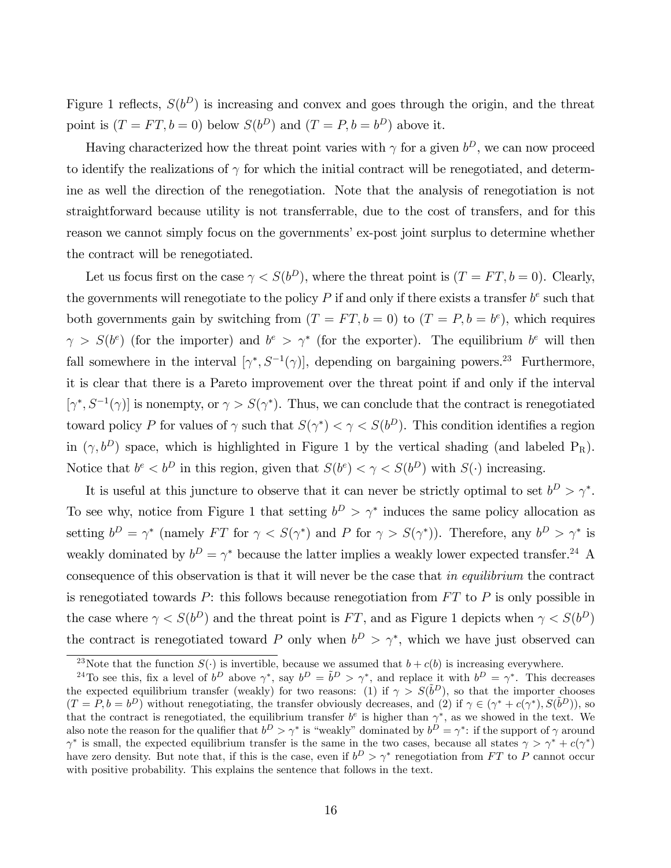Figure 1 reflects,  $S(b^D)$  is increasing and convex and goes through the origin, and the threat point is  $(T = FT, b = 0)$  below  $S(b^D)$  and  $(T = P, b = b^D)$  above it.

Having characterized how the threat point varies with  $\gamma$  for a given  $b^D$ , we can now proceed to identify the realizations of  $\gamma$  for which the initial contract will be renegotiated, and determine as well the direction of the renegotiation. Note that the analysis of renegotiation is not straightforward because utility is not transferrable, due to the cost of transfers, and for this reason we cannot simply focus on the governments' ex-post joint surplus to determine whether the contract will be renegotiated.

Let us focus first on the case  $\gamma < S(b^D)$ , where the threat point is  $(T = FT, b = 0)$ . Clearly, the governments will renegotiate to the policy  $P$  if and only if there exists a transfer  $b^e$  such that both governments gain by switching from  $(T = FT, b = 0)$  to  $(T = P, b = b^e)$ , which requires  $\gamma > S(b^e)$  (for the importer) and  $b^e > \gamma^*$  (for the exporter). The equilibrium  $b^e$  will then fall somewhere in the interval  $[\gamma^*, S^{-1}(\gamma)]$ , depending on bargaining powers.<sup>23</sup> Furthermore, it is clear that there is a Pareto improvement over the threat point if and only if the interval  $[\gamma^*, S^{-1}(\gamma)]$  is nonempty, or  $\gamma > S(\gamma^*)$ . Thus, we can conclude that the contract is renegotiated toward policy P for values of  $\gamma$  such that  $S(\gamma^*) < \gamma < S(b^D)$ . This condition identifies a region in  $(\gamma, b^D)$  space, which is highlighted in Figure 1 by the vertical shading (and labeled P<sub>R</sub>). Notice that  $b^e < b^D$  in this region, given that  $S(b^e) < \gamma < S(b^D)$  with  $S(\cdot)$  increasing.

It is useful at this juncture to observe that it can never be strictly optimal to set  $b^D > \gamma^*$ . To see why, notice from Figure 1 that setting  $b^D > \gamma^*$  induces the same policy allocation as setting  $b^D = \gamma^*$  (namely FT for  $\gamma < S(\gamma^*)$  and P for  $\gamma > S(\gamma^*)$ ). Therefore, any  $b^D > \gamma^*$  is weakly dominated by  $b^D = \gamma^*$  because the latter implies a weakly lower expected transfer.<sup>24</sup> A consequence of this observation is that it will never be the case that in equilibrium the contract is renegotiated towards  $P$ : this follows because renegotiation from  $FT$  to  $P$  is only possible in the case where  $\gamma < S(b^D)$  and the threat point is FT, and as Figure 1 depicts when  $\gamma < S(b^D)$ the contract is renegotiated toward P only when  $b^D > \gamma^*$ , which we have just observed can

<sup>&</sup>lt;sup>23</sup>Note that the function  $S(\cdot)$  is invertible, because we assumed that  $b + c(b)$  is increasing everywhere.

<sup>&</sup>lt;sup>24</sup>To see this, fix a level of  $b^D$  above  $\gamma^*$ , say  $b^D = \tilde{b}^D > \gamma^*$ , and replace it with  $b^D = \gamma^*$ . This decreases the expected equilibrium transfer (weakly) for two reasons: (1) if  $\gamma > S(\tilde{b}^D)$ , so that the importer chooses  $(T = P, b = b^D)$  without renegotiating, the transfer obviously decreases, and (2) if  $\gamma \in (\gamma^* + c(\gamma^*), S(\tilde{b}^D))$ , so that the contract is renegotiated, the equilibrium transfer  $b^e$  is higher than  $\gamma^*$ , as we showed in the text. We also note the reason for the qualifier that  $b^D > \gamma^*$  is "weakly" dominated by  $b^D = \gamma^*$ : if the support of  $\gamma$  around  $\gamma^*$  is small, the expected equilibrium transfer is the same in the two cases, because all states  $\gamma > \gamma^* + c(\gamma^*)$ have zero density. But note that, if this is the case, even if  $b^D > \gamma^*$  renegotiation from FT to P cannot occur with positive probability. This explains the sentence that follows in the text.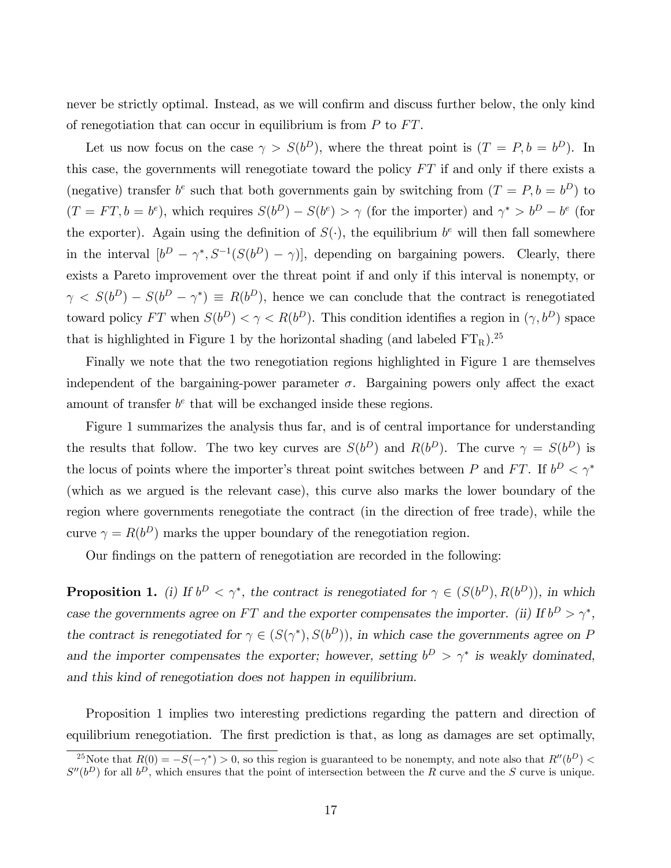never be strictly optimal. Instead, as we will confirm and discuss further below, the only kind of renegotiation that can occur in equilibrium is from  $P$  to  $FT$ .

Let us now focus on the case  $\gamma > S(b^D)$ , where the threat point is  $(T = P, b = b^D)$ . In this case, the governments will renegotiate toward the policy  $FT$  if and only if there exists a (negative) transfer  $b^e$  such that both governments gain by switching from  $(T = P, b = b^D)$  to  $(T = FT, b = b^e)$ , which requires  $S(b^D) - S(b^e) > \gamma$  (for the importer) and  $\gamma^* > b^D - b^e$  (for the exporter). Again using the definition of  $S(\cdot)$ , the equilibrium  $b^e$  will then fall somewhere in the interval  $[b^D - \gamma^*, S^{-1}(S(b^D) - \gamma)]$ , depending on bargaining powers. Clearly, there exists a Pareto improvement over the threat point if and only if this interval is nonempty, or  $\gamma S(b^D) - S(b^D - \gamma^*) \equiv R(b^D)$ , hence we can conclude that the contract is renegotiated toward policy FT when  $S(b^D) < \gamma < R(b^D)$ . This condition identifies a region in  $(\gamma, b^D)$  space that is highlighted in Figure 1 by the horizontal shading (and labeled  $FT_R$ ).<sup>25</sup>

Finally we note that the two renegotiation regions highlighted in Figure 1 are themselves independent of the bargaining-power parameter  $\sigma$ . Bargaining powers only affect the exact amount of transfer  $b^e$  that will be exchanged inside these regions.

Figure 1 summarizes the analysis thus far, and is of central importance for understanding the results that follow. The two key curves are  $S(b^D)$  and  $R(b^D)$ . The curve  $\gamma = S(b^D)$  is the locus of points where the importer's threat point switches between P and FT. If  $b^D < \gamma^*$ (which as we argued is the relevant case), this curve also marks the lower boundary of the region where governments renegotiate the contract (in the direction of free trade), while the curve  $\gamma = R(b^D)$  marks the upper boundary of the renegotiation region.

Our findings on the pattern of renegotiation are recorded in the following:

**Proposition 1.** (i) If  $b^D < \gamma^*$ , the contract is renegotiated for  $\gamma \in (S(b^D), R(b^D))$ , in which case the governments agree on FT and the exporter compensates the importer. (ii) If  $b^D > \gamma^*$ , the contract is renegotiated for  $\gamma \in (S(\gamma^*), S(b^D))$ , in which case the governments agree on P and the importer compensates the exporter; however, setting  $b^D > \gamma^*$  is weakly dominated, and this kind of renegotiation does not happen in equilibrium.

Proposition 1 implies two interesting predictions regarding the pattern and direction of equilibrium renegotiation. The first prediction is that, as long as damages are set optimally,

<sup>&</sup>lt;sup>25</sup>Note that  $R(0) = -S(-\gamma^*) > 0$ , so this region is guaranteed to be nonempty, and note also that  $R''(b^D) <$  $S''(b^D)$  for all  $b^D$ , which ensures that the point of intersection between the R curve and the S curve is unique.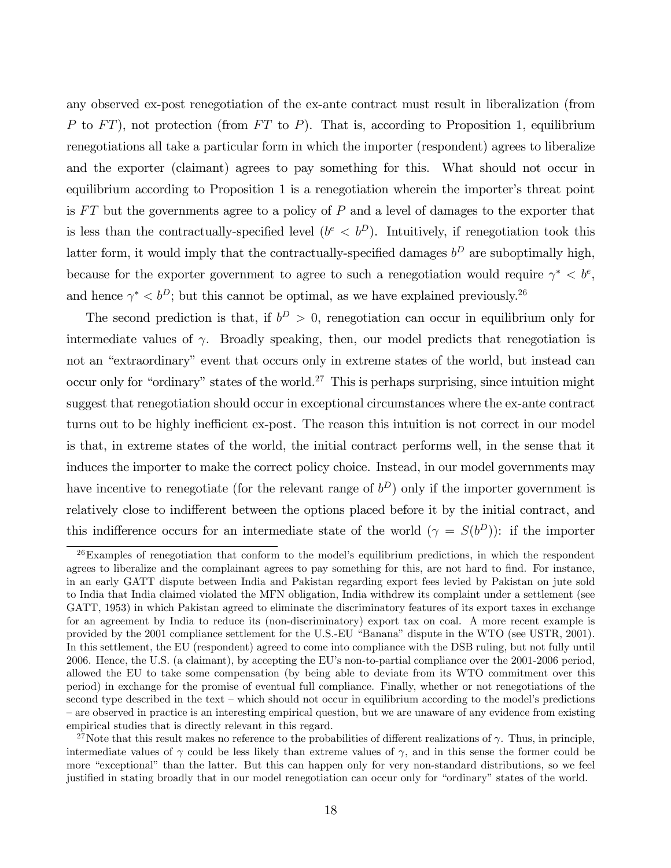any observed ex-post renegotiation of the ex-ante contract must result in liberalization (from P to  $FT$ ), not protection (from  $FT$  to P). That is, according to Proposition 1, equilibrium renegotiations all take a particular form in which the importer (respondent) agrees to liberalize and the exporter (claimant) agrees to pay something for this. What should not occur in equilibrium according to Proposition 1 is a renegotiation wherein the importer's threat point is  $FT$  but the governments agree to a policy of  $P$  and a level of damages to the exporter that is less than the contractually-specified level  $(b^e < b^D)$ . Intuitively, if renegotiation took this latter form, it would imply that the contractually-specified damages  $b^D$  are suboptimally high, because for the exporter government to agree to such a renegotiation would require  $\gamma^* < b^e$ , and hence  $\gamma^* < b^D$ ; but this cannot be optimal, as we have explained previously.<sup>26</sup>

The second prediction is that, if  $b^D > 0$ , renegotiation can occur in equilibrium only for intermediate values of  $\gamma$ . Broadly speaking, then, our model predicts that renegotiation is not an "extraordinary" event that occurs only in extreme states of the world, but instead can occur only for "ordinary" states of the world.<sup>27</sup> This is perhaps surprising, since intuition might suggest that renegotiation should occur in exceptional circumstances where the ex-ante contract turns out to be highly inefficient ex-post. The reason this intuition is not correct in our model is that, in extreme states of the world, the initial contract performs well, in the sense that it induces the importer to make the correct policy choice. Instead, in our model governments may have incentive to renegotiate (for the relevant range of  $b<sup>D</sup>$ ) only if the importer government is relatively close to indifferent between the options placed before it by the initial contract, and this indifference occurs for an intermediate state of the world  $(\gamma = S(b^D))$ : if the importer

 $26$ Examples of renegotiation that conform to the model's equilibrium predictions, in which the respondent agrees to liberalize and the complainant agrees to pay something for this, are not hard to find. For instance, in an early GATT dispute between India and Pakistan regarding export fees levied by Pakistan on jute sold to India that India claimed violated the MFN obligation, India withdrew its complaint under a settlement (see GATT, 1953) in which Pakistan agreed to eliminate the discriminatory features of its export taxes in exchange for an agreement by India to reduce its (non-discriminatory) export tax on coal. A more recent example is provided by the 2001 compliance settlement for the U.S.-EU "Banana" dispute in the WTO (see USTR, 2001). In this settlement, the EU (respondent) agreed to come into compliance with the DSB ruling, but not fully until 2006. Hence, the U.S. (a claimant), by accepting the EUís non-to-partial compliance over the 2001-2006 period, allowed the EU to take some compensation (by being able to deviate from its WTO commitment over this period) in exchange for the promise of eventual full compliance. Finally, whether or not renegotiations of the second type described in the text – which should not occur in equilibrium according to the model's predictions – are observed in practice is an interesting empirical question, but we are unaware of any evidence from existing empirical studies that is directly relevant in this regard.

<sup>&</sup>lt;sup>27</sup>Note that this result makes no reference to the probabilities of different realizations of  $\gamma$ . Thus, in principle, intermediate values of  $\gamma$  could be less likely than extreme values of  $\gamma$ , and in this sense the former could be more "exceptional" than the latter. But this can happen only for very non-standard distributions, so we feel justified in stating broadly that in our model renegotiation can occur only for "ordinary" states of the world.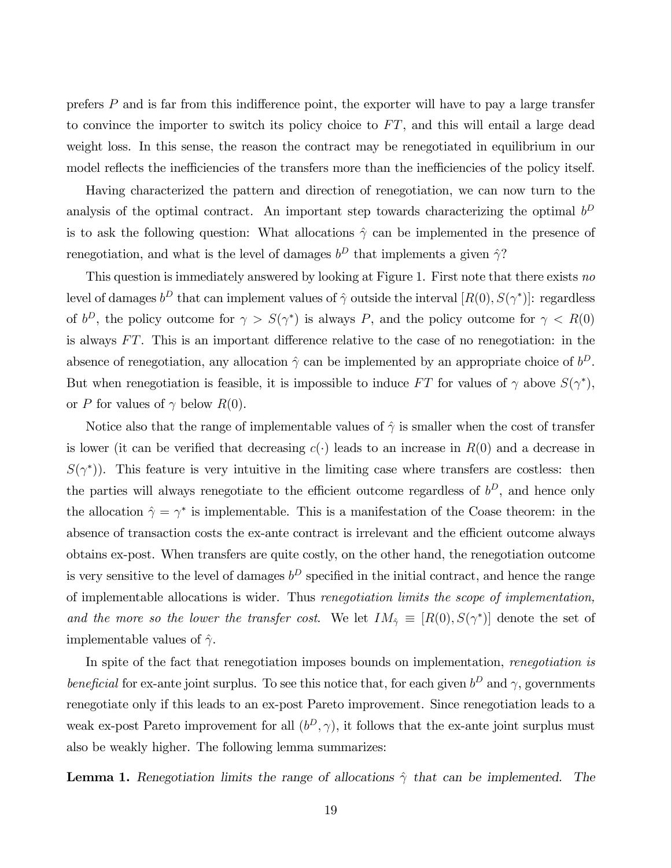prefers  $P$  and is far from this indifference point, the exporter will have to pay a large transfer to convince the importer to switch its policy choice to  $FT$ , and this will entail a large dead weight loss. In this sense, the reason the contract may be renegotiated in equilibrium in our model reflects the inefficiencies of the transfers more than the inefficiencies of the policy itself.

Having characterized the pattern and direction of renegotiation, we can now turn to the analysis of the optimal contract. An important step towards characterizing the optimal  $b^D$ is to ask the following question: What allocations  $\hat{\gamma}$  can be implemented in the presence of renegotiation, and what is the level of damages  $b^D$  that implements a given  $\hat{\gamma}$ ?

This question is immediately answered by looking at Figure 1. First note that there exists no level of damages  $b^D$  that can implement values of  $\hat{\gamma}$  outside the interval  $[R(0), S(\gamma^*)]$ : regardless of  $b^D$ , the policy outcome for  $\gamma > S(\gamma^*)$  is always P, and the policy outcome for  $\gamma < R(0)$ is always  $FT$ . This is an important difference relative to the case of no renegotiation: in the absence of renegotiation, any allocation  $\hat{\gamma}$  can be implemented by an appropriate choice of  $b^D$ . But when renegotiation is feasible, it is impossible to induce FT for values of  $\gamma$  above  $S(\gamma^*)$ , or P for values of  $\gamma$  below  $R(0)$ .

Notice also that the range of implementable values of  $\hat{\gamma}$  is smaller when the cost of transfer is lower (it can be verified that decreasing  $c(\cdot)$  leads to an increase in  $R(0)$  and a decrease in  $S(\gamma^*)$ ). This feature is very intuitive in the limiting case where transfers are costless: then the parties will always renegotiate to the efficient outcome regardless of  $b^D$ , and hence only the allocation  $\hat{\gamma} = \gamma^*$  is implementable. This is a manifestation of the Coase theorem: in the absence of transaction costs the ex-ante contract is irrelevant and the efficient outcome always obtains ex-post. When transfers are quite costly, on the other hand, the renegotiation outcome is very sensitive to the level of damages  $b^D$  specified in the initial contract, and hence the range of implementable allocations is wider. Thus renegotiation limits the scope of implementation, and the more so the lower the transfer cost. We let  $IM_{\hat{\gamma}} \equiv [R(0), S(\gamma^*)]$  denote the set of implementable values of  $\hat{\gamma}$ .

In spite of the fact that renegotiation imposes bounds on implementation, renegotiation is beneficial for ex-ante joint surplus. To see this notice that, for each given  $b^D$  and  $\gamma$ , governments renegotiate only if this leads to an ex-post Pareto improvement. Since renegotiation leads to a weak ex-post Pareto improvement for all  $(b^D, \gamma)$ , it follows that the ex-ante joint surplus must also be weakly higher. The following lemma summarizes:

**Lemma 1.** Renegotiation limits the range of allocations  $\hat{\gamma}$  that can be implemented. The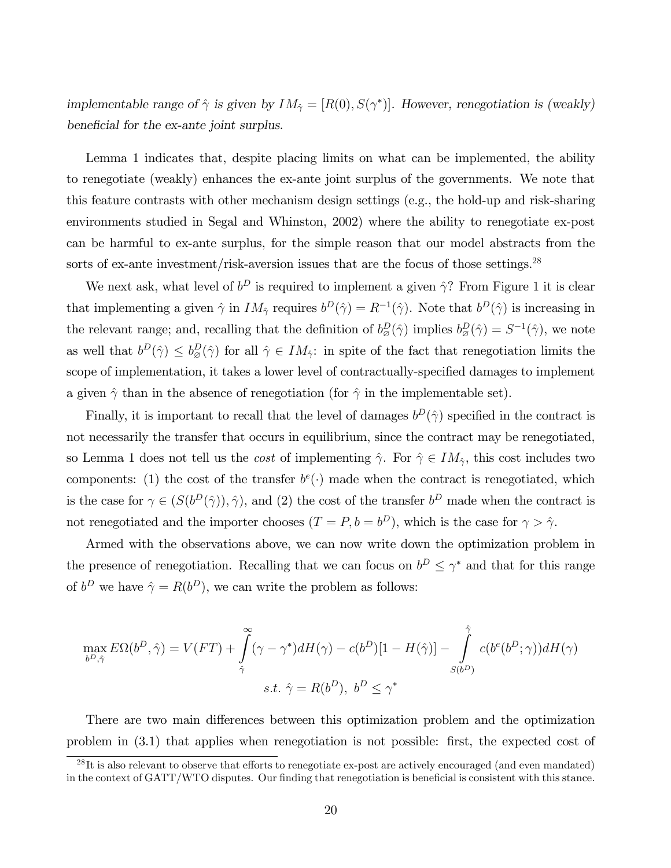implementable range of  $\hat{\gamma}$  is given by  $IM_{\hat{\gamma}} = [R(0), S(\gamma^*)]$ . However, renegotiation is (weakly) beneficial for the ex-ante joint surplus.

Lemma 1 indicates that, despite placing limits on what can be implemented, the ability to renegotiate (weakly) enhances the ex-ante joint surplus of the governments. We note that this feature contrasts with other mechanism design settings (e.g., the hold-up and risk-sharing environments studied in Segal and Whinston, 2002) where the ability to renegotiate ex-post can be harmful to ex-ante surplus, for the simple reason that our model abstracts from the sorts of ex-ante investment/risk-aversion issues that are the focus of those settings.<sup>28</sup>

We next ask, what level of  $b^D$  is required to implement a given  $\hat{\gamma}$ ? From Figure 1 it is clear that implementing a given  $\hat{\gamma}$  in  $IM_{\hat{\gamma}}$  requires  $b^D(\hat{\gamma}) = R^{-1}(\hat{\gamma})$ . Note that  $b^D(\hat{\gamma})$  is increasing in the relevant range; and, recalling that the definition of  $b_{\varnothing}^D(\hat{\gamma})$  implies  $b_{\varnothing}^D(\hat{\gamma}) = S^{-1}(\hat{\gamma})$ , we note as well that  $b^D(\hat{\gamma}) \leq b^D_{\varnothing}(\hat{\gamma})$  for all  $\hat{\gamma} \in IM_{\hat{\gamma}}$ : in spite of the fact that renegotiation limits the scope of implementation, it takes a lower level of contractually-specified damages to implement a given  $\hat{\gamma}$  than in the absence of renegotiation (for  $\hat{\gamma}$  in the implementable set).

Finally, it is important to recall that the level of damages  $b^D(\hat{\gamma})$  specified in the contract is not necessarily the transfer that occurs in equilibrium, since the contract may be renegotiated, so Lemma 1 does not tell us the *cost* of implementing  $\hat{\gamma}$ . For  $\hat{\gamma} \in IM_{\hat{\gamma}}$ , this cost includes two components: (1) the cost of the transfer  $b^e(\cdot)$  made when the contract is renegotiated, which is the case for  $\gamma \in (S(b^D(\hat{\gamma})), \hat{\gamma})$ , and (2) the cost of the transfer  $b^D$  made when the contract is not renegotiated and the importer chooses  $(T = P, b = b^D)$ , which is the case for  $\gamma > \hat{\gamma}$ .

Armed with the observations above, we can now write down the optimization problem in the presence of renegotiation. Recalling that we can focus on  $b^D \leq \gamma^*$  and that for this range of  $b^D$  we have  $\hat{\gamma} = R(b^D)$ , we can write the problem as follows:

$$
\max_{b^D, \hat{\gamma}} E\Omega(b^D, \hat{\gamma}) = V(FT) + \int_{\hat{\gamma}}^{\infty} (\gamma - \gamma^*) dH(\gamma) - c(b^D)[1 - H(\hat{\gamma})] - \int_{S(b^D)}^{\hat{\gamma}} c(b^e(b^D; \gamma)) dH(\gamma)
$$
  
s.t.  $\hat{\gamma} = R(b^D), b^D \le \gamma^*$ 

There are two main differences between this optimization problem and the optimization problem in  $(3.1)$  that applies when renegotiation is not possible: first, the expected cost of

 $^{28}$ It is also relevant to observe that efforts to renegotiate ex-post are actively encouraged (and even mandated) in the context of GATT/WTO disputes. Our finding that renegotiation is beneficial is consistent with this stance.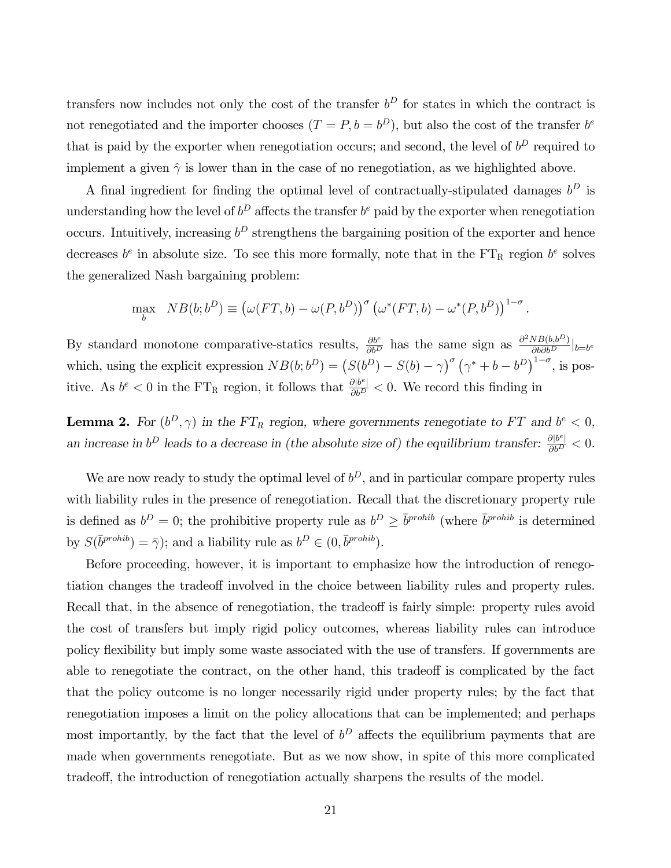transfers now includes not only the cost of the transfer  $b^D$  for states in which the contract is not renegotiated and the importer chooses  $(T = P, b = b^D)$ , but also the cost of the transfer  $b^e$ that is paid by the exporter when renegotiation occurs; and second, the level of  $b^D$  required to implement a given  $\hat{\gamma}$  is lower than in the case of no renegotiation, as we highlighted above.

A final ingredient for finding the optimal level of contractually-stipulated damages  $b^D$  is understanding how the level of  $b^D$  affects the transfer  $b^e$  paid by the exporter when renegotiation occurs. Intuitively, increasing  $b^D$  strengthens the bargaining position of the exporter and hence decreases  $b^e$  in absolute size. To see this more formally, note that in the  $FT_R$  region  $b^e$  solves the generalized Nash bargaining problem:

$$
\max_{b} \quad NB(b; b^D) \equiv \left(\omega(FT, b) - \omega(P, b^D)\right)^{\sigma} \left(\omega^*(FT, b) - \omega^*(P, b^D)\right)^{1-\sigma}.
$$

By standard monotone comparative-statics results,  $\frac{\partial b^e}{\partial b^D}$  has the same sign as  $\frac{\partial^2 N B(b, b^D)}{\partial b \partial b^D}$  $\frac{\partial b}{\partial b}$ which, using the explicit expression  $NB(b;b^D) = (S(b^D) - S(b) - \gamma)^\sigma (\gamma^* + b - b^D)^{1-\sigma}$ , is positive. As  $b^e < 0$  in the FT<sub>R</sub> region, it follows that  $\frac{\partial |b^e|}{\partial b^D} < 0$ . We record this finding in

**Lemma 2.** For  $(b^D, \gamma)$  in the FT<sub>R</sub> region, where governments renegotiate to FT and  $b^e < 0$ , an increase in  $b^D$  leads to a decrease in (the absolute size of) the equilibrium transfer:  $\frac{\partial |b^e|}{\partial b^D} < 0$ .

We are now ready to study the optimal level of  $b^D$ , and in particular compare property rules with liability rules in the presence of renegotiation. Recall that the discretionary property rule is defined as  $b^D = 0$ ; the prohibitive property rule as  $b^D \geq \overline{b}^{prohib}$  (where  $\overline{b}^{prohib}$  is determined by  $S(\bar{b}^{prohib}) = \bar{\gamma}$ ; and a liability rule as  $b^D \in (0, \bar{b}^{prohib})$ .

Before proceeding, however, it is important to emphasize how the introduction of renegotiation changes the tradeoff involved in the choice between liability rules and property rules. Recall that, in the absence of renegotiation, the tradeoff is fairly simple: property rules avoid the cost of transfers but imply rigid policy outcomes, whereas liability rules can introduce policy flexibility but imply some waste associated with the use of transfers. If governments are able to renegotiate the contract, on the other hand, this tradeoff is complicated by the fact that the policy outcome is no longer necessarily rigid under property rules; by the fact that renegotiation imposes a limit on the policy allocations that can be implemented; and perhaps most importantly, by the fact that the level of  $b^D$  affects the equilibrium payments that are made when governments renegotiate. But as we now show, in spite of this more complicated tradeo§, the introduction of renegotiation actually sharpens the results of the model.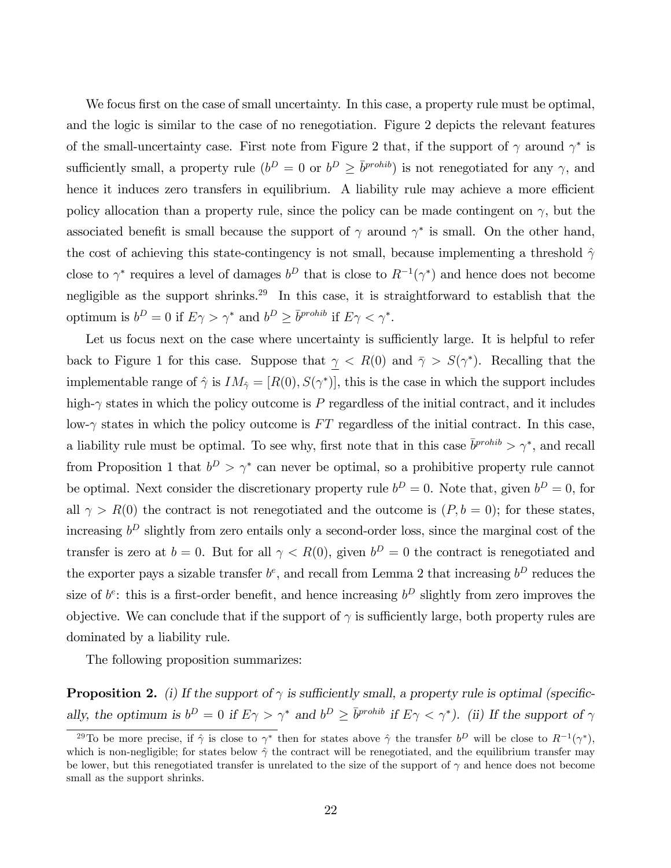We focus first on the case of small uncertainty. In this case, a property rule must be optimal, and the logic is similar to the case of no renegotiation. Figure 2 depicts the relevant features of the small-uncertainty case. First note from Figure 2 that, if the support of  $\gamma$  around  $\gamma^*$  is sufficiently small, a property rule  $(b^D = 0$  or  $b^D \ge \overline{b}^{prohib}$  is not renegotiated for any  $\gamma$ , and hence it induces zero transfers in equilibrium. A liability rule may achieve a more efficient policy allocation than a property rule, since the policy can be made contingent on  $\gamma$ , but the associated benefit is small because the support of  $\gamma$  around  $\gamma^*$  is small. On the other hand, the cost of achieving this state-contingency is not small, because implementing a threshold  $\hat{\gamma}$ close to  $\gamma^*$  requires a level of damages  $b^D$  that is close to  $R^{-1}(\gamma^*)$  and hence does not become negligible as the support shrinks.<sup>29</sup> In this case, it is straightforward to establish that the optimum is  $b^D = 0$  if  $E\gamma > \gamma^*$  and  $b^D \ge \overline{b}^{prohib}$  if  $E\gamma < \gamma^*$ .

Let us focus next on the case where uncertainty is sufficiently large. It is helpful to refer back to Figure 1 for this case. Suppose that  $\gamma < R(0)$  and  $\bar{\gamma} > S(\gamma^*)$ . Recalling that the implementable range of  $\hat{\gamma}$  is  $IM_{\hat{\gamma}} = [R(0), S(\gamma^*)]$ , this is the case in which the support includes high- $\gamma$  states in which the policy outcome is P regardless of the initial contract, and it includes low- $\gamma$  states in which the policy outcome is FT regardless of the initial contract. In this case, a liability rule must be optimal. To see why, first note that in this case  $\bar{b}^{prohib} > \gamma^*$ , and recall from Proposition 1 that  $b^D > \gamma^*$  can never be optimal, so a prohibitive property rule cannot be optimal. Next consider the discretionary property rule  $b^D = 0$ . Note that, given  $b^D = 0$ , for all  $\gamma > R(0)$  the contract is not renegotiated and the outcome is  $(P, b = 0)$ ; for these states, increasing  $b^D$  slightly from zero entails only a second-order loss, since the marginal cost of the transfer is zero at  $b = 0$ . But for all  $\gamma < R(0)$ , given  $b^D = 0$  the contract is renegotiated and the exporter pays a sizable transfer  $b^e$ , and recall from Lemma 2 that increasing  $b^D$  reduces the size of  $b^e$ : this is a first-order benefit, and hence increasing  $b^D$  slightly from zero improves the objective. We can conclude that if the support of  $\gamma$  is sufficiently large, both property rules are dominated by a liability rule.

The following proposition summarizes:

**Proposition 2.** (i) If the support of  $\gamma$  is sufficiently small, a property rule is optimal (specifically, the optimum is  $b^D = 0$  if  $E\gamma > \gamma^*$  and  $b^D \ge \overline{b}^{prohib}$  if  $E\gamma < \gamma^*$ ). (ii) If the support of  $\gamma$ 

<sup>&</sup>lt;sup>29</sup>To be more precise, if  $\hat{\gamma}$  is close to  $\gamma^*$  then for states above  $\hat{\gamma}$  the transfer  $b^D$  will be close to  $R^{-1}(\gamma^*)$ , which is non-negligible; for states below  $\hat{\gamma}$  the contract will be renegotiated, and the equilibrium transfer may be lower, but this renegotiated transfer is unrelated to the size of the support of  $\gamma$  and hence does not become small as the support shrinks.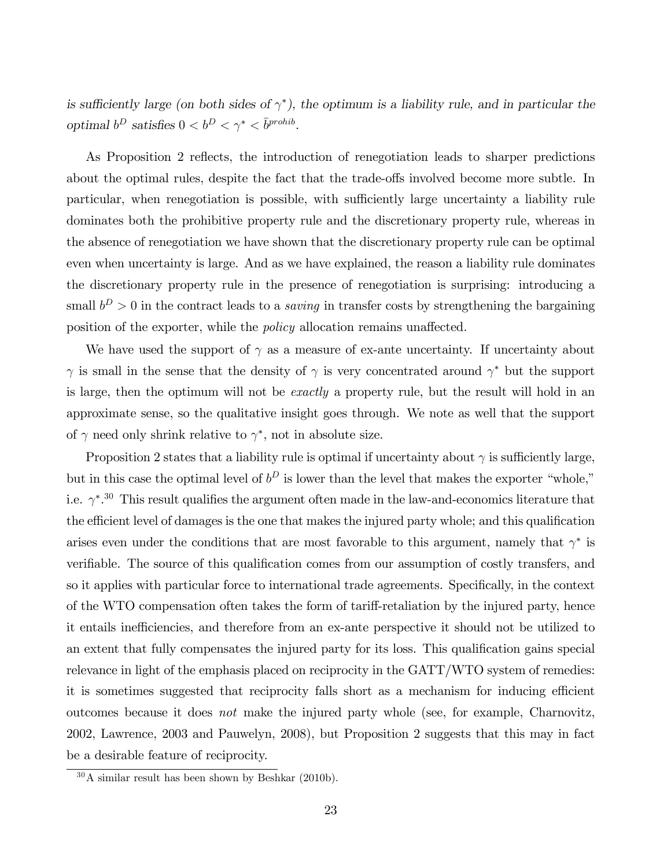is sufficiently large (on both sides of  $\gamma^*$ ), the optimum is a liability rule, and in particular the optimal  $b^D$  satisfies  $0 < b^D < \gamma^* < \overline{b}^{prohib}$ .

As Proposition 2 reflects, the introduction of renegotiation leads to sharper predictions about the optimal rules, despite the fact that the trade-offs involved become more subtle. In particular, when renegotiation is possible, with sufficiently large uncertainty a liability rule dominates both the prohibitive property rule and the discretionary property rule, whereas in the absence of renegotiation we have shown that the discretionary property rule can be optimal even when uncertainty is large. And as we have explained, the reason a liability rule dominates the discretionary property rule in the presence of renegotiation is surprising: introducing a small  $b^D > 0$  in the contract leads to a *saving* in transfer costs by strengthening the bargaining position of the exporter, while the *policy* allocation remains unaffected.

We have used the support of  $\gamma$  as a measure of ex-ante uncertainty. If uncertainty about  $\gamma$  is small in the sense that the density of  $\gamma$  is very concentrated around  $\gamma^*$  but the support is large, then the optimum will not be *exactly* a property rule, but the result will hold in an approximate sense, so the qualitative insight goes through. We note as well that the support of  $\gamma$  need only shrink relative to  $\gamma^*$ , not in absolute size.

Proposition 2 states that a liability rule is optimal if uncertainty about  $\gamma$  is sufficiently large, but in this case the optimal level of  $b^D$  is lower than the level that makes the exporter "whole," i.e.  $\gamma^*$ .<sup>30</sup> This result qualifies the argument often made in the law-and-economics literature that the efficient level of damages is the one that makes the injured party whole; and this qualification arises even under the conditions that are most favorable to this argument, namely that  $\gamma^*$  is verifiable. The source of this qualification comes from our assumption of costly transfers, and so it applies with particular force to international trade agreements. Specifically, in the context of the WTO compensation often takes the form of tariff-retaliation by the injured party, hence it entails inefficiencies, and therefore from an ex-ante perspective it should not be utilized to an extent that fully compensates the injured party for its loss. This qualification gains special relevance in light of the emphasis placed on reciprocity in the GATT/WTO system of remedies: it is sometimes suggested that reciprocity falls short as a mechanism for inducing efficient outcomes because it does not make the injured party whole (see, for example, Charnovitz, 2002, Lawrence, 2003 and Pauwelyn, 2008), but Proposition 2 suggests that this may in fact be a desirable feature of reciprocity.

 $30\text{ Å}$  similar result has been shown by Beshkar (2010b).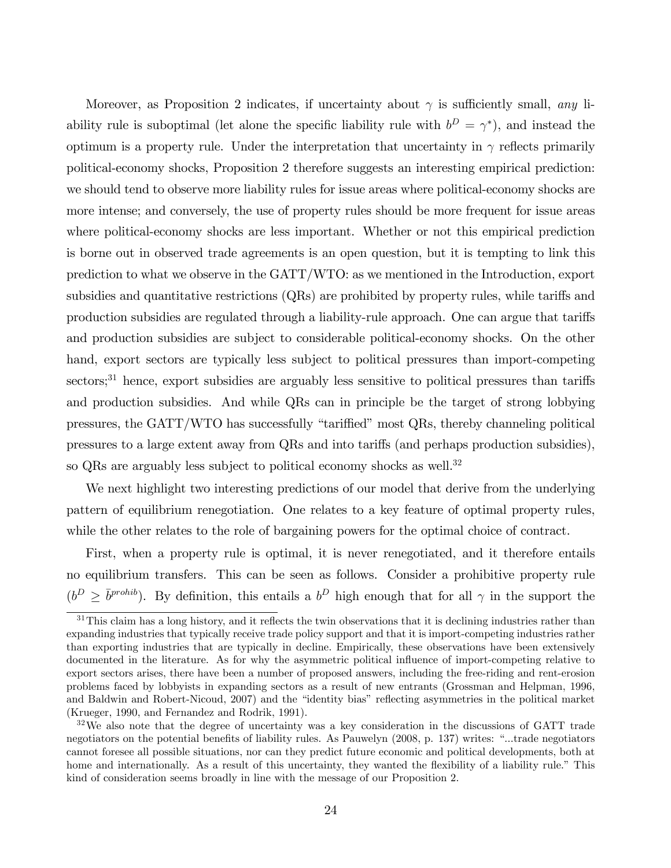Moreover, as Proposition 2 indicates, if uncertainty about  $\gamma$  is sufficiently small, any liability rule is suboptimal (let alone the specific liability rule with  $b^D = \gamma^*$ ), and instead the optimum is a property rule. Under the interpretation that uncertainty in  $\gamma$  reflects primarily political-economy shocks, Proposition 2 therefore suggests an interesting empirical prediction: we should tend to observe more liability rules for issue areas where political-economy shocks are more intense; and conversely, the use of property rules should be more frequent for issue areas where political-economy shocks are less important. Whether or not this empirical prediction is borne out in observed trade agreements is an open question, but it is tempting to link this prediction to what we observe in the GATT/WTO: as we mentioned in the Introduction, export subsidies and quantitative restrictions  $(QRs)$  are prohibited by property rules, while tariffs and production subsidies are regulated through a liability-rule approach. One can argue that tariffs and production subsidies are subject to considerable political-economy shocks. On the other hand, export sectors are typically less subject to political pressures than import-competing sectors;<sup>31</sup> hence, export subsidies are arguably less sensitive to political pressures than tariffs and production subsidies. And while QRs can in principle be the target of strong lobbying pressures, the  $GATT/WTO$  has successfully "tariffied" most  $QRs$ , thereby channeling political pressures to a large extent away from QRs and into tariffs (and perhaps production subsidies), so QRs are arguably less subject to political economy shocks as well.<sup>32</sup>

We next highlight two interesting predictions of our model that derive from the underlying pattern of equilibrium renegotiation. One relates to a key feature of optimal property rules, while the other relates to the role of bargaining powers for the optimal choice of contract.

First, when a property rule is optimal, it is never renegotiated, and it therefore entails no equilibrium transfers. This can be seen as follows. Consider a prohibitive property rule  $(b^D \geq \bar{b}^{prohib})$ . By definition, this entails a  $b^D$  high enough that for all  $\gamma$  in the support the

 $31$ This claim has a long history, and it reflects the twin observations that it is declining industries rather than expanding industries that typically receive trade policy support and that it is import-competing industries rather than exporting industries that are typically in decline. Empirically, these observations have been extensively documented in the literature. As for why the asymmetric political ináuence of import-competing relative to export sectors arises, there have been a number of proposed answers, including the free-riding and rent-erosion problems faced by lobbyists in expanding sectors as a result of new entrants (Grossman and Helpman, 1996, and Baldwin and Robert-Nicoud, 2007) and the "identity bias" reflecting asymmetries in the political market (Krueger, 1990, and Fernandez and Rodrik, 1991).

<sup>&</sup>lt;sup>32</sup>We also note that the degree of uncertainty was a key consideration in the discussions of GATT trade negotiators on the potential benefits of liability rules. As Pauwelyn (2008, p. 137) writes: "...trade negotiators cannot foresee all possible situations, nor can they predict future economic and political developments, both at home and internationally. As a result of this uncertainty, they wanted the flexibility of a liability rule." This kind of consideration seems broadly in line with the message of our Proposition 2.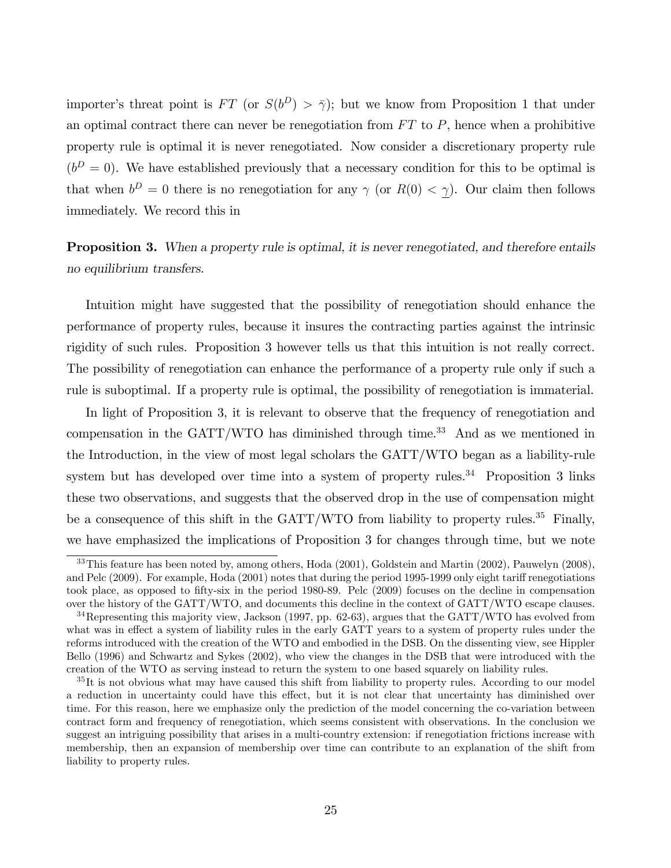importer's threat point is FT (or  $S(b^D) > \bar{\gamma}$ ); but we know from Proposition 1 that under an optimal contract there can never be renegotiation from  $FT$  to  $P$ , hence when a prohibitive property rule is optimal it is never renegotiated. Now consider a discretionary property rule  $(b<sup>D</sup> = 0)$ . We have established previously that a necessary condition for this to be optimal is that when  $b^D = 0$  there is no renegotiation for any  $\gamma$  (or  $R(0) < \gamma$ ). Our claim then follows immediately. We record this in

## **Proposition 3.** When a property rule is optimal, it is never renegotiated, and therefore entails no equilibrium transfers.

Intuition might have suggested that the possibility of renegotiation should enhance the performance of property rules, because it insures the contracting parties against the intrinsic rigidity of such rules. Proposition 3 however tells us that this intuition is not really correct. The possibility of renegotiation can enhance the performance of a property rule only if such a rule is suboptimal. If a property rule is optimal, the possibility of renegotiation is immaterial.

In light of Proposition 3, it is relevant to observe that the frequency of renegotiation and compensation in the  $GATT/WTO$  has diminished through time.<sup>33</sup> And as we mentioned in the Introduction, in the view of most legal scholars the GATT/WTO began as a liability-rule system but has developed over time into a system of property rules.<sup>34</sup> Proposition 3 links these two observations, and suggests that the observed drop in the use of compensation might be a consequence of this shift in the  $GATT/WTO$  from liability to property rules.<sup>35</sup> Finally, we have emphasized the implications of Proposition 3 for changes through time, but we note

<sup>33</sup>This feature has been noted by, among others, Hoda (2001), Goldstein and Martin (2002), Pauwelyn (2008), and Pelc (2009). For example, Hoda (2001) notes that during the period 1995-1999 only eight tariff renegotiations took place, as opposed to Öfty-six in the period 1980-89. Pelc (2009) focuses on the decline in compensation over the history of the GATT/WTO, and documents this decline in the context of GATT/WTO escape clauses.

<sup>&</sup>lt;sup>34</sup>Representing this majority view, Jackson (1997, pp. 62-63), argues that the GATT/WTO has evolved from what was in effect a system of liability rules in the early GATT years to a system of property rules under the reforms introduced with the creation of the WTO and embodied in the DSB. On the dissenting view, see Hippler Bello (1996) and Schwartz and Sykes (2002), who view the changes in the DSB that were introduced with the creation of the WTO as serving instead to return the system to one based squarely on liability rules.

<sup>&</sup>lt;sup>35</sup>It is not obvious what may have caused this shift from liability to property rules. According to our model a reduction in uncertainty could have this effect, but it is not clear that uncertainty has diminished over time. For this reason, here we emphasize only the prediction of the model concerning the co-variation between contract form and frequency of renegotiation, which seems consistent with observations. In the conclusion we suggest an intriguing possibility that arises in a multi-country extension: if renegotiation frictions increase with membership, then an expansion of membership over time can contribute to an explanation of the shift from liability to property rules.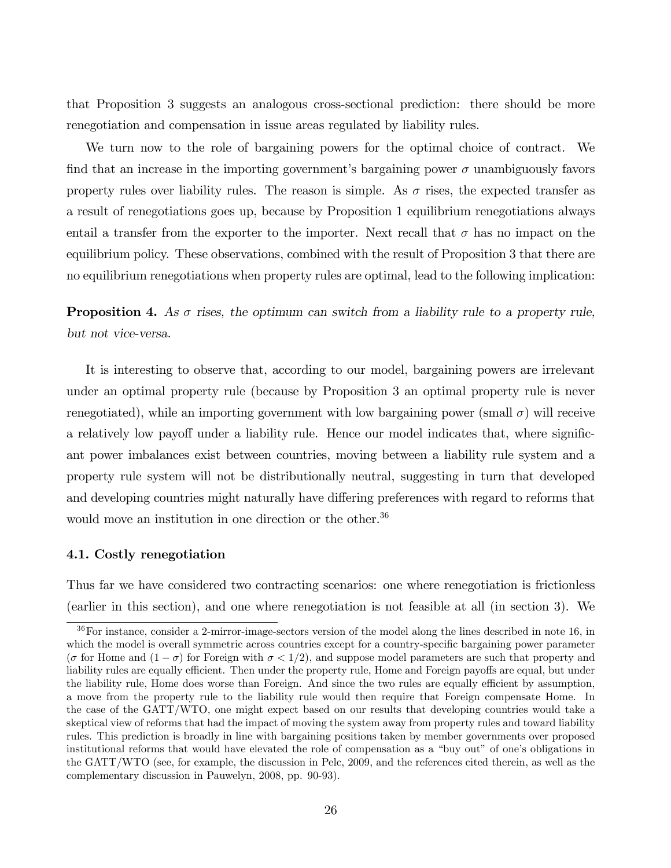that Proposition 3 suggests an analogous cross-sectional prediction: there should be more renegotiation and compensation in issue areas regulated by liability rules.

We turn now to the role of bargaining powers for the optimal choice of contract. We find that an increase in the importing government's bargaining power  $\sigma$  unambiguously favors property rules over liability rules. The reason is simple. As  $\sigma$  rises, the expected transfer as a result of renegotiations goes up, because by Proposition 1 equilibrium renegotiations always entail a transfer from the exporter to the importer. Next recall that  $\sigma$  has no impact on the equilibrium policy. These observations, combined with the result of Proposition 3 that there are no equilibrium renegotiations when property rules are optimal, lead to the following implication:

**Proposition 4.** As  $\sigma$  rises, the optimum can switch from a liability rule to a property rule, but not vice-versa.

It is interesting to observe that, according to our model, bargaining powers are irrelevant under an optimal property rule (because by Proposition 3 an optimal property rule is never renegotiated), while an importing government with low bargaining power (small  $\sigma$ ) will receive a relatively low payoff under a liability rule. Hence our model indicates that, where significant power imbalances exist between countries, moving between a liability rule system and a property rule system will not be distributionally neutral, suggesting in turn that developed and developing countries might naturally have differing preferences with regard to reforms that would move an institution in one direction or the other.<sup>36</sup>

#### 4.1. Costly renegotiation

Thus far we have considered two contracting scenarios: one where renegotiation is frictionless (earlier in this section), and one where renegotiation is not feasible at all (in section 3). We

<sup>&</sup>lt;sup>36</sup>For instance, consider a 2-mirror-image-sectors version of the model along the lines described in note 16, in which the model is overall symmetric across countries except for a country-specific bargaining power parameter ( $\sigma$  for Home and  $(1 - \sigma)$  for Foreign with  $\sigma < 1/2$ ), and suppose model parameters are such that property and liability rules are equally efficient. Then under the property rule, Home and Foreign payoffs are equal, but under the liability rule, Home does worse than Foreign. And since the two rules are equally efficient by assumption, a move from the property rule to the liability rule would then require that Foreign compensate Home. In the case of the GATT/WTO, one might expect based on our results that developing countries would take a skeptical view of reforms that had the impact of moving the system away from property rules and toward liability rules. This prediction is broadly in line with bargaining positions taken by member governments over proposed institutional reforms that would have elevated the role of compensation as a "buy out" of one's obligations in the GATT/WTO (see, for example, the discussion in Pelc, 2009, and the references cited therein, as well as the complementary discussion in Pauwelyn, 2008, pp. 90-93).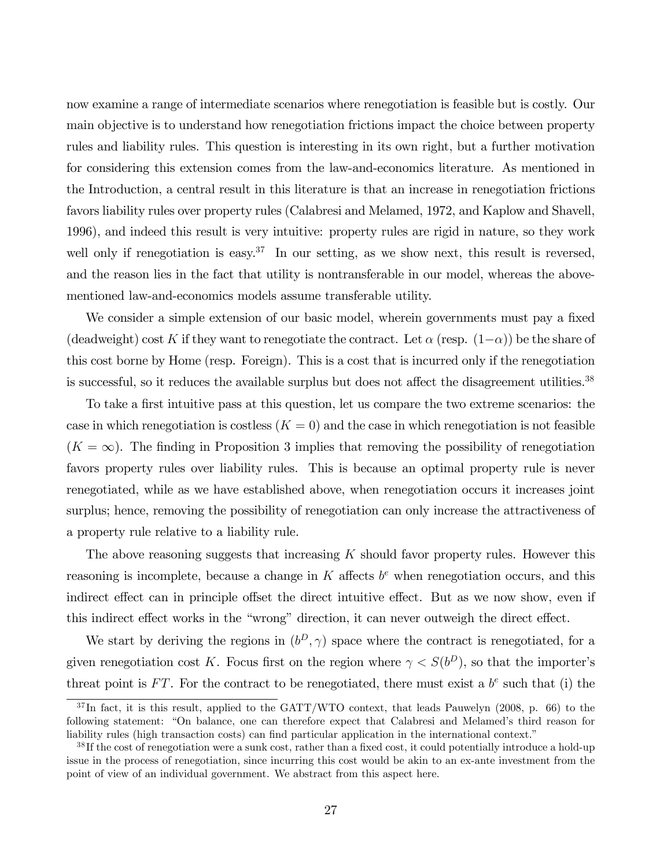now examine a range of intermediate scenarios where renegotiation is feasible but is costly. Our main objective is to understand how renegotiation frictions impact the choice between property rules and liability rules. This question is interesting in its own right, but a further motivation for considering this extension comes from the law-and-economics literature. As mentioned in the Introduction, a central result in this literature is that an increase in renegotiation frictions favors liability rules over property rules (Calabresi and Melamed, 1972, and Kaplow and Shavell, 1996), and indeed this result is very intuitive: property rules are rigid in nature, so they work well only if renegotiation is easy.<sup>37</sup> In our setting, as we show next, this result is reversed, and the reason lies in the fact that utility is nontransferable in our model, whereas the abovementioned law-and-economics models assume transferable utility.

We consider a simple extension of our basic model, wherein governments must pay a fixed (deadweight) cost K if they want to renegotiate the contract. Let  $\alpha$  (resp.  $(1-\alpha)$ ) be the share of this cost borne by Home (resp. Foreign). This is a cost that is incurred only if the renegotiation is successful, so it reduces the available surplus but does not affect the disagreement utilities. $38$ 

To take a first intuitive pass at this question, let us compare the two extreme scenarios: the case in which renegotiation is costless  $(K = 0)$  and the case in which renegotiation is not feasible  $(K = \infty)$ . The finding in Proposition 3 implies that removing the possibility of renegotiation favors property rules over liability rules. This is because an optimal property rule is never renegotiated, while as we have established above, when renegotiation occurs it increases joint surplus; hence, removing the possibility of renegotiation can only increase the attractiveness of a property rule relative to a liability rule.

The above reasoning suggests that increasing  $K$  should favor property rules. However this reasoning is incomplete, because a change in  $K$  affects  $b<sup>e</sup>$  when renegotiation occurs, and this indirect effect can in principle offset the direct intuitive effect. But as we now show, even if this indirect effect works in the "wrong" direction, it can never outweigh the direct effect.

We start by deriving the regions in  $(b^D, \gamma)$  space where the contract is renegotiated, for a given renegotiation cost K. Focus first on the region where  $\gamma < S(b^D)$ , so that the importer's threat point is FT. For the contract to be renegotiated, there must exist a  $b^e$  such that (i) the

<sup>&</sup>lt;sup>37</sup>In fact, it is this result, applied to the GATT/WTO context, that leads Pauwelyn (2008, p. 66) to the following statement: "On balance, one can therefore expect that Calabresi and Melamed's third reason for liability rules (high transaction costs) can find particular application in the international context."

 $38$  If the cost of renegotiation were a sunk cost, rather than a fixed cost, it could potentially introduce a hold-up issue in the process of renegotiation, since incurring this cost would be akin to an ex-ante investment from the point of view of an individual government. We abstract from this aspect here.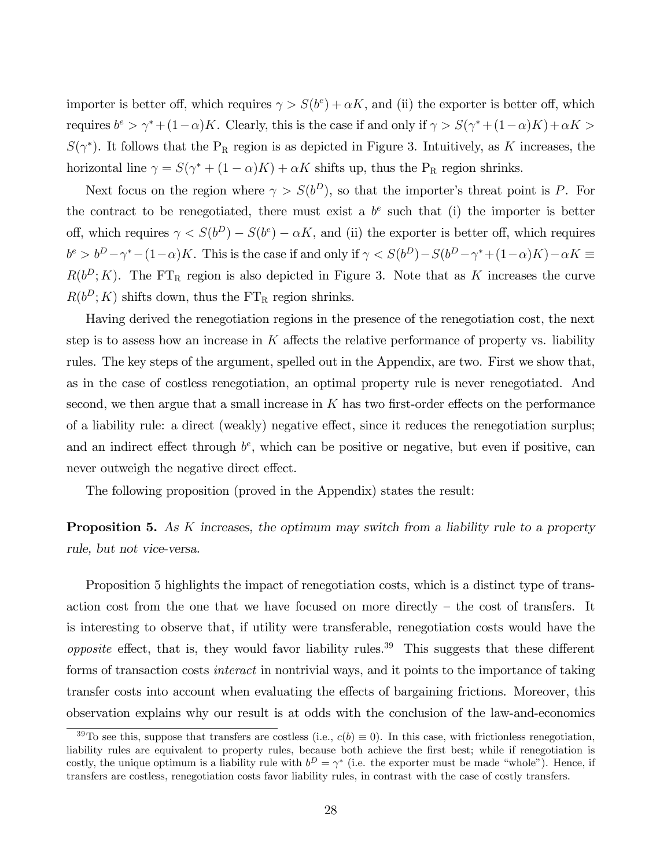importer is better off, which requires  $\gamma > S(b^e) + \alpha K$ , and (ii) the exporter is better off, which requires  $b^e > \gamma^* + (1 - \alpha)K$ . Clearly, this is the case if and only if  $\gamma > S(\gamma^* + (1 - \alpha)K) + \alpha K >$  $S(\gamma^*)$ . It follows that the P<sub>R</sub> region is as depicted in Figure 3. Intuitively, as K increases, the horizontal line  $\gamma = S(\gamma^* + (1 - \alpha)K) + \alpha K$  shifts up, thus the P<sub>R</sub> region shrinks.

Next focus on the region where  $\gamma > S(b^D)$ , so that the importer's threat point is P. For the contract to be renegotiated, there must exist a  $b<sup>e</sup>$  such that (i) the importer is better off, which requires  $\gamma < S(b^D) - S(b^e) - \alpha K$ , and (ii) the exporter is better off, which requires  $b^e > b^D - \gamma^* - (1 - \alpha)K$ . This is the case if and only if  $\gamma < S(b^D) - S(b^D - \gamma^* + (1 - \alpha)K) - \alpha K \equiv$  $R(b^D; K)$ . The FT<sub>R</sub> region is also depicted in Figure 3. Note that as K increases the curve  $R(b^D; K)$  shifts down, thus the  $FT_R$  region shrinks.

Having derived the renegotiation regions in the presence of the renegotiation cost, the next step is to assess how an increase in  $K$  affects the relative performance of property vs. liability rules. The key steps of the argument, spelled out in the Appendix, are two. First we show that, as in the case of costless renegotiation, an optimal property rule is never renegotiated. And second, we then argue that a small increase in  $K$  has two first-order effects on the performance of a liability rule: a direct (weakly) negative effect, since it reduces the renegotiation surplus; and an indirect effect through  $b^e$ , which can be positive or negative, but even if positive, can never outweigh the negative direct effect.

The following proposition (proved in the Appendix) states the result:

**Proposition 5.** As K increases, the optimum may switch from a liability rule to a property rule, but not vice-versa.

Proposition 5 highlights the impact of renegotiation costs, which is a distinct type of transaction cost from the one that we have focused on more directly  $-$  the cost of transfers. It is interesting to observe that, if utility were transferable, renegotiation costs would have the opposite effect, that is, they would favor liability rules.<sup>39</sup> This suggests that these different forms of transaction costs *interact* in nontrivial ways, and it points to the importance of taking transfer costs into account when evaluating the effects of bargaining frictions. Moreover, this observation explains why our result is at odds with the conclusion of the law-and-economics

<sup>&</sup>lt;sup>39</sup>To see this, suppose that transfers are costless (i.e.,  $c(b) \equiv 0$ ). In this case, with frictionless renegotiation, liability rules are equivalent to property rules, because both achieve the first best; while if renegotiation is costly, the unique optimum is a liability rule with  $b^D = \gamma^*$  (i.e. the exporter must be made "whole"). Hence, if transfers are costless, renegotiation costs favor liability rules, in contrast with the case of costly transfers.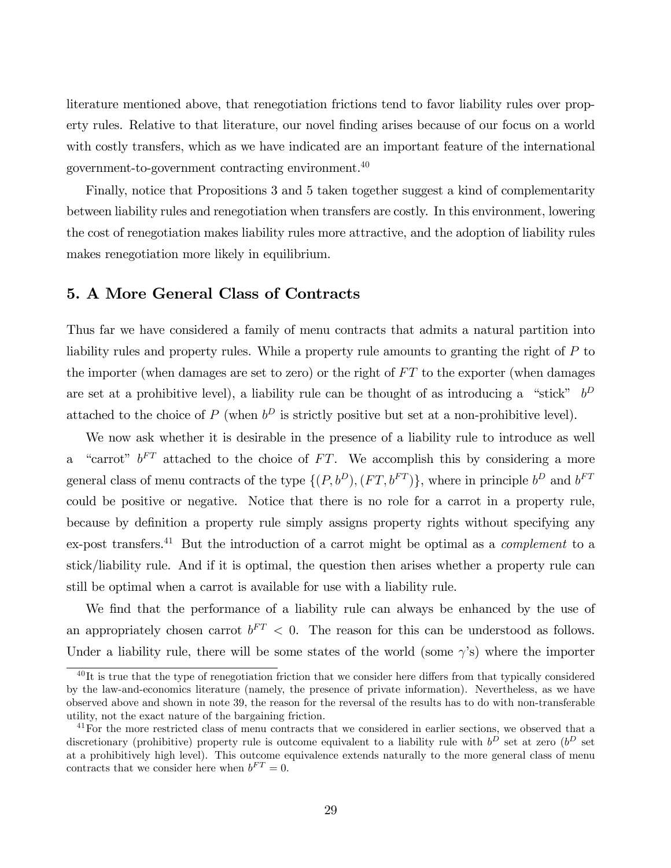literature mentioned above, that renegotiation frictions tend to favor liability rules over property rules. Relative to that literature, our novel finding arises because of our focus on a world with costly transfers, which as we have indicated are an important feature of the international government-to-government contracting environment.<sup>40</sup>

Finally, notice that Propositions 3 and 5 taken together suggest a kind of complementarity between liability rules and renegotiation when transfers are costly. In this environment, lowering the cost of renegotiation makes liability rules more attractive, and the adoption of liability rules makes renegotiation more likely in equilibrium.

#### 5. A More General Class of Contracts

Thus far we have considered a family of menu contracts that admits a natural partition into liability rules and property rules. While a property rule amounts to granting the right of P to the importer (when damages are set to zero) or the right of  $FT$  to the exporter (when damages are set at a prohibitive level), a liability rule can be thought of as introducing a "stick"  $b^D$ attached to the choice of  $P$  (when  $b^D$  is strictly positive but set at a non-prohibitive level).

We now ask whether it is desirable in the presence of a liability rule to introduce as well a "carrot"  $b^{FT}$  attached to the choice of FT. We accomplish this by considering a more general class of menu contracts of the type  $\{(P,b^D), (FT, b^{FT})\}$ , where in principle  $b^D$  and  $b^{FT}$ could be positive or negative. Notice that there is no role for a carrot in a property rule, because by definition a property rule simply assigns property rights without specifying any ex-post transfers.<sup>41</sup> But the introduction of a carrot might be optimal as a *complement* to a stick/liability rule. And if it is optimal, the question then arises whether a property rule can still be optimal when a carrot is available for use with a liability rule.

We find that the performance of a liability rule can always be enhanced by the use of an appropriately chosen carrot  $b^{FT} < 0$ . The reason for this can be understood as follows. Under a liability rule, there will be some states of the world (some  $\gamma$ 's) where the importer

 $^{40}$ It is true that the type of renegotiation friction that we consider here differs from that typically considered by the law-and-economics literature (namely, the presence of private information). Nevertheless, as we have observed above and shown in note 39, the reason for the reversal of the results has to do with non-transferable utility, not the exact nature of the bargaining friction.

<sup>&</sup>lt;sup>41</sup>For the more restricted class of menu contracts that we considered in earlier sections, we observed that a discretionary (prohibitive) property rule is outcome equivalent to a liability rule with  $b^D$  set at zero  $(b^D$  set at a prohibitively high level). This outcome equivalence extends naturally to the more general class of menu contracts that we consider here when  $b^{FT} = 0$ .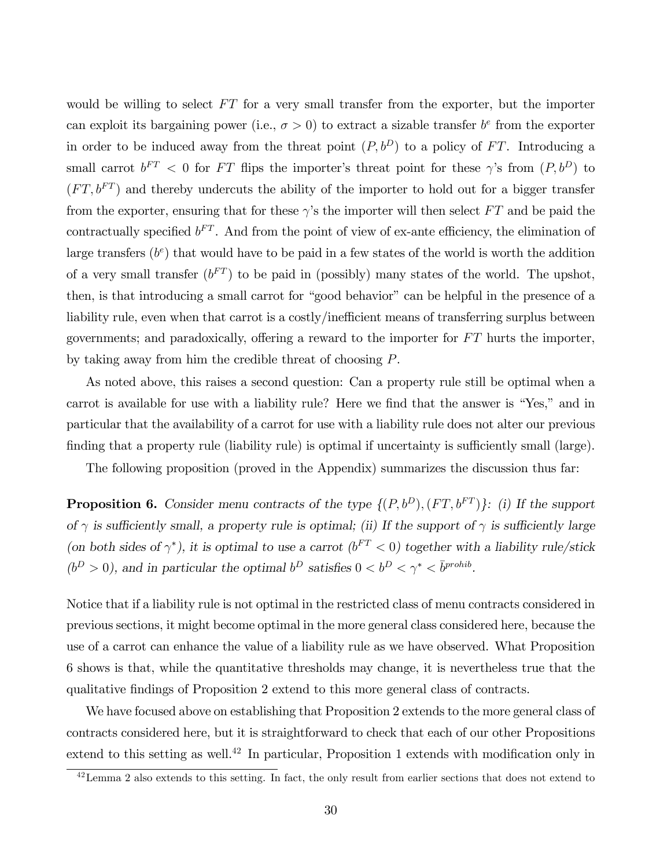would be willing to select  $FT$  for a very small transfer from the exporter, but the importer can exploit its bargaining power (i.e.,  $\sigma > 0$ ) to extract a sizable transfer  $b^e$  from the exporter in order to be induced away from the threat point  $(P, b^D)$  to a policy of FT. Introducing a small carrot  $b^{FT} < 0$  for FT flips the importer's threat point for these  $\gamma$ 's from  $(P, b^D)$  to  $(FT, b^{FT})$  and thereby undercuts the ability of the importer to hold out for a bigger transfer from the exporter, ensuring that for these  $\gamma$ 's the importer will then select FT and be paid the contractually specified  $b^{FT}$ . And from the point of view of ex-ante efficiency, the elimination of large transfers  $(b<sup>e</sup>)$  that would have to be paid in a few states of the world is worth the addition of a very small transfer  $(b^{FT})$  to be paid in (possibly) many states of the world. The upshot, then, is that introducing a small carrot for "good behavior" can be helpful in the presence of a liability rule, even when that carrot is a costly/inefficient means of transferring surplus between governments; and paradoxically, offering a reward to the importer for  $FT$  hurts the importer, by taking away from him the credible threat of choosing P.

As noted above, this raises a second question: Can a property rule still be optimal when a carrot is available for use with a liability rule? Here we find that the answer is "Yes," and in particular that the availability of a carrot for use with a liability rule does not alter our previous finding that a property rule (liability rule) is optimal if uncertainty is sufficiently small (large).

The following proposition (proved in the Appendix) summarizes the discussion thus far:

**Proposition 6.** Consider menu contracts of the type  $\{(P, b^D), (FT, b^{FT})\}$ : (i) If the support of  $\gamma$  is sufficiently small, a property rule is optimal; (ii) If the support of  $\gamma$  is sufficiently large (on both sides of  $\gamma^*$ ), it is optimal to use a carrot ( $b^{FT}$  < 0) together with a liability rule/stick  $(b^D > 0)$ , and in particular the optimal  $b^D$  satisfies  $0 < b^D < \gamma^* < \bar{b}^{prohib}$ .

Notice that if a liability rule is not optimal in the restricted class of menu contracts considered in previous sections, it might become optimal in the more general class considered here, because the use of a carrot can enhance the value of a liability rule as we have observed. What Proposition 6 shows is that, while the quantitative thresholds may change, it is nevertheless true that the qualitative Öndings of Proposition 2 extend to this more general class of contracts.

We have focused above on establishing that Proposition 2 extends to the more general class of contracts considered here, but it is straightforward to check that each of our other Propositions extend to this setting as well.<sup>42</sup> In particular, Proposition 1 extends with modification only in

 $42$  Lemma 2 also extends to this setting. In fact, the only result from earlier sections that does not extend to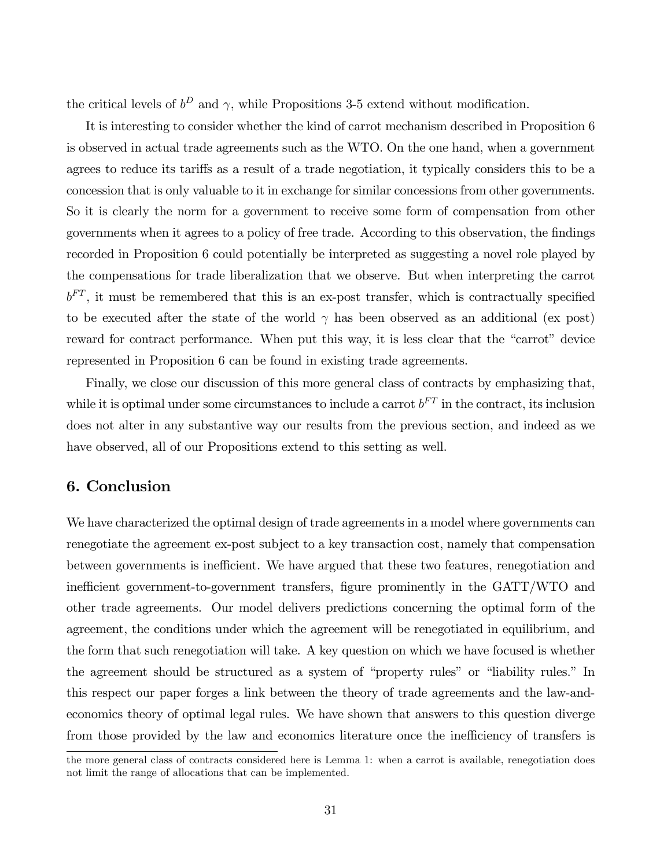the critical levels of  $b^D$  and  $\gamma$ , while Propositions 3-5 extend without modification.

It is interesting to consider whether the kind of carrot mechanism described in Proposition 6 is observed in actual trade agreements such as the WTO. On the one hand, when a government agrees to reduce its tariffs as a result of a trade negotiation, it typically considers this to be a concession that is only valuable to it in exchange for similar concessions from other governments. So it is clearly the norm for a government to receive some form of compensation from other governments when it agrees to a policy of free trade. According to this observation, the findings recorded in Proposition 6 could potentially be interpreted as suggesting a novel role played by the compensations for trade liberalization that we observe. But when interpreting the carrot  $b<sup>FT</sup>$ , it must be remembered that this is an ex-post transfer, which is contractually specified to be executed after the state of the world  $\gamma$  has been observed as an additional (ex post) reward for contract performance. When put this way, it is less clear that the "carrot" device represented in Proposition 6 can be found in existing trade agreements.

Finally, we close our discussion of this more general class of contracts by emphasizing that, while it is optimal under some circumstances to include a carrot  $b^{FT}$  in the contract, its inclusion does not alter in any substantive way our results from the previous section, and indeed as we have observed, all of our Propositions extend to this setting as well.

#### 6. Conclusion

We have characterized the optimal design of trade agreements in a model where governments can renegotiate the agreement ex-post subject to a key transaction cost, namely that compensation between governments is inefficient. We have argued that these two features, renegotiation and inefficient government-to-government transfers, figure prominently in the GATT/WTO and other trade agreements. Our model delivers predictions concerning the optimal form of the agreement, the conditions under which the agreement will be renegotiated in equilibrium, and the form that such renegotiation will take. A key question on which we have focused is whether the agreement should be structured as a system of "property rules" or "liability rules." In this respect our paper forges a link between the theory of trade agreements and the law-andeconomics theory of optimal legal rules. We have shown that answers to this question diverge from those provided by the law and economics literature once the inefficiency of transfers is

the more general class of contracts considered here is Lemma 1: when a carrot is available, renegotiation does not limit the range of allocations that can be implemented.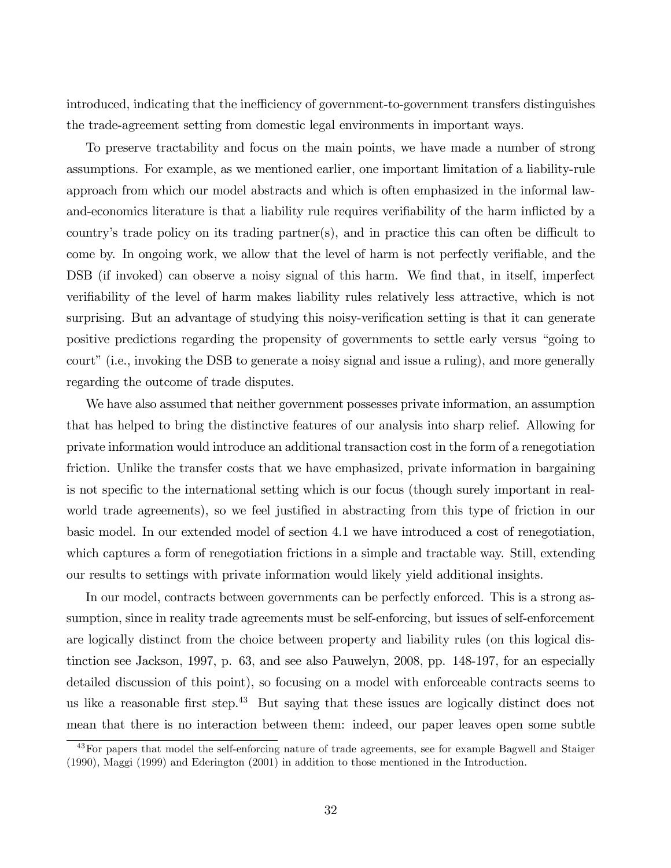introduced, indicating that the inefficiency of government-to-government transfers distinguishes the trade-agreement setting from domestic legal environments in important ways.

To preserve tractability and focus on the main points, we have made a number of strong assumptions. For example, as we mentioned earlier, one important limitation of a liability-rule approach from which our model abstracts and which is often emphasized in the informal lawand-economics literature is that a liability rule requires verifiability of the harm inflicted by a country's trade policy on its trading partner(s), and in practice this can often be difficult to come by. In ongoing work, we allow that the level of harm is not perfectly verifiable, and the DSB (if invoked) can observe a noisy signal of this harm. We find that, in itself, imperfect verifiability of the level of harm makes liability rules relatively less attractive, which is not surprising. But an advantage of studying this noisy-verification setting is that it can generate positive predictions regarding the propensity of governments to settle early versus "going to court" (i.e., invoking the DSB to generate a noisy signal and issue a ruling), and more generally regarding the outcome of trade disputes.

We have also assumed that neither government possesses private information, an assumption that has helped to bring the distinctive features of our analysis into sharp relief. Allowing for private information would introduce an additional transaction cost in the form of a renegotiation friction. Unlike the transfer costs that we have emphasized, private information in bargaining is not specific to the international setting which is our focus (though surely important in realworld trade agreements), so we feel justified in abstracting from this type of friction in our basic model. In our extended model of section 4.1 we have introduced a cost of renegotiation, which captures a form of renegotiation frictions in a simple and tractable way. Still, extending our results to settings with private information would likely yield additional insights.

In our model, contracts between governments can be perfectly enforced. This is a strong assumption, since in reality trade agreements must be self-enforcing, but issues of self-enforcement are logically distinct from the choice between property and liability rules (on this logical distinction see Jackson, 1997, p. 63, and see also Pauwelyn, 2008, pp. 148-197, for an especially detailed discussion of this point), so focusing on a model with enforceable contracts seems to us like a reasonable first step.<sup>43</sup> But saying that these issues are logically distinct does not mean that there is no interaction between them: indeed, our paper leaves open some subtle

<sup>&</sup>lt;sup>43</sup>For papers that model the self-enforcing nature of trade agreements, see for example Bagwell and Staiger (1990), Maggi (1999) and Ederington (2001) in addition to those mentioned in the Introduction.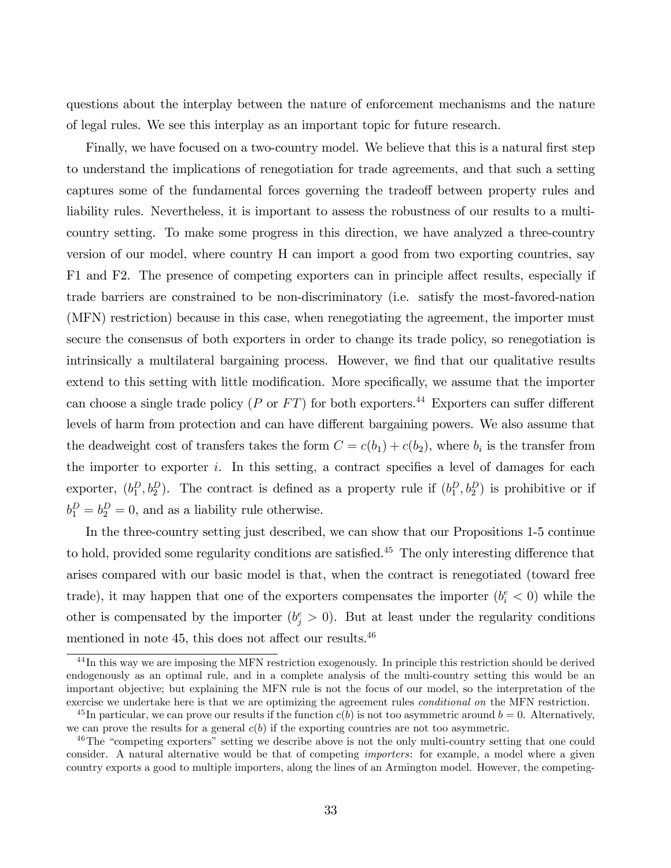questions about the interplay between the nature of enforcement mechanisms and the nature of legal rules. We see this interplay as an important topic for future research.

Finally, we have focused on a two-country model. We believe that this is a natural first step to understand the implications of renegotiation for trade agreements, and that such a setting captures some of the fundamental forces governing the tradeoff between property rules and liability rules. Nevertheless, it is important to assess the robustness of our results to a multicountry setting. To make some progress in this direction, we have analyzed a three-country version of our model, where country H can import a good from two exporting countries, say F1 and F2. The presence of competing exporters can in principle affect results, especially if trade barriers are constrained to be non-discriminatory (i.e. satisfy the most-favored-nation (MFN) restriction) because in this case, when renegotiating the agreement, the importer must secure the consensus of both exporters in order to change its trade policy, so renegotiation is intrinsically a multilateral bargaining process. However, we find that our qualitative results extend to this setting with little modification. More specifically, we assume that the importer can choose a single trade policy (P or  $FT$ ) for both exporters.<sup>44</sup> Exporters can suffer different levels of harm from protection and can have different bargaining powers. We also assume that the deadweight cost of transfers takes the form  $C = c(b_1) + c(b_2)$ , where  $b_i$  is the transfer from the importer to exporter i. In this setting, a contract specifies a level of damages for each exporter,  $(b_1^D, b_2^D)$ . The contract is defined as a property rule if  $(b_1^D, b_2^D)$  is prohibitive or if  $b_1^D = b_2^D = 0$ , and as a liability rule otherwise.

In the three-country setting just described, we can show that our Propositions 1-5 continue to hold, provided some regularity conditions are satisfied.<sup>45</sup> The only interesting difference that arises compared with our basic model is that, when the contract is renegotiated (toward free trade), it may happen that one of the exporters compensates the importer  $(b_i^e < 0)$  while the other is compensated by the importer  $(b_j^e > 0)$ . But at least under the regularity conditions mentioned in note 45, this does not affect our results. $46$ 

<sup>&</sup>lt;sup>44</sup>In this way we are imposing the MFN restriction exogenously. In principle this restriction should be derived endogenously as an optimal rule, and in a complete analysis of the multi-country setting this would be an important objective; but explaining the MFN rule is not the focus of our model, so the interpretation of the exercise we undertake here is that we are optimizing the agreement rules conditional on the MFN restriction.

<sup>&</sup>lt;sup>45</sup> In particular, we can prove our results if the function  $c(b)$  is not too asymmetric around  $b = 0$ . Alternatively, we can prove the results for a general  $c(b)$  if the exporting countries are not too asymmetric.

<sup>&</sup>lt;sup>46</sup>The "competing exporters" setting we describe above is not the only multi-country setting that one could consider. A natural alternative would be that of competing *importers*: for example, a model where a given country exports a good to multiple importers, along the lines of an Armington model. However, the competing-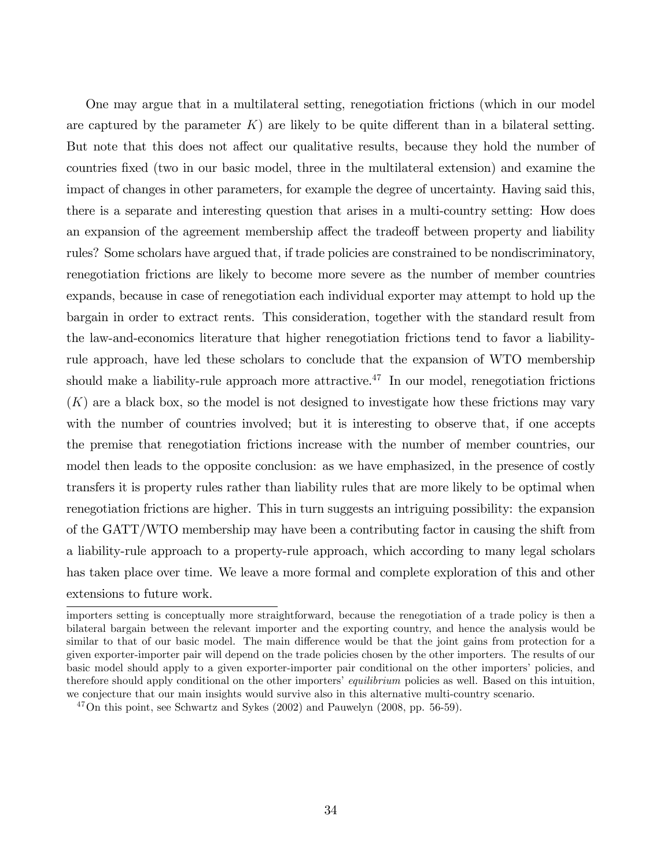One may argue that in a multilateral setting, renegotiation frictions (which in our model are captured by the parameter  $K$ ) are likely to be quite different than in a bilateral setting. But note that this does not affect our qualitative results, because they hold the number of countries Öxed (two in our basic model, three in the multilateral extension) and examine the impact of changes in other parameters, for example the degree of uncertainty. Having said this, there is a separate and interesting question that arises in a multi-country setting: How does an expansion of the agreement membership affect the tradeoff between property and liability rules? Some scholars have argued that, if trade policies are constrained to be nondiscriminatory, renegotiation frictions are likely to become more severe as the number of member countries expands, because in case of renegotiation each individual exporter may attempt to hold up the bargain in order to extract rents. This consideration, together with the standard result from the law-and-economics literature that higher renegotiation frictions tend to favor a liabilityrule approach, have led these scholars to conclude that the expansion of WTO membership should make a liability-rule approach more attractive.<sup>47</sup> In our model, renegotiation frictions  $(K)$  are a black box, so the model is not designed to investigate how these frictions may vary with the number of countries involved; but it is interesting to observe that, if one accepts the premise that renegotiation frictions increase with the number of member countries, our model then leads to the opposite conclusion: as we have emphasized, in the presence of costly transfers it is property rules rather than liability rules that are more likely to be optimal when renegotiation frictions are higher. This in turn suggests an intriguing possibility: the expansion of the GATT/WTO membership may have been a contributing factor in causing the shift from a liability-rule approach to a property-rule approach, which according to many legal scholars has taken place over time. We leave a more formal and complete exploration of this and other extensions to future work.

importers setting is conceptually more straightforward, because the renegotiation of a trade policy is then a bilateral bargain between the relevant importer and the exporting country, and hence the analysis would be similar to that of our basic model. The main difference would be that the joint gains from protection for a given exporter-importer pair will depend on the trade policies chosen by the other importers. The results of our basic model should apply to a given exporter-importer pair conditional on the other importersí policies, and therefore should apply conditional on the other importers' equilibrium policies as well. Based on this intuition, we conjecture that our main insights would survive also in this alternative multi-country scenario.

 $^{47}$ On this point, see Schwartz and Sykes (2002) and Pauwelyn (2008, pp. 56-59).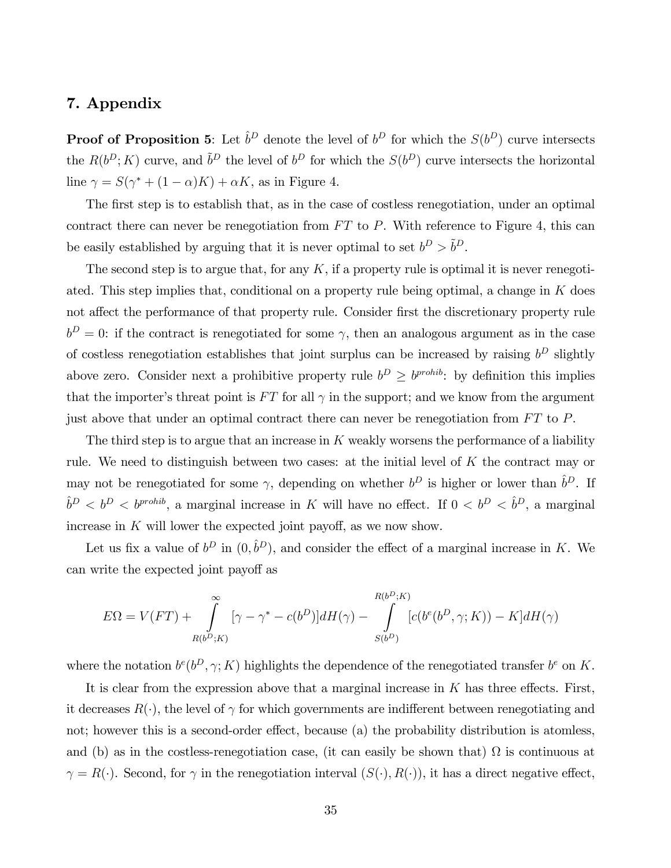### 7. Appendix

**Proof of Proposition 5:** Let  $\hat{b}^D$  denote the level of  $b^D$  for which the  $S(b^D)$  curve intersects the  $R(b^D; K)$  curve, and  $\tilde{b}^D$  the level of  $b^D$  for which the  $S(b^D)$  curve intersects the horizontal line  $\gamma = S(\gamma^* + (1 - \alpha)K) + \alpha K$ , as in Figure 4.

The first step is to establish that, as in the case of costless renegotiation, under an optimal contract there can never be renegotiation from  $FT$  to P. With reference to Figure 4, this can be easily established by arguing that it is never optimal to set  $b^D > \tilde{b}^D$ .

The second step is to argue that, for any  $K$ , if a property rule is optimal it is never renegotiated. This step implies that, conditional on a property rule being optimal, a change in  $K$  does not affect the performance of that property rule. Consider first the discretionary property rule  $b^D = 0$ : if the contract is renegotiated for some  $\gamma$ , then an analogous argument as in the case of costless renegotiation establishes that joint surplus can be increased by raising  $b^D$  slightly above zero. Consider next a prohibitive property rule  $b^D \ge b^{prohib}$ : by definition this implies that the importer's threat point is  $FT$  for all  $\gamma$  in the support; and we know from the argument just above that under an optimal contract there can never be renegotiation from  $FT$  to  $P$ .

The third step is to argue that an increase in  $K$  weakly worsens the performance of a liability rule. We need to distinguish between two cases: at the initial level of K the contract may or may not be renegotiated for some  $\gamma$ , depending on whether  $b^D$  is higher or lower than  $\hat{b}^D$ . If  $\hat{b}^D < b^D < b^{prohib}$ , a marginal increase in K will have no effect. If  $0 < b^D < \hat{b}^D$ , a marginal increase in  $K$  will lower the expected joint payoff, as we now show.

Let us fix a value of  $b^D$  in  $(0, \hat{b}^D)$ , and consider the effect of a marginal increase in K. We can write the expected joint payoff as

$$
E\Omega = V(FT) + \int_{R(b^D;K)}^{\infty} [\gamma - \gamma^* - c(b^D)]dH(\gamma) - \int_{S(b^D)}^{R(b^D;K)} [c(b^e(b^D, \gamma; K)) - K]dH(\gamma)
$$

where the notation  $b^e(b^D, \gamma; K)$  highlights the dependence of the renegotiated transfer  $b^e$  on K.

It is clear from the expression above that a marginal increase in  $K$  has three effects. First, it decreases  $R(\cdot)$ , the level of  $\gamma$  for which governments are indifferent between renegotiating and not; however this is a second-order effect, because (a) the probability distribution is atomless, and (b) as in the costless-renegotiation case, (it can easily be shown that)  $\Omega$  is continuous at  $\gamma = R(\cdot)$ . Second, for  $\gamma$  in the renegotiation interval  $(S(\cdot), R(\cdot))$ , it has a direct negative effect,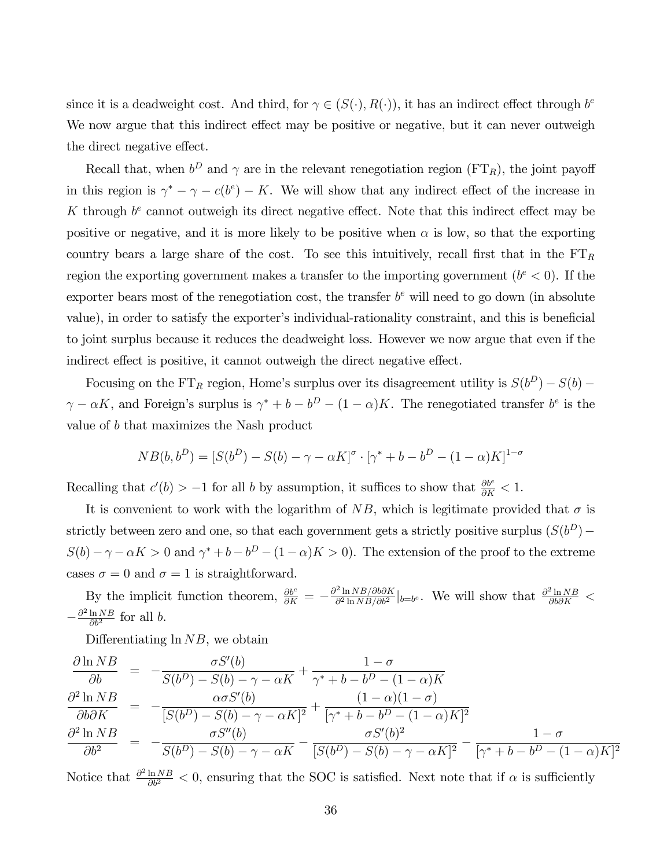since it is a deadweight cost. And third, for  $\gamma \in (S(\cdot), R(\cdot))$ , it has an indirect effect through  $b^e$ We now argue that this indirect effect may be positive or negative, but it can never outweigh the direct negative effect.

Recall that, when  $b^D$  and  $\gamma$  are in the relevant renegotiation region (FT<sub>R</sub>), the joint payoff in this region is  $\gamma^* - \gamma - c(b^e) - K$ . We will show that any indirect effect of the increase in K through  $b^e$  cannot outweigh its direct negative effect. Note that this indirect effect may be positive or negative, and it is more likely to be positive when  $\alpha$  is low, so that the exporting country bears a large share of the cost. To see this intuitively, recall first that in the  $FT_R$ region the exporting government makes a transfer to the importing government  $(b<sup>e</sup> < 0)$ . If the exporter bears most of the renegotiation cost, the transfer  $b<sup>e</sup>$  will need to go down (in absolute value), in order to satisfy the exporter's individual-rationality constraint, and this is beneficial to joint surplus because it reduces the deadweight loss. However we now argue that even if the indirect effect is positive, it cannot outweigh the direct negative effect.

Focusing on the FT<sub>R</sub> region, Home's surplus over its disagreement utility is  $S(b^D) - S(b)$  $\gamma - \alpha K$ , and Foreign's surplus is  $\gamma^* + b - b^D - (1 - \alpha)K$ . The renegotiated transfer  $b^e$  is the value of b that maximizes the Nash product

$$
NB(b, b^{D}) = [S(b^{D}) - S(b) - \gamma - \alpha K]^{\sigma} \cdot [\gamma^{*} + b - b^{D} - (1 - \alpha)K]^{1-\sigma}
$$

Recalling that  $c'(b) > -1$  for all b by assumption, it suffices to show that  $\frac{\partial b^e}{\partial K} < 1$ .

It is convenient to work with the logarithm of NB, which is legitimate provided that  $\sigma$  is strictly between zero and one, so that each government gets a strictly positive surplus  $(S(b^D) S(b) - \gamma - \alpha K > 0$  and  $\gamma^* + b - b^D - (1 - \alpha)K > 0$ . The extension of the proof to the extreme cases  $\sigma = 0$  and  $\sigma = 1$  is straightforward.

By the implicit function theorem,  $\frac{\partial b^e}{\partial K} = -\frac{\partial^2 \ln NB/\partial b \partial K}{\partial^2 \ln NB/\partial b^2}$  $\frac{\partial^2 \ln NB/\partial b \partial K}{\partial^2 \ln NB/\partial b^2}\Big|_{b=b^e}$ . We will show that  $\frac{\partial^2 \ln NB}{\partial b \partial K}$  $-\frac{\partial^2 \ln NB}{\partial b^2}$  $rac{\ln NB}{\partial b^2}$  for all b.

Differentiating  $\ln NB$ , we obtain

$$
\frac{\partial \ln NB}{\partial b} = -\frac{\sigma S'(b)}{S(b^D) - S(b) - \gamma - \alpha K} + \frac{1 - \sigma}{\gamma^* + b - b^D - (1 - \alpha)K}
$$
\n
$$
\frac{\partial^2 \ln NB}{\partial b \partial K} = -\frac{\alpha \sigma S'(b)}{[S(b^D) - S(b) - \gamma - \alpha K]^2} + \frac{(1 - \alpha)(1 - \sigma)}{[\gamma^* + b - b^D - (1 - \alpha)K]^2}
$$
\n
$$
\frac{\partial^2 \ln NB}{\partial b^2} = -\frac{\sigma S''(b)}{S(b^D) - S(b) - \gamma - \alpha K} - \frac{\sigma S'(b)^2}{[S(b^D) - S(b) - \gamma - \alpha K]^2} - \frac{1 - \sigma}{[\gamma^* + b - b^D - (1 - \alpha)K]^2}
$$

Notice that  $\frac{\partial^2 \ln NB}{\partial b^2} < 0$ , ensuring that the SOC is satisfied. Next note that if  $\alpha$  is sufficiently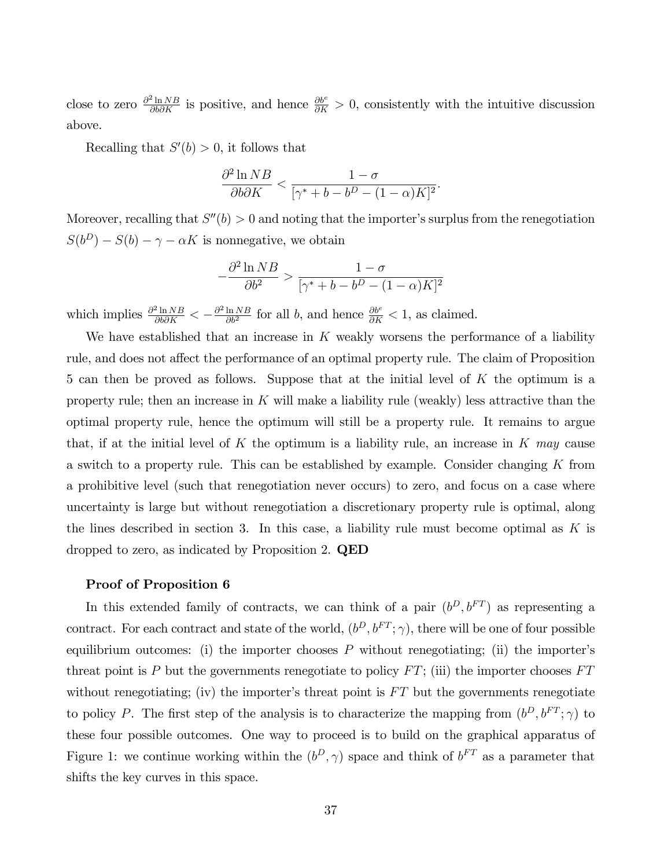close to zero  $\frac{\partial^2 \ln NB}{\partial b \partial K}$  is positive, and hence  $\frac{\partial b^e}{\partial K} > 0$ , consistently with the intuitive discussion above.

Recalling that  $S'(b) > 0$ , it follows that

$$
\frac{\partial^2 \ln NB}{\partial b \partial K} < \frac{1 - \sigma}{\left[\gamma^* + b - b^D - (1 - \alpha)K\right]^2}.
$$

Moreover, recalling that  $S''(b) > 0$  and noting that the importer's surplus from the renegotiation  $S(b^D) - S(b) - \gamma - \alpha K$  is nonnegative, we obtain

$$
-\frac{\partial^2 \ln NB}{\partial b^2} > \frac{1-\sigma}{[\gamma^* + b - b^D - (1-\alpha)K]^2}
$$

which implies  $\frac{\partial^2 \ln NB}{\partial b \partial K} < -\frac{\partial^2 \ln NB}{\partial b^2}$  $\frac{\ln NB}{\partial b^2}$  for all b, and hence  $\frac{\partial b^e}{\partial K} < 1$ , as claimed.

We have established that an increase in  $K$  weakly worsens the performance of a liability rule, and does not affect the performance of an optimal property rule. The claim of Proposition 5 can then be proved as follows. Suppose that at the initial level of K the optimum is a property rule; then an increase in  $K$  will make a liability rule (weakly) less attractive than the optimal property rule, hence the optimum will still be a property rule. It remains to argue that, if at the initial level of K the optimum is a liability rule, an increase in K may cause a switch to a property rule. This can be established by example. Consider changing  $K$  from a prohibitive level (such that renegotiation never occurs) to zero, and focus on a case where uncertainty is large but without renegotiation a discretionary property rule is optimal, along the lines described in section 3. In this case, a liability rule must become optimal as  $K$  is dropped to zero, as indicated by Proposition 2. QED

#### Proof of Proposition 6

In this extended family of contracts, we can think of a pair  $(b^D, b^{FT})$  as representing a contract. For each contract and state of the world,  $(b^D, b^{FT}; \gamma)$ , there will be one of four possible equilibrium outcomes: (i) the importer chooses  $P$  without renegotiating; (ii) the importer's threat point is P but the governments renegotiate to policy  $FT$ ; (iii) the importer chooses  $FT$ without renegotiating; (iv) the importer's threat point is  $FT$  but the governments renegotiate to policy P. The first step of the analysis is to characterize the mapping from  $(b^D, b^{FT}; \gamma)$  to these four possible outcomes. One way to proceed is to build on the graphical apparatus of Figure 1: we continue working within the  $(b^D, \gamma)$  space and think of  $b^{FT}$  as a parameter that shifts the key curves in this space.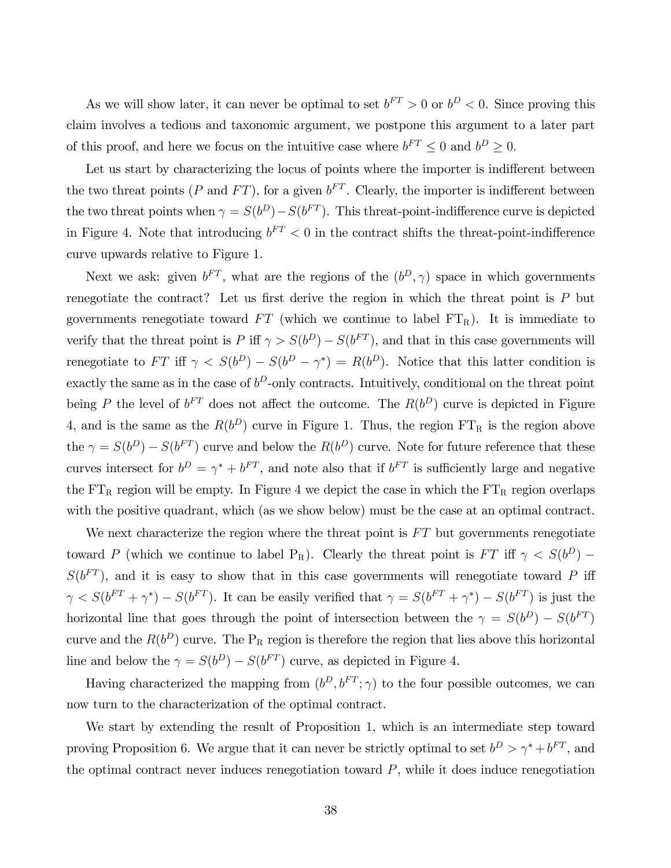As we will show later, it can never be optimal to set  $b^{FT} > 0$  or  $b^D < 0$ . Since proving this claim involves a tedious and taxonomic argument, we postpone this argument to a later part of this proof, and here we focus on the intuitive case where  $b^{FT} \leq 0$  and  $b^D \geq 0$ .

Let us start by characterizing the locus of points where the importer is indifferent between the two threat points (P and FT), for a given  $b^{FT}$ . Clearly, the importer is indifferent between the two threat points when  $\gamma = S(b^D) - S(b^{FT})$ . This threat-point-indifference curve is depicted in Figure 4. Note that introducing  $b^{FT} < 0$  in the contract shifts the threat-point-indifference curve upwards relative to Figure 1.

Next we ask: given  $b^{FT}$ , what are the regions of the  $(b^D, \gamma)$  space in which governments renegotiate the contract? Let us first derive the region in which the threat point is  $P$  but governments renegotiate toward  $FT$  (which we continue to label  $FT<sub>R</sub>$ ). It is immediate to verify that the threat point is  $P$  iff  $\gamma > S(b^D) - S(b^{FT})$ , and that in this case governments will renegotiate to FT iff  $\gamma < S(b^D) - S(b^D - \gamma^*) = R(b^D)$ . Notice that this latter condition is exactly the same as in the case of  $b^D$ -only contracts. Intuitively, conditional on the threat point being P the level of  $b^{FT}$  does not affect the outcome. The  $R(b^D)$  curve is depicted in Figure 4, and is the same as the  $R(b^D)$  curve in Figure 1. Thus, the region FT<sub>R</sub> is the region above the  $\gamma = S(b^D) - S(b^{FT})$  curve and below the  $R(b^D)$  curve. Note for future reference that these curves intersect for  $b^D = \gamma^* + b^{FT}$ , and note also that if  $b^{FT}$  is sufficiently large and negative the  $FT_R$  region will be empty. In Figure 4 we depict the case in which the  $FT_R$  region overlaps with the positive quadrant, which (as we show below) must be the case at an optimal contract.

We next characterize the region where the threat point is  $FT$  but governments renegotiate toward P (which we continue to label  $P_R$ ). Clearly the threat point is  $FT$  iff  $\gamma < S(b^D)$  –  $S(b^{FT})$ , and it is easy to show that in this case governments will renegotiate toward P iff  $\gamma < S(b^{FT} + \gamma^*) - S(b^{FT})$ . It can be easily verified that  $\gamma = S(b^{FT} + \gamma^*) - S(b^{FT})$  is just the horizontal line that goes through the point of intersection between the  $\gamma = S(b^D) - S(b^{FT})$ curve and the  $R(b^D)$  curve. The  $P_R$  region is therefore the region that lies above this horizontal line and below the  $\gamma = S(b^D) - S(b^{FT})$  curve, as depicted in Figure 4.

Having characterized the mapping from  $(b^D, b^{FT}; \gamma)$  to the four possible outcomes, we can now turn to the characterization of the optimal contract.

We start by extending the result of Proposition 1, which is an intermediate step toward proving Proposition 6. We argue that it can never be strictly optimal to set  $b^D > \gamma^* + b^{FT}$ , and the optimal contract never induces renegotiation toward  $P$ , while it does induce renegotiation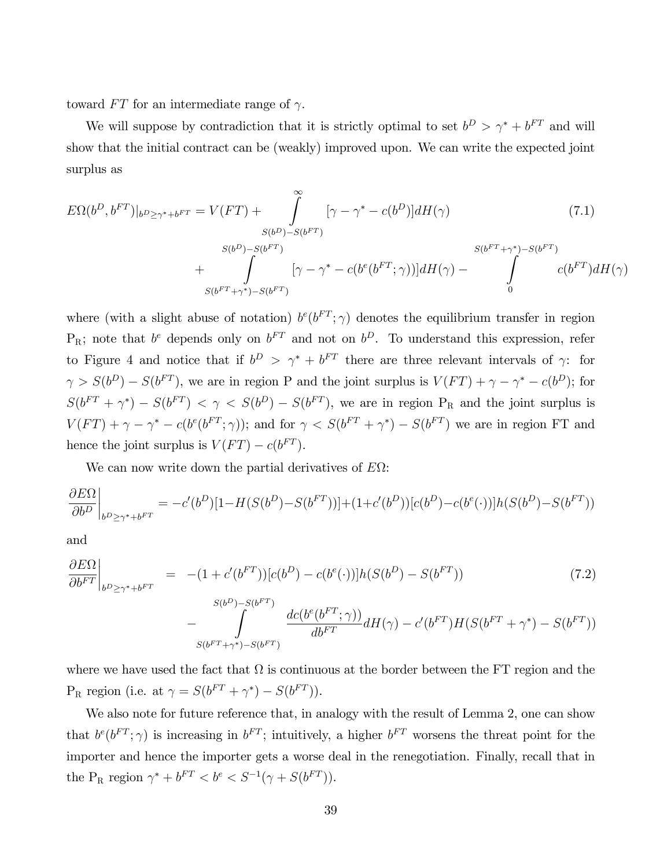toward  $FT$  for an intermediate range of  $\gamma$ .

We will suppose by contradiction that it is strictly optimal to set  $b^D > \gamma^* + b^{FT}$  and will show that the initial contract can be (weakly) improved upon. We can write the expected joint surplus as

$$
E\Omega(b^{D}, b^{FT})|_{b^{D} \geq \gamma^{*}+b^{FT}} = V(FT) + \int_{S(b^{D})-S(b^{FT})}^{s} [\gamma - \gamma^{*} - c(b^{D})] dH(\gamma)
$$
(7.1)  

$$
= \int_{S(b^{D})-S(b^{FT})}^{S(b^{D})-S(b^{FT})} [\gamma - \gamma^{*} - c(b^{e}(b^{FT}; \gamma))] dH(\gamma) - \int_{0}^{S(b^{FT}+\gamma^{*})-S(b^{FT})} c(b^{FT}) dH(\gamma)
$$

where (with a slight abuse of notation)  $b^e(b^{FT}; \gamma)$  denotes the equilibrium transfer in region  $P_R$ ; note that  $b^e$  depends only on  $b^{FT}$  and not on  $b^D$ . To understand this expression, refer to Figure 4 and notice that if  $b^D > \gamma^* + b^{FT}$  there are three relevant intervals of  $\gamma$ : for  $\gamma > S(b^D) - S(b^{FT})$ , we are in region P and the joint surplus is  $V(FT) + \gamma - \gamma^* - c(b^D)$ ; for  $S(b^{FT} + \gamma^*) - S(b^{FT}) < \gamma < S(b^{D}) - S(b^{FT})$ , we are in region P<sub>R</sub> and the joint surplus is  $V(FT) + \gamma - \gamma^* - c(b^e(b^{FT}; \gamma))$ ; and for  $\gamma < S(b^{FT} + \gamma^*) - S(b^{FT})$  we are in region FT and hence the joint surplus is  $V(FT) - c(b^{FT})$ .

We can now write down the partial derivatives of  $E\Omega$ :

$$
\frac{\partial E\Omega}{\partial b^{D}}\bigg|_{b^{D}\geq \gamma^{*}+b^{FT}}=-c'(b^{D})[1-H(S(b^{D})-S(b^{FT}))]+(1+c'(b^{D}))[c(b^{D})-c(b^{e}(\cdot))]h(S(b^{D})-S(b^{FT}))
$$

and

$$
\frac{\partial E\Omega}{\partial b^{FT}}\Big|_{b^D \ge \gamma^* + b^{FT}} = -(1 + c'(b^{FT}))[c(b^D) - c(b^e(\cdot))]h(S(b^D) - S(b^{FT})) \tag{7.2}
$$
\n
$$
- \int_{S(b^{FT} + \gamma^*) - S(b^{FT})}^{S(b^D) - S(b^{FT})} \frac{dc(b^e(b^{FT}; \gamma))}{db^{FT}} dH(\gamma) - c'(b^{FT})H(S(b^{FT} + \gamma^*) - S(b^{FT}))
$$

where we have used the fact that  $\Omega$  is continuous at the border between the FT region and the  $P_R$  region (i.e. at  $\gamma = S(b^{FT} + \gamma^*) - S(b^{FT})$ ).

We also note for future reference that, in analogy with the result of Lemma 2, one can show that  $b^e(b^{FT}; \gamma)$  is increasing in  $b^{FT}$ ; intuitively, a higher  $b^{FT}$  worsens the threat point for the importer and hence the importer gets a worse deal in the renegotiation. Finally, recall that in the P<sub>R</sub> region  $\gamma^* + b^{FT} < b^e < S^{-1}(\gamma + S(b^{FT}))$ .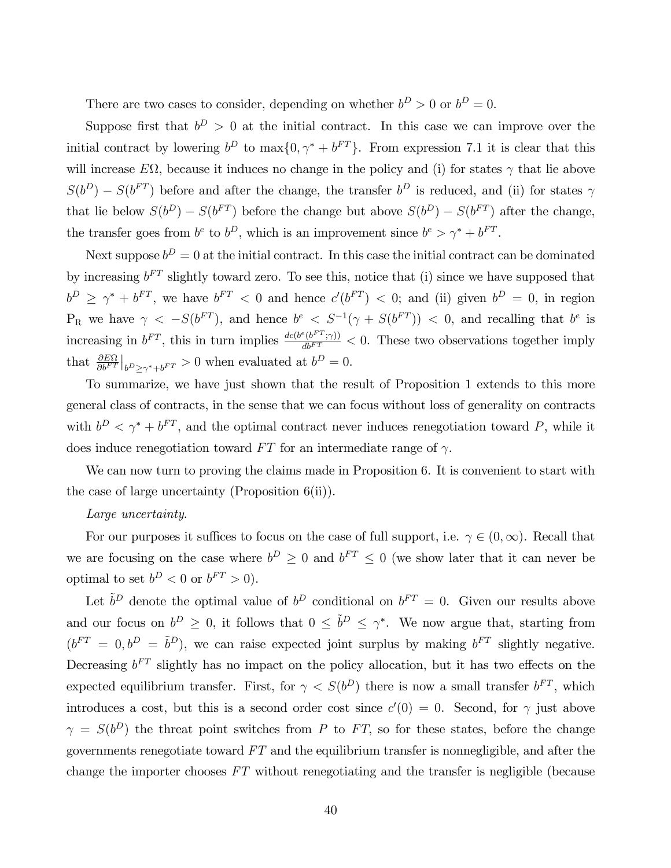There are two cases to consider, depending on whether  $b^D > 0$  or  $b^D = 0$ .

Suppose first that  $b^D > 0$  at the initial contract. In this case we can improve over the initial contract by lowering  $b^D$  to  $\max\{0, \gamma^* + b^{FT}\}\$ . From expression 7.1 it is clear that this will increase  $E\Omega$ , because it induces no change in the policy and (i) for states  $\gamma$  that lie above  $S(b^D) - S(b^{FT})$  before and after the change, the transfer  $b^D$  is reduced, and (ii) for states  $\gamma$ that lie below  $S(b^D) - S(b^{FT})$  before the change but above  $S(b^D) - S(b^{FT})$  after the change, the transfer goes from  $b^e$  to  $b^D$ , which is an improvement since  $b^e > \gamma^* + b^{FT}$ .

Next suppose  $b^D = 0$  at the initial contract. In this case the initial contract can be dominated by increasing  $b^{FT}$  slightly toward zero. To see this, notice that (i) since we have supposed that  $b^D \geq \gamma^* + b^{FT}$ , we have  $b^{FT} < 0$  and hence  $c'(b^{FT}) < 0$ ; and (ii) given  $b^D = 0$ , in region  $P_R$  we have  $\gamma < -S(b^{FT})$ , and hence  $b^e < S^{-1}(\gamma + S(b^{FT})) < 0$ , and recalling that  $b^e$  is increasing in  $b^{FT}$ , this in turn implies  $\frac{dc(b^e(b^{FT};\gamma))}{db^{FT}} < 0$ . These two observations together imply that  $\frac{\partial E\Omega}{\partial b^{FT}}|_{b^D \geq \gamma^* + b^{FT}} > 0$  when evaluated at  $b^D = 0$ .

To summarize, we have just shown that the result of Proposition 1 extends to this more general class of contracts, in the sense that we can focus without loss of generality on contracts with  $b^D < \gamma^* + b^{FT}$ , and the optimal contract never induces renegotiation toward P, while it does induce renegotiation toward  $FT$  for an intermediate range of  $\gamma$ .

We can now turn to proving the claims made in Proposition 6. It is convenient to start with the case of large uncertainty (Proposition 6(ii)).

#### Large uncertainty.

For our purposes it suffices to focus on the case of full support, i.e.  $\gamma \in (0, \infty)$ . Recall that we are focusing on the case where  $b^D \geq 0$  and  $b^{FT} \leq 0$  (we show later that it can never be optimal to set  $b^D < 0$  or  $b^{FT} > 0$ ).

Let  $\tilde{b}^D$  denote the optimal value of  $b^D$  conditional on  $b^{FT} = 0$ . Given our results above and our focus on  $b^D \geq 0$ , it follows that  $0 \leq \tilde{b}^D \leq \gamma^*$ . We now argue that, starting from  $(b^{FT} = 0, b^D = \tilde{b}^D)$ , we can raise expected joint surplus by making  $b^{FT}$  slightly negative. Decreasing  $b^{FT}$  slightly has no impact on the policy allocation, but it has two effects on the expected equilibrium transfer. First, for  $\gamma < S(b^D)$  there is now a small transfer  $b^{FT}$ , which introduces a cost, but this is a second order cost since  $c'(0) = 0$ . Second, for  $\gamma$  just above  $\gamma = S(b^D)$  the threat point switches from P to FT, so for these states, before the change governments renegotiate toward  $FT$  and the equilibrium transfer is nonnegligible, and after the change the importer chooses FT without renegotiating and the transfer is negligible (because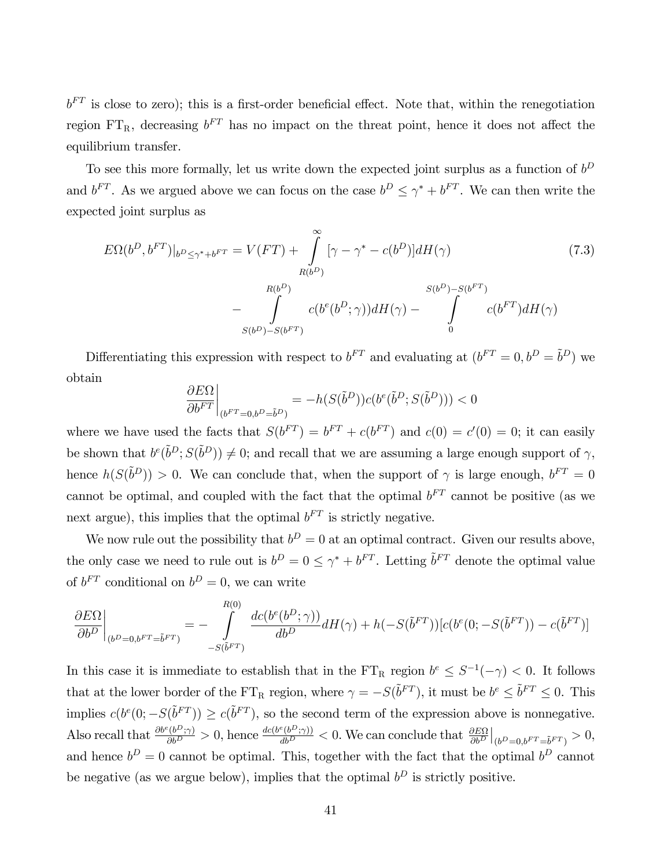$b<sup>FT</sup>$  is close to zero); this is a first-order beneficial effect. Note that, within the renegotiation region  $FT_R$ , decreasing  $b^{FT}$  has no impact on the threat point, hence it does not affect the equilibrium transfer.

To see this more formally, let us write down the expected joint surplus as a function of  $b^D$ and  $b^{FT}$ . As we argued above we can focus on the case  $b^D \leq \gamma^* + b^{FT}$ . We can then write the expected joint surplus as

$$
E\Omega(b^D, b^{FT})|_{b^D \le \gamma^* + b^{FT}} = V(FT) + \int_{R(b^D)}^{\infty} [\gamma - \gamma^* - c(b^D)]dH(\gamma)
$$
\n
$$
- \int_{S(b^D) - S(b^{FT})}^{R(b^D)} c(b^e(b^D; \gamma))dH(\gamma) - \int_{0}^{S(b^D) - S(b^{FT})} c(b^{FT})dH(\gamma)
$$
\n(7.3)

Differentiating this expression with respect to  $b^{FT}$  and evaluating at  $(b^{FT} = 0, b^D = \tilde{b}^D)$  we obtain

$$
\left. \frac{\partial E\Omega}{\partial b^{FT}} \right|_{(b^{FT}=0,b^D=\tilde{b}^D)} = -h(S(\tilde{b}^D))c(b^e(\tilde{b}^D;S(\tilde{b}^D))) < 0
$$

where we have used the facts that  $S(b^{FT}) = b^{FT} + c(b^{FT})$  and  $c(0) = c'(0) = 0$ ; it can easily be shown that  $b^e(\tilde{b}^D; S(\tilde{b}^D)) \neq 0$ ; and recall that we are assuming a large enough support of  $\gamma$ , hence  $h(S(\tilde{b}^D)) > 0$ . We can conclude that, when the support of  $\gamma$  is large enough,  $b^{FT} = 0$ cannot be optimal, and coupled with the fact that the optimal  $b^{FT}$  cannot be positive (as we next argue), this implies that the optimal  $b<sup>F T</sup>$  is strictly negative.

We now rule out the possibility that  $b^D = 0$  at an optimal contract. Given our results above, the only case we need to rule out is  $b^D = 0 \leq \gamma^* + b^{FT}$ . Letting  $\tilde{b}^{FT}$  denote the optimal value of  $b^{FT}$  conditional on  $b^D = 0$ , we can write

$$
\frac{\partial E\Omega}{\partial b^D}\bigg|_{(b^D=0,b^{FT}=\tilde{b}^{FT})} = -\int\limits_{-S(\tilde{b}^{FT})}^{R(0)} \frac{dc(b^e(b^D;\gamma))}{db^D} dH(\gamma) + h(-S(\tilde{b}^{FT}))[c(b^e(0;-S(\tilde{b}^{FT})) - c(\tilde{b}^{FT})]
$$

In this case it is immediate to establish that in the  $FT_R$  region  $b^e \leq S^{-1}(-\gamma) < 0$ . It follows that at the lower border of the FT<sub>R</sub> region, where  $\gamma = -S(\tilde{b}^{FT})$ , it must be  $b^e \leq \tilde{b}^{FT} \leq 0$ . This implies  $c(b^e(0; -S(\tilde{b}^{FT})) \ge c(\tilde{b}^{FT})$ , so the second term of the expression above is nonnegative. Also recall that  $\frac{\partial b^e(b^D;\gamma)}{\partial b^D} > 0$ , hence  $\frac{dc(b^e(b^D;\gamma))}{db^D} < 0$ . We can conclude that  $\frac{\partial E\Omega}{\partial b^D}\Big|_{(b^D=0,b^{FT}=\tilde{b}^{FT})} > 0$ , and hence  $b^D = 0$  cannot be optimal. This, together with the fact that the optimal  $b^D$  cannot be negative (as we argue below), implies that the optimal  $b^D$  is strictly positive.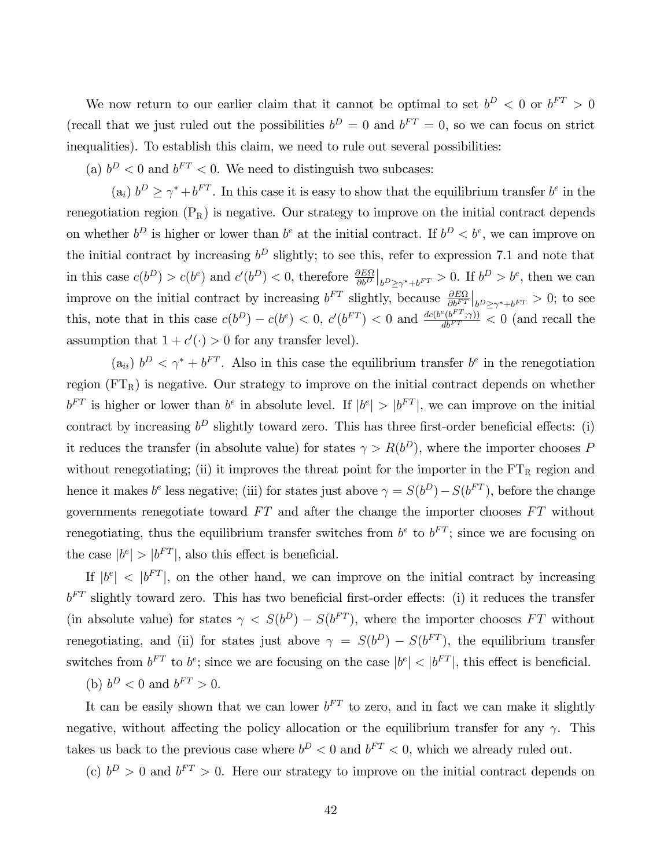We now return to our earlier claim that it cannot be optimal to set  $b^D < 0$  or  $b^{FT} > 0$ (recall that we just ruled out the possibilities  $b^D = 0$  and  $b^{FT} = 0$ , so we can focus on strict inequalities). To establish this claim, we need to rule out several possibilities:

(a)  $b^D < 0$  and  $b^{FT} < 0$ . We need to distinguish two subcases:

(a<sub>i</sub>)  $b^D \geq \gamma^* + b^{FT}$ . In this case it is easy to show that the equilibrium transfer  $b^e$  in the renegotiation region  $(P_R)$  is negative. Our strategy to improve on the initial contract depends on whether  $b^D$  is higher or lower than  $b^e$  at the initial contract. If  $b^D < b^e$ , we can improve on the initial contract by increasing  $b^D$  slightly; to see this, refer to expression 7.1 and note that in this case  $c(b^D) > c(b^e)$  and  $c'(b^D) < 0$ , therefore  $\frac{\partial E\Omega}{\partial b^D}\Big|_{b^D \ge \gamma^* + b^{FT}} > 0$ . If  $b^D > b^e$ , then we can improve on the initial contract by increasing  $b^{FT}$  slightly, because  $\frac{\partial E\Omega}{\partial b^{FT}}\Big|_{b^D \geq \gamma^* + b^{FT}} > 0$ ; to see this, note that in this case  $c(b^D) - c(b^e) < 0$ ,  $c'(b^{FT}) < 0$  and  $\frac{dc(b^e(b^{FT}; \gamma))}{db^{FT}} < 0$  (and recall the assumption that  $1 + c'(\cdot) > 0$  for any transfer level).

 $(a_{ii})$   $b^D < \gamma^* + b^{FT}$ . Also in this case the equilibrium transfer  $b^e$  in the renegotiation region  $(FT_R)$  is negative. Our strategy to improve on the initial contract depends on whether  $b^{FT}$  is higher or lower than  $b^e$  in absolute level. If  $|b^e| > |b^{FT}|$ , we can improve on the initial contract by increasing  $b^D$  slightly toward zero. This has three first-order beneficial effects: (i) it reduces the transfer (in absolute value) for states  $\gamma > R(b^D)$ , where the importer chooses P without renegotiating; (ii) it improves the threat point for the importer in the  $FT_R$  region and hence it makes  $b^e$  less negative; (iii) for states just above  $\gamma = S(b^D) - S(b^{FT})$ , before the change governments renegotiate toward  $FT$  and after the change the importer chooses  $FT$  without renegotiating, thus the equilibrium transfer switches from  $b^e$  to  $b^{FT}$ ; since we are focusing on the case  $|b^e| > |b^{FT}|$ , also this effect is beneficial.

If  $|b^e|$  <  $|b^{FT}|$ , on the other hand, we can improve on the initial contract by increasing  $b<sup>FT</sup>$  slightly toward zero. This has two beneficial first-order effects: (i) it reduces the transfer (in absolute value) for states  $\gamma < S(b^D) - S(b^{FT})$ , where the importer chooses FT without renegotiating, and (ii) for states just above  $\gamma = S(b^D) - S(b^{FT})$ , the equilibrium transfer switches from  $b^{FT}$  to  $b^e$ ; since we are focusing on the case  $|b^e| < |b^{FT}|$ , this effect is beneficial.

(b)  $b^D < 0$  and  $b^{FT} > 0$ .

It can be easily shown that we can lower  $b^{FT}$  to zero, and in fact we can make it slightly negative, without affecting the policy allocation or the equilibrium transfer for any  $\gamma$ . This takes us back to the previous case where  $b^D < 0$  and  $b^{FT} < 0$ , which we already ruled out.

(c)  $b^D > 0$  and  $b^{FT} > 0$ . Here our strategy to improve on the initial contract depends on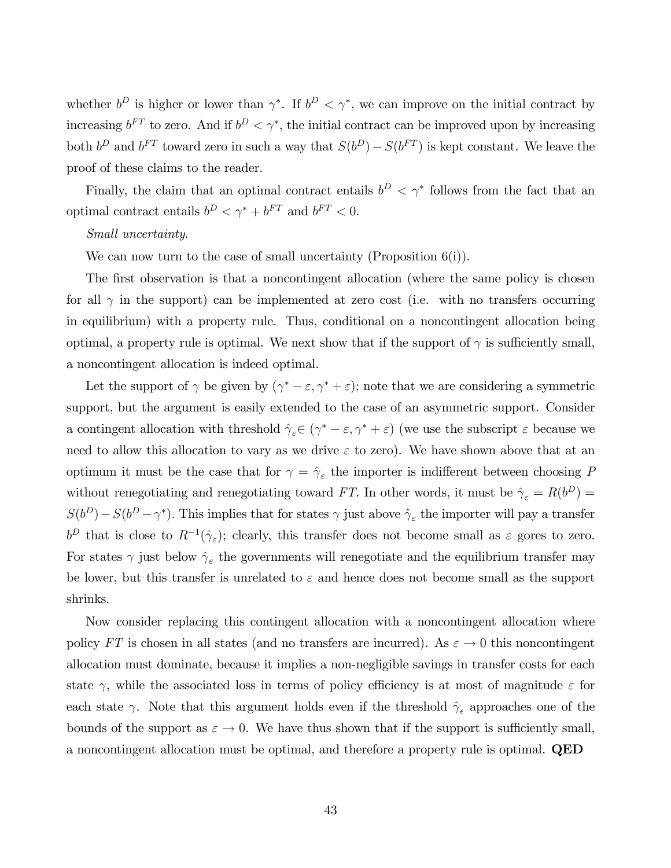whether  $b^D$  is higher or lower than  $\gamma^*$ . If  $b^D < \gamma^*$ , we can improve on the initial contract by increasing  $b^{FT}$  to zero. And if  $b^D < \gamma^*$ , the initial contract can be improved upon by increasing both  $b^D$  and  $b^{FT}$  toward zero in such a way that  $S(b^D) - S(b^{FT})$  is kept constant. We leave the proof of these claims to the reader.

Finally, the claim that an optimal contract entails  $b^D < \gamma^*$  follows from the fact that an optimal contract entails  $b^D < \gamma^* + b^{FT}$  and  $b^{FT} < 0$ .

#### Small uncertainty.

We can now turn to the case of small uncertainty (Proposition  $6(i)$ ).

The first observation is that a noncontingent allocation (where the same policy is chosen for all  $\gamma$  in the support) can be implemented at zero cost (i.e. with no transfers occurring in equilibrium) with a property rule. Thus, conditional on a noncontingent allocation being optimal, a property rule is optimal. We next show that if the support of  $\gamma$  is sufficiently small, a noncontingent allocation is indeed optimal.

Let the support of  $\gamma$  be given by  $(\gamma^* - \varepsilon, \gamma^* + \varepsilon)$ ; note that we are considering a symmetric support, but the argument is easily extended to the case of an asymmetric support. Consider a contingent allocation with threshold  $\hat{\gamma}_{\varepsilon} \in (\gamma^* - \varepsilon, \gamma^* + \varepsilon)$  (we use the subscript  $\varepsilon$  because we need to allow this allocation to vary as we drive  $\varepsilon$  to zero). We have shown above that at an optimum it must be the case that for  $\gamma = \hat{\gamma}_{\varepsilon}$  the importer is indifferent between choosing P without renegotiating and renegotiating toward FT. In other words, it must be  $\hat{\gamma}_{\varepsilon} = R(b^D) =$  $S(b^D) - S(b^D - \gamma^*)$ . This implies that for states  $\gamma$  just above  $\hat{\gamma}_{\varepsilon}$  the importer will pay a transfer  $b^D$  that is close to  $R^{-1}(\hat{\gamma}_\varepsilon)$ ; clearly, this transfer does not become small as  $\varepsilon$  gores to zero. For states  $\gamma$  just below  $\hat{\gamma}_{\varepsilon}$  the governments will renegotiate and the equilibrium transfer may be lower, but this transfer is unrelated to  $\varepsilon$  and hence does not become small as the support shrinks.

Now consider replacing this contingent allocation with a noncontingent allocation where policy FT is chosen in all states (and no transfers are incurred). As  $\varepsilon \to 0$  this noncontingent allocation must dominate, because it implies a non-negligible savings in transfer costs for each state  $\gamma$ , while the associated loss in terms of policy efficiency is at most of magnitude  $\varepsilon$  for each state  $\gamma$ . Note that this argument holds even if the threshold  $\hat{\gamma}_{\epsilon}$  approaches one of the bounds of the support as  $\varepsilon \to 0$ . We have thus shown that if the support is sufficiently small, a noncontingent allocation must be optimal, and therefore a property rule is optimal. QED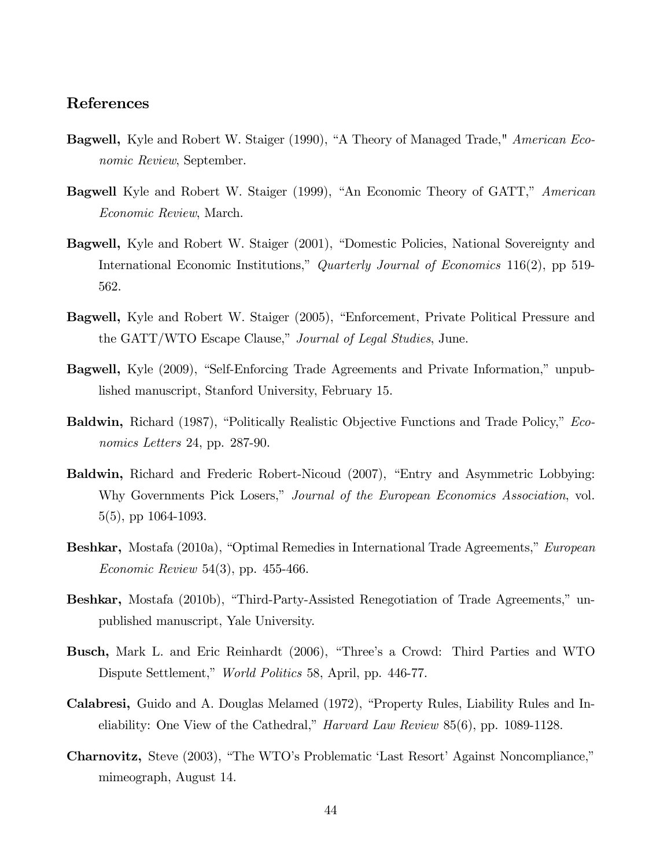#### References

- Bagwell, Kyle and Robert W. Staiger (1990), "A Theory of Managed Trade," American Economic Review, September.
- **Bagwell** Kyle and Robert W. Staiger (1999), "An Economic Theory of GATT," American Economic Review, March.
- **Bagwell,** Kyle and Robert W. Staiger (2001), "Domestic Policies, National Sovereignty and International Economic Institutions," Quarterly Journal of Economics 116(2), pp 519-562.
- **Bagwell,** Kyle and Robert W. Staiger (2005), "Enforcement, Private Political Pressure and the GATT/WTO Escape Clause," Journal of Legal Studies, June.
- **Bagwell,** Kyle (2009), "Self-Enforcing Trade Agreements and Private Information," unpublished manuscript, Stanford University, February 15.
- Baldwin, Richard (1987), "Politically Realistic Objective Functions and Trade Policy," *Eco*nomics Letters 24, pp. 287-90.
- **Baldwin,** Richard and Frederic Robert-Nicoud (2007), "Entry and Asymmetric Lobbying: Why Governments Pick Losers," Journal of the European Economics Association, vol. 5(5), pp 1064-1093.
- **Beshkar,** Mostafa (2010a), "Optimal Remedies in International Trade Agreements," European Economic Review 54(3), pp. 455-466.
- Beshkar, Mostafa (2010b), "Third-Party-Assisted Renegotiation of Trade Agreements," unpublished manuscript, Yale University.
- Busch, Mark L. and Eric Reinhardt (2006), "Three's a Crowd: Third Parties and WTO Dispute Settlement," World Politics 58, April, pp. 446-77.
- Calabresi, Guido and A. Douglas Melamed (1972), "Property Rules, Liability Rules and Ineliability: One View of the Cathedral," Harvard Law Review 85(6), pp. 1089-1128.
- Charnovitz, Steve (2003), "The WTO's Problematic 'Last Resort' Against Noncompliance," mimeograph, August 14.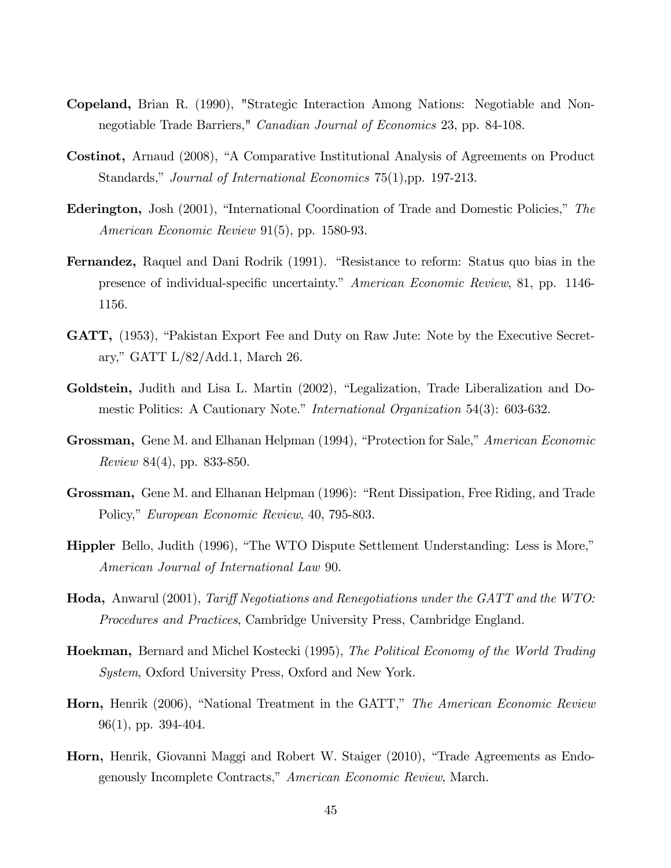- Copeland, Brian R. (1990), "Strategic Interaction Among Nations: Negotiable and Nonnegotiable Trade Barriers," Canadian Journal of Economics 23, pp. 84-108.
- Costinot, Arnaud (2008), "A Comparative Institutional Analysis of Agreements on Product Standards," Journal of International Economics 75(1), pp. 197-213.
- **Ederington,** Josh (2001), "International Coordination of Trade and Domestic Policies," The American Economic Review 91(5), pp. 1580-93.
- **Fernandez,** Raquel and Dani Rodrik (1991). "Resistance to reform: Status quo bias in the presence of individual-specific uncertainty." American Economic Review, 81, pp. 1146-1156.
- **GATT,** (1953), "Pakistan Export Fee and Duty on Raw Jute: Note by the Executive Secretary," GATT  $L/82/Add.1$ , March 26.
- Goldstein, Judith and Lisa L. Martin (2002), "Legalization, Trade Liberalization and Domestic Politics: A Cautionary Note." *International Organization* 54(3): 603-632.
- Grossman, Gene M. and Elhanan Helpman (1994), "Protection for Sale," American Economic Review 84(4), pp. 833-850.
- Grossman, Gene M. and Elhanan Helpman (1996): "Rent Dissipation, Free Riding, and Trade Policy," European Economic Review, 40, 795-803.
- **Hippler** Bello, Judith (1996), "The WTO Dispute Settlement Understanding: Less is More," American Journal of International Law 90.
- **Hoda,** Anwarul (2001), Tariff Negotiations and Renegotiations under the GATT and the WTO: Procedures and Practices, Cambridge University Press, Cambridge England.
- Hoekman, Bernard and Michel Kostecki (1995), The Political Economy of the World Trading System, Oxford University Press, Oxford and New York.
- Horn, Henrik (2006), "National Treatment in the GATT," The American Economic Review 96(1), pp. 394-404.
- **Horn,** Henrik, Giovanni Maggi and Robert W. Staiger (2010), "Trade Agreements as Endogenously Incomplete Contracts," American Economic Review, March.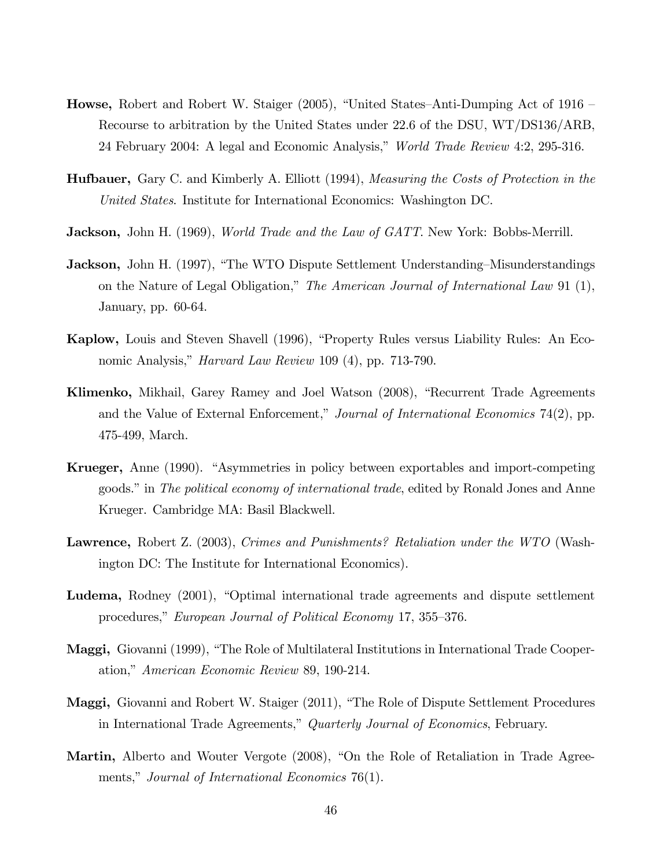- **Howse,** Robert and Robert W. Staiger (2005), "United States–Anti-Dumping Act of 1916 Recourse to arbitration by the United States under 22.6 of the DSU, WT/DS136/ARB, 24 February 2004: A legal and Economic Analysis," *World Trade Review* 4:2, 295-316.
- Hufbauer, Gary C. and Kimberly A. Elliott (1994), Measuring the Costs of Protection in the United States. Institute for International Economics: Washington DC.
- **Jackson,** John H. (1969), *World Trade and the Law of GATT*. New York: Bobbs-Merrill.
- **Jackson,** John H. (1997), "The WTO Dispute Settlement Understanding–Misunderstandings on the Nature of Legal Obligation," The American Journal of International Law 91  $(1)$ , January, pp. 60-64.
- Kaplow, Louis and Steven Shavell (1996), "Property Rules versus Liability Rules: An Economic Analysis," *Harvard Law Review* 109 (4), pp. 713-790.
- Klimenko, Mikhail, Garey Ramey and Joel Watson (2008), "Recurrent Trade Agreements and the Value of External Enforcement," Journal of International Economics 74(2), pp. 475-499, March.
- **Krueger,** Anne (1990). "Asymmetries in policy between exportables and import-competing goods." in The political economy of international trade, edited by Ronald Jones and Anne Krueger. Cambridge MA: Basil Blackwell.
- Lawrence, Robert Z. (2003), Crimes and Punishments? Retaliation under the WTO (Washington DC: The Institute for International Economics).
- Ludema, Rodney (2001), "Optimal international trade agreements and dispute settlement procedures," European Journal of Political Economy 17, 355–376.
- Maggi, Giovanni (1999), "The Role of Multilateral Institutions in International Trade Cooperation," American Economic Review 89, 190-214.
- Maggi, Giovanni and Robert W. Staiger (2011), "The Role of Dispute Settlement Procedures in International Trade Agreements," Quarterly Journal of Economics, February.
- Martin, Alberto and Wouter Vergote (2008), "On the Role of Retaliation in Trade Agreements," Journal of International Economics 76(1).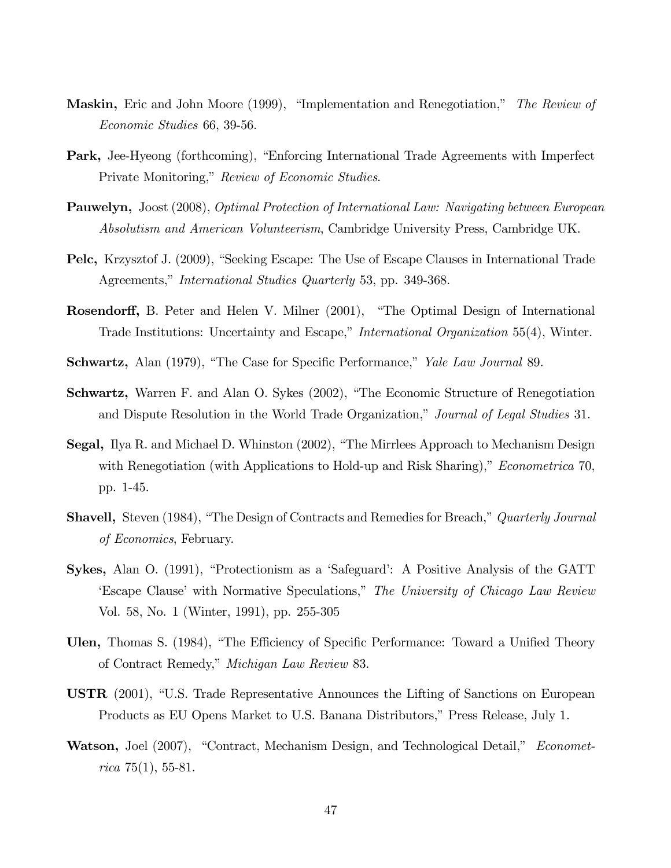- **Maskin,** Eric and John Moore (1999), "Implementation and Renegotiation," The Review of Economic Studies 66, 39-56.
- Park, Jee-Hyeong (forthcoming), "Enforcing International Trade Agreements with Imperfect Private Monitoring," Review of Economic Studies.
- Pauwelyn, Joost (2008), Optimal Protection of International Law: Navigating between European Absolutism and American Volunteerism, Cambridge University Press, Cambridge UK.
- Pelc, Krzysztof J. (2009), "Seeking Escape: The Use of Escape Clauses in International Trade Agreements," *International Studies Quarterly* 53, pp. 349-368.
- **Rosendorff,** B. Peter and Helen V. Milner (2001), "The Optimal Design of International Trade Institutions: Uncertainty and Escape," International Organization 55(4), Winter.
- Schwartz, Alan (1979), "The Case for Specific Performance," Yale Law Journal 89.
- Schwartz, Warren F. and Alan O. Sykes (2002), "The Economic Structure of Renegotiation and Dispute Resolution in the World Trade Organization," Journal of Legal Studies 31.
- **Segal,** Ilya R. and Michael D. Whinston (2002), "The Mirrlees Approach to Mechanism Design with Renegotiation (with Applications to Hold-up and Risk Sharing)," *Econometrica* 70, pp. 1-45.
- **Shavell,** Steven (1984), "The Design of Contracts and Remedies for Breach," Quarterly Journal of Economics, February.
- **Sykes,** Alan O. (1991), "Protectionism as a 'Safeguard': A Positive Analysis of the GATT 'Escape Clause' with Normative Speculations," The University of Chicago Law Review Vol. 58, No. 1 (Winter, 1991), pp. 255-305
- Ulen, Thomas S. (1984), "The Efficiency of Specific Performance: Toward a Unified Theory of Contract Remedy," *Michigan Law Review* 83.
- **USTR**  $(2001)$ , "U.S. Trade Representative Announces the Lifting of Sanctions on European Products as EU Opens Market to U.S. Banana Distributors," Press Release, July 1.
- **Watson,** Joel (2007), "Contract, Mechanism Design, and Technological Detail," *Economet* $rica 75(1), 55-81.$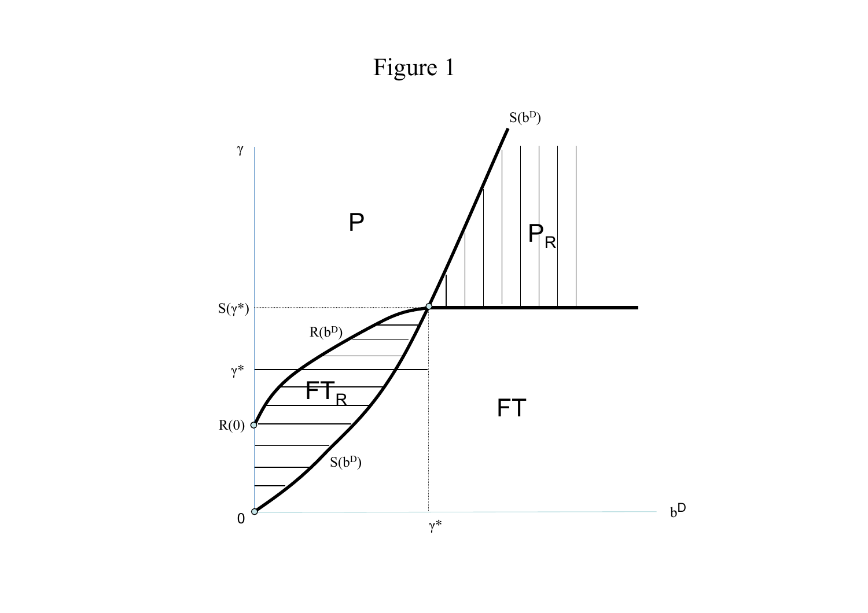# Figure 1

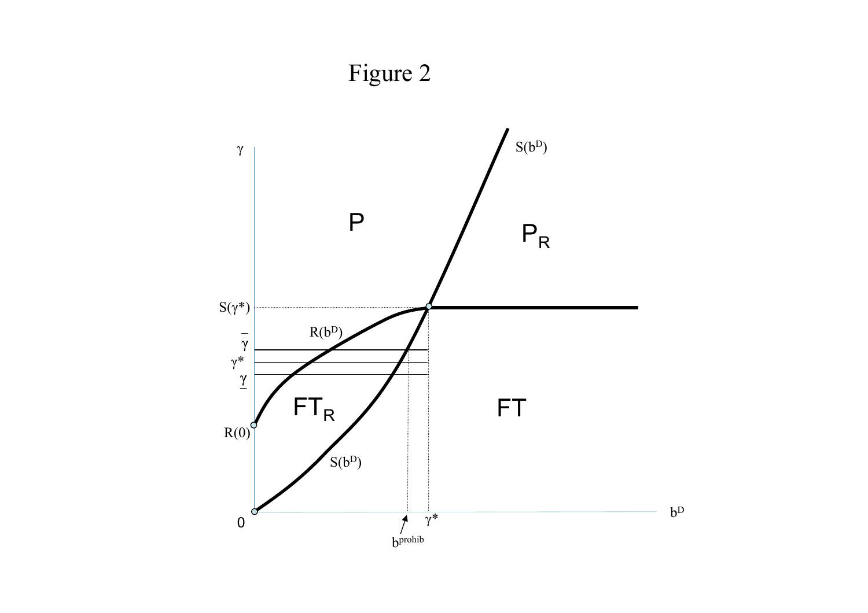

Figure 2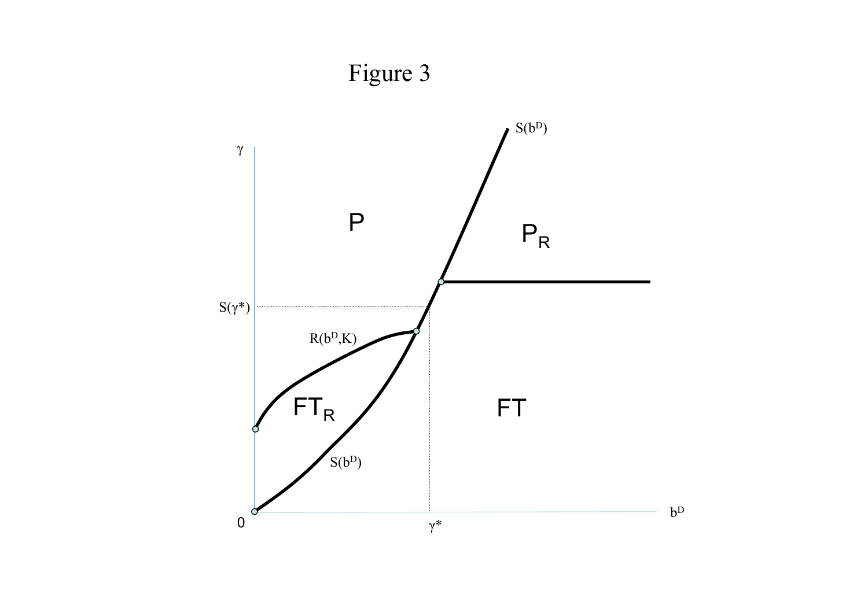

Figure 3